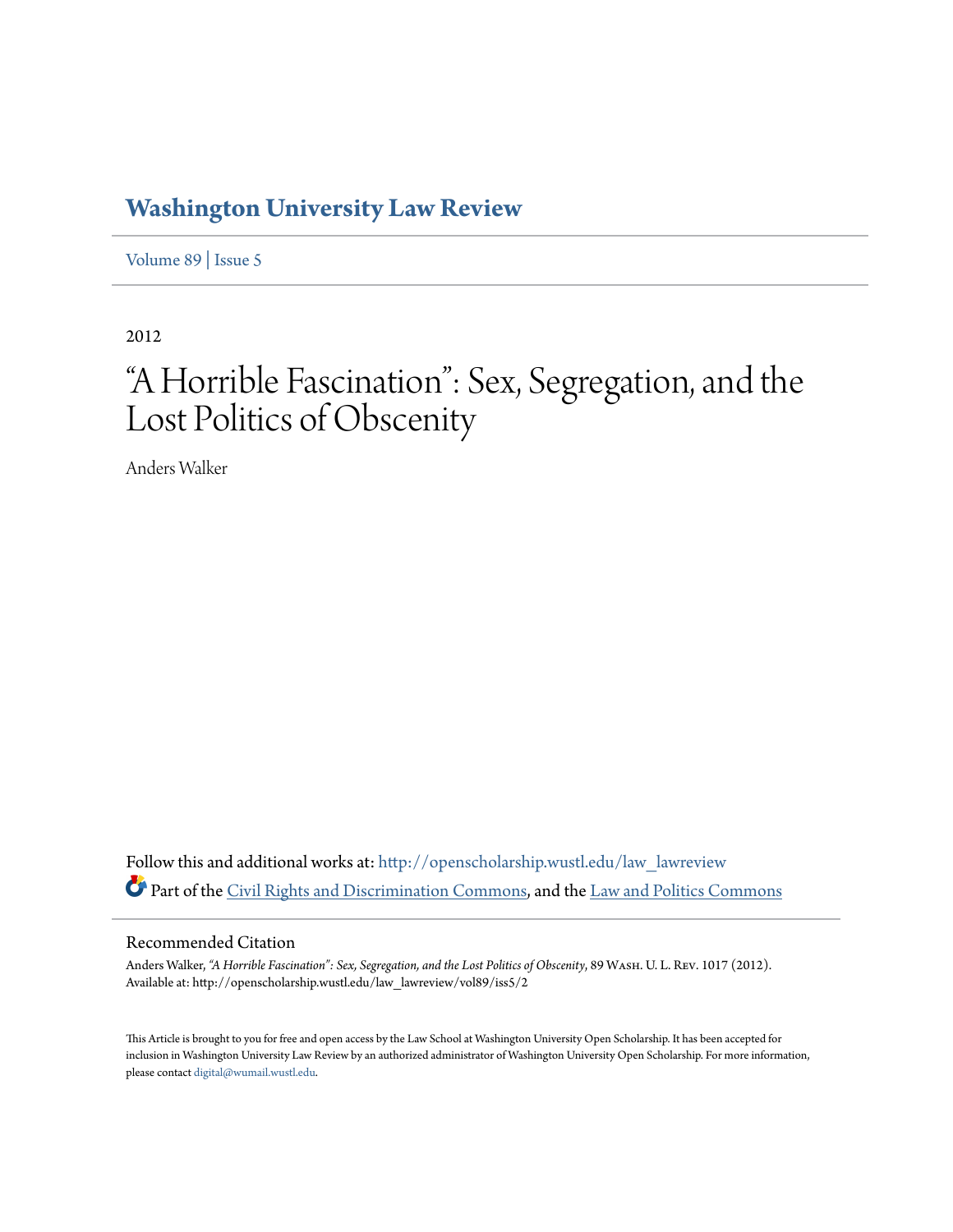## **[Washington University Law Review](http://openscholarship.wustl.edu/law_lawreview?utm_source=openscholarship.wustl.edu%2Flaw_lawreview%2Fvol89%2Fiss5%2F2&utm_medium=PDF&utm_campaign=PDFCoverPages)**

[Volume 89](http://openscholarship.wustl.edu/law_lawreview/vol89?utm_source=openscholarship.wustl.edu%2Flaw_lawreview%2Fvol89%2Fiss5%2F2&utm_medium=PDF&utm_campaign=PDFCoverPages) | [Issue 5](http://openscholarship.wustl.edu/law_lawreview/vol89/iss5?utm_source=openscholarship.wustl.edu%2Flaw_lawreview%2Fvol89%2Fiss5%2F2&utm_medium=PDF&utm_campaign=PDFCoverPages)

2012

# "A Horrible Fascination": Sex, Segregation, and the Lost Politics of Obscenity

Anders Walker

Follow this and additional works at: [http://openscholarship.wustl.edu/law\\_lawreview](http://openscholarship.wustl.edu/law_lawreview?utm_source=openscholarship.wustl.edu%2Flaw_lawreview%2Fvol89%2Fiss5%2F2&utm_medium=PDF&utm_campaign=PDFCoverPages) Part of the [Civil Rights and Discrimination Commons,](http://network.bepress.com/hgg/discipline/585?utm_source=openscholarship.wustl.edu%2Flaw_lawreview%2Fvol89%2Fiss5%2F2&utm_medium=PDF&utm_campaign=PDFCoverPages) and the [Law and Politics Commons](http://network.bepress.com/hgg/discipline/867?utm_source=openscholarship.wustl.edu%2Flaw_lawreview%2Fvol89%2Fiss5%2F2&utm_medium=PDF&utm_campaign=PDFCoverPages)

#### Recommended Citation

Anders Walker, "A Horrible Fascination": Sex, Segregation, and the Lost Politics of Obscenity, 89 WASH. U. L. REV. 1017 (2012). Available at: http://openscholarship.wustl.edu/law\_lawreview/vol89/iss5/2

This Article is brought to you for free and open access by the Law School at Washington University Open Scholarship. It has been accepted for inclusion in Washington University Law Review by an authorized administrator of Washington University Open Scholarship. For more information, please contact [digital@wumail.wustl.edu.](mailto:digital@wumail.wustl.edu)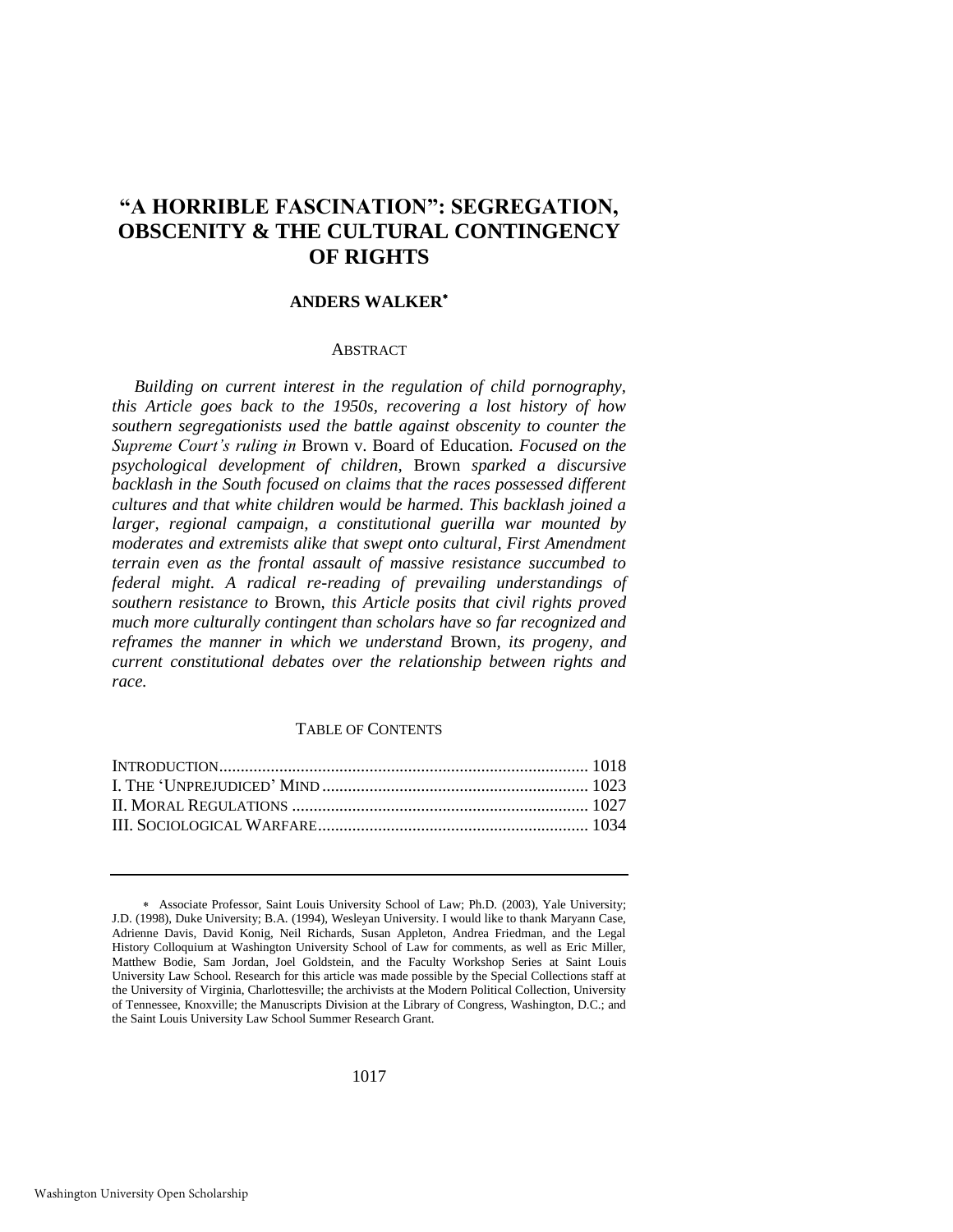### **"A HORRIBLE FASCINATION": SEGREGATION, OBSCENITY & THE CULTURAL CONTINGENCY OF RIGHTS**

#### **ANDERS WALKER**

#### **ABSTRACT**

*Building on current interest in the regulation of child pornography, this Article goes back to the 1950s, recovering a lost history of how southern segregationists used the battle against obscenity to counter the Supreme Court's ruling in* Brown v. Board of Education*. Focused on the psychological development of children,* Brown *sparked a discursive backlash in the South focused on claims that the races possessed different cultures and that white children would be harmed. This backlash joined a larger, regional campaign, a constitutional guerilla war mounted by moderates and extremists alike that swept onto cultural, First Amendment terrain even as the frontal assault of massive resistance succumbed to federal might. A radical re-reading of prevailing understandings of southern resistance to* Brown*, this Article posits that civil rights proved much more culturally contingent than scholars have so far recognized and reframes the manner in which we understand* Brown*, its progeny, and current constitutional debates over the relationship between rights and race.* 

#### TABLE OF CONTENTS

Associate Professor, Saint Louis University School of Law; Ph.D. (2003), Yale University; J.D. (1998), Duke University; B.A. (1994), Wesleyan University. I would like to thank Maryann Case, Adrienne Davis, David Konig, Neil Richards, Susan Appleton, Andrea Friedman, and the Legal History Colloquium at Washington University School of Law for comments, as well as Eric Miller, Matthew Bodie, Sam Jordan, Joel Goldstein, and the Faculty Workshop Series at Saint Louis University Law School. Research for this article was made possible by the Special Collections staff at the University of Virginia, Charlottesville; the archivists at the Modern Political Collection, University of Tennessee, Knoxville; the Manuscripts Division at the Library of Congress, Washington, D.C.; and the Saint Louis University Law School Summer Research Grant.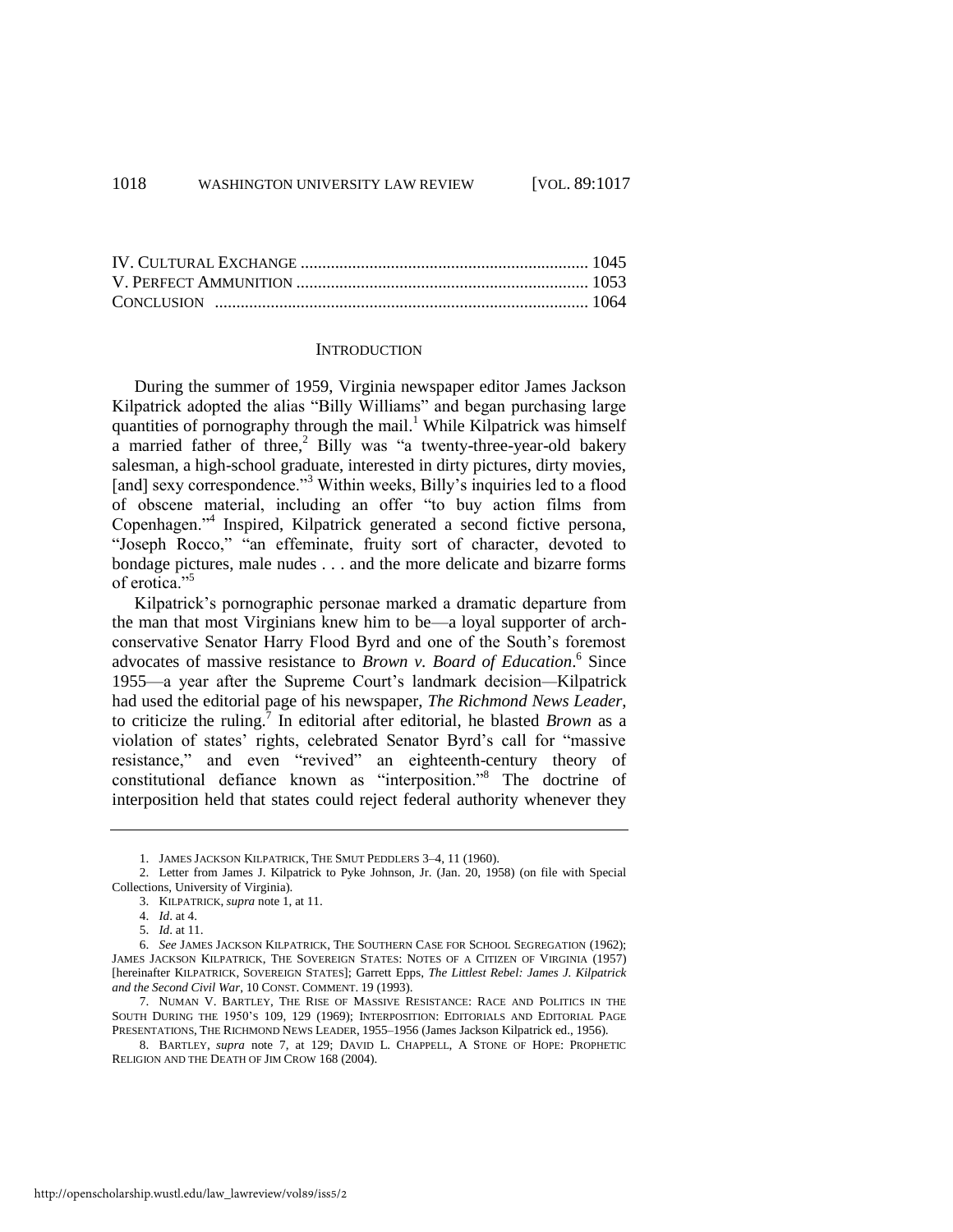#### <span id="page-2-3"></span><span id="page-2-0"></span>**INTRODUCTION**

During the summer of 1959, Virginia newspaper editor James Jackson Kilpatrick adopted the alias "Billy Williams" and began purchasing large quantities of pornography through the mail.<sup>1</sup> While Kilpatrick was himself a married father of three,<sup>2</sup> Billy was "a twenty-three-year-old bakery salesman, a high-school graduate, interested in dirty pictures, dirty movies, [and] sexy correspondence."<sup>3</sup> Within weeks, Billy's inquiries led to a flood of obscene material, including an offer "to buy action films from Copenhagen."<sup>4</sup> Inspired, Kilpatrick generated a second fictive persona, "Joseph Rocco," "an effeminate, fruity sort of character, devoted to bondage pictures, male nudes . . . and the more delicate and bizarre forms of erotica."<sup>5</sup>

Kilpatrick's pornographic personae marked a dramatic departure from the man that most Virginians knew him to be—a loyal supporter of archconservative Senator Harry Flood Byrd and one of the South's foremost advocates of massive resistance to *Brown v. Board of Education*.<sup>6</sup> Since 1955—a year after the Supreme Court's landmark decision*—*Kilpatrick had used the editorial page of his newspaper, *The Richmond News Leader*, to criticize the ruling.<sup>7</sup> In editorial after editorial, he blasted *Brown* as a violation of states' rights, celebrated Senator Byrd's call for "massive resistance," and even "revived" an eighteenth-century theory of constitutional defiance known as "interposition."<sup>8</sup> The doctrine of interposition held that states could reject federal authority whenever they

<span id="page-2-2"></span><span id="page-2-1"></span><sup>1.</sup> JAMES JACKSON KILPATRICK, THE SMUT PEDDLERS 3–4, 11 (1960).

<sup>2.</sup> Letter from James J. Kilpatrick to Pyke Johnson, Jr. (Jan. 20, 1958) (on file with Special Collections, University of Virginia).

<sup>3.</sup> KILPATRICK, *supra* not[e 1,](#page-2-0) at 11.

<sup>4.</sup> *Id*. at 4.

<sup>5.</sup> *Id*. at 11.

<sup>6.</sup> *See* JAMES JACKSON KILPATRICK, THE SOUTHERN CASE FOR SCHOOL SEGREGATION (1962); JAMES JACKSON KILPATRICK, THE SOVEREIGN STATES: NOTES OF A CITIZEN OF VIRGINIA (1957) [hereinafter KILPATRICK, SOVEREIGN STATES]; Garrett Epps, *The Littlest Rebel: James J. Kilpatrick and the Second Civil War*, 10 CONST. COMMENT. 19 (1993).

<sup>7.</sup> NUMAN V. BARTLEY, THE RISE OF MASSIVE RESISTANCE: RACE AND POLITICS IN THE SOUTH DURING THE 1950'S 109, 129 (1969); INTERPOSITION: EDITORIALS AND EDITORIAL PAGE PRESENTATIONS, THE RICHMOND NEWS LEADER, 1955–1956 (James Jackson Kilpatrick ed., 1956).

<sup>8.</sup> BARTLEY, *supra* note [7,](#page-2-1) at 129; DAVID L. CHAPPELL, A STONE OF HOPE: PROPHETIC RELIGION AND THE DEATH OF JIM CROW 168 (2004).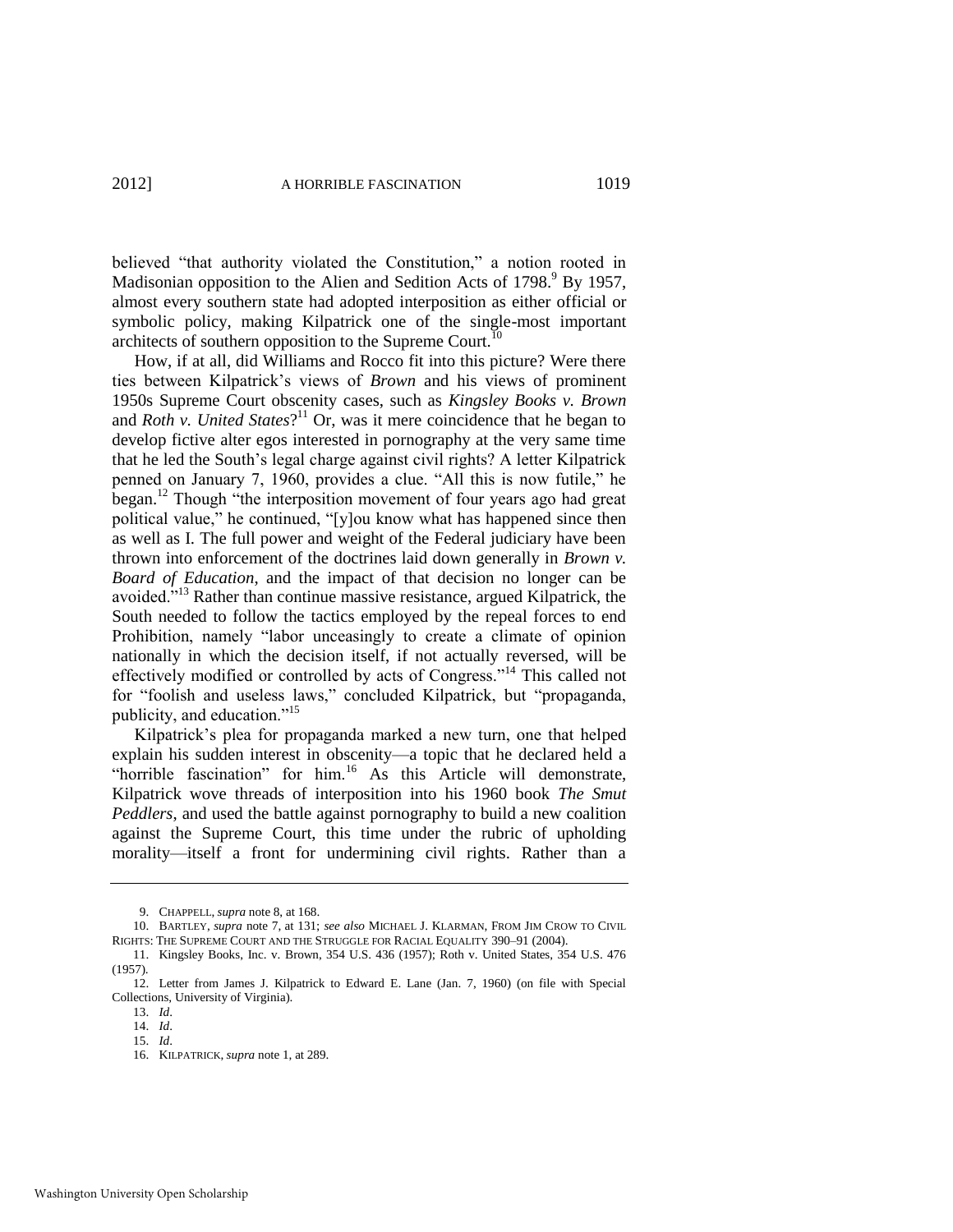believed "that authority violated the Constitution," a notion rooted in Madisonian opposition to the Alien and Sedition Acts of 1798.<sup>9</sup> By 1957, almost every southern state had adopted interposition as either official or symbolic policy, making Kilpatrick one of the single-most important architects of southern opposition to the Supreme Court.<sup>10</sup>

<span id="page-3-0"></span>How, if at all, did Williams and Rocco fit into this picture? Were there ties between Kilpatrick's views of *Brown* and his views of prominent 1950s Supreme Court obscenity cases, such as *Kingsley Books v. Brown*  and *Roth v. United States*? <sup>11</sup> Or, was it mere coincidence that he began to develop fictive alter egos interested in pornography at the very same time that he led the South's legal charge against civil rights? A letter Kilpatrick penned on January 7, 1960, provides a clue. "All this is now futile," he began.<sup>12</sup> Though "the interposition movement of four years ago had great political value," he continued, "[y]ou know what has happened since then as well as I. The full power and weight of the Federal judiciary have been thrown into enforcement of the doctrines laid down generally in *Brown v. Board of Education*, and the impact of that decision no longer can be avoided."<sup>13</sup> Rather than continue massive resistance, argued Kilpatrick, the South needed to follow the tactics employed by the repeal forces to end Prohibition, namely "labor unceasingly to create a climate of opinion nationally in which the decision itself, if not actually reversed, will be effectively modified or controlled by acts of Congress."<sup>14</sup> This called not for "foolish and useless laws," concluded Kilpatrick, but "propaganda, publicity, and education."<sup>15</sup>

Kilpatrick's plea for propaganda marked a new turn, one that helped explain his sudden interest in obscenity—a topic that he declared held a "horrible fascination" for him.<sup>16</sup> As this Article will demonstrate, Kilpatrick wove threads of interposition into his 1960 book *The Smut Peddlers*, and used the battle against pornography to build a new coalition against the Supreme Court, this time under the rubric of upholding morality—itself a front for undermining civil rights. Rather than a

<sup>9.</sup> CHAPPELL, *supra* not[e 8,](#page-2-2) at 168.

<sup>10.</sup> BARTLEY, *supra* not[e 7,](#page-2-1) at 131; *see also* MICHAEL J. KLARMAN, FROM JIM CROW TO CIVIL RIGHTS: THE SUPREME COURT AND THE STRUGGLE FOR RACIAL EQUALITY 390–91 (2004).

<sup>11.</sup> Kingsley Books, Inc. v. Brown, 354 U.S. 436 (1957); Roth v. United States, 354 U.S. 476 (1957).

<sup>12.</sup> Letter from James J. Kilpatrick to Edward E. Lane (Jan. 7, 1960) (on file with Special Collections, University of Virginia).

<sup>13.</sup> *Id*.

<sup>14.</sup> *Id*. 15. *Id*.

<sup>16.</sup> KILPATRICK, *supra* not[e 1,](#page-2-0) at 289.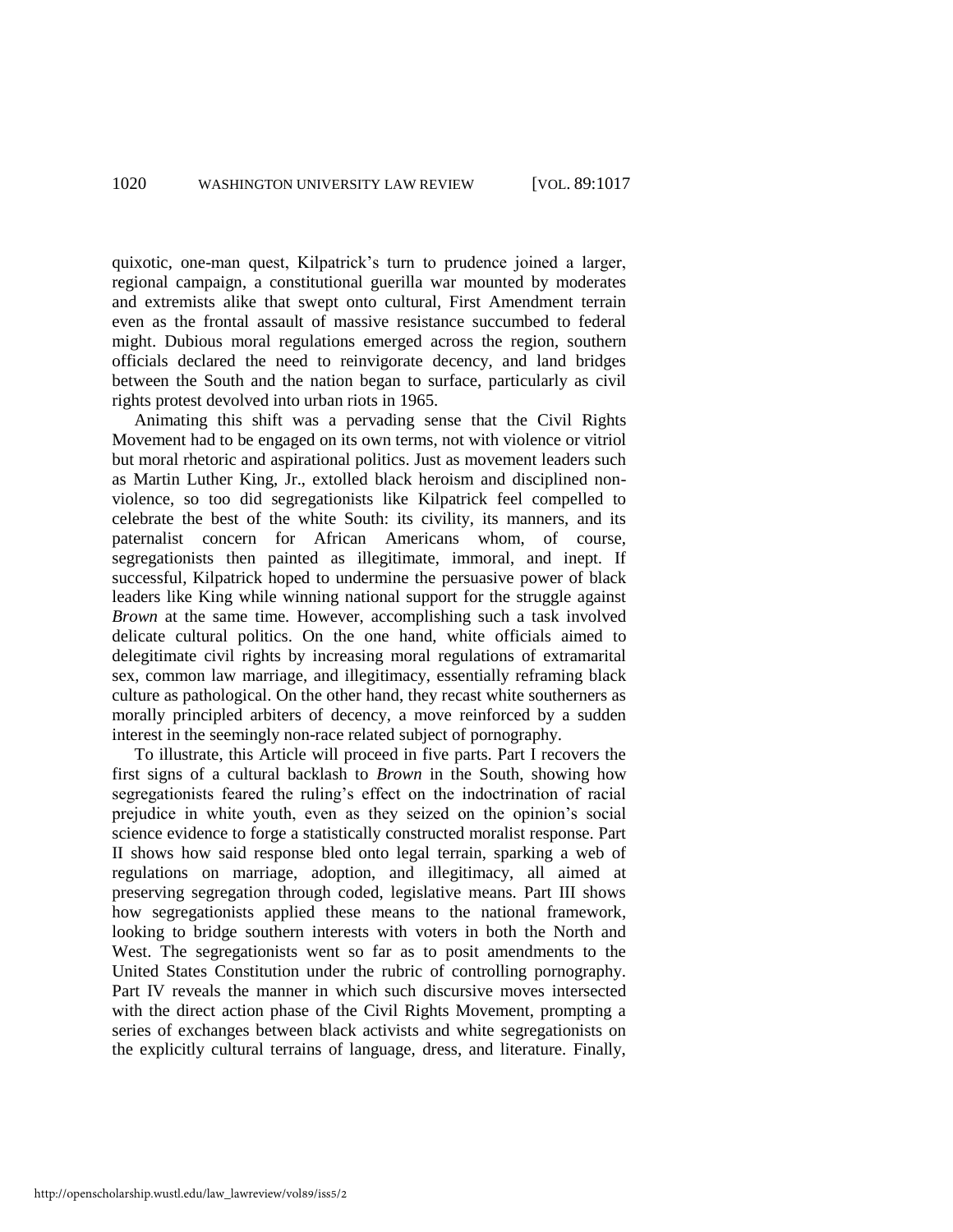quixotic, one-man quest, Kilpatrick's turn to prudence joined a larger, regional campaign, a constitutional guerilla war mounted by moderates and extremists alike that swept onto cultural, First Amendment terrain even as the frontal assault of massive resistance succumbed to federal might. Dubious moral regulations emerged across the region, southern officials declared the need to reinvigorate decency, and land bridges between the South and the nation began to surface, particularly as civil rights protest devolved into urban riots in 1965.

Animating this shift was a pervading sense that the Civil Rights Movement had to be engaged on its own terms, not with violence or vitriol but moral rhetoric and aspirational politics. Just as movement leaders such as Martin Luther King, Jr., extolled black heroism and disciplined nonviolence, so too did segregationists like Kilpatrick feel compelled to celebrate the best of the white South: its civility, its manners, and its paternalist concern for African Americans whom, of course, segregationists then painted as illegitimate, immoral, and inept. If successful, Kilpatrick hoped to undermine the persuasive power of black leaders like King while winning national support for the struggle against *Brown* at the same time*.* However, accomplishing such a task involved delicate cultural politics. On the one hand, white officials aimed to delegitimate civil rights by increasing moral regulations of extramarital sex, common law marriage, and illegitimacy, essentially reframing black culture as pathological. On the other hand, they recast white southerners as morally principled arbiters of decency, a move reinforced by a sudden interest in the seemingly non-race related subject of pornography.

To illustrate, this Article will proceed in five parts. Part I recovers the first signs of a cultural backlash to *Brown* in the South, showing how segregationists feared the ruling's effect on the indoctrination of racial prejudice in white youth, even as they seized on the opinion's social science evidence to forge a statistically constructed moralist response. Part II shows how said response bled onto legal terrain, sparking a web of regulations on marriage, adoption, and illegitimacy, all aimed at preserving segregation through coded, legislative means. Part III shows how segregationists applied these means to the national framework, looking to bridge southern interests with voters in both the North and West. The segregationists went so far as to posit amendments to the United States Constitution under the rubric of controlling pornography. Part IV reveals the manner in which such discursive moves intersected with the direct action phase of the Civil Rights Movement, prompting a series of exchanges between black activists and white segregationists on the explicitly cultural terrains of language, dress, and literature. Finally,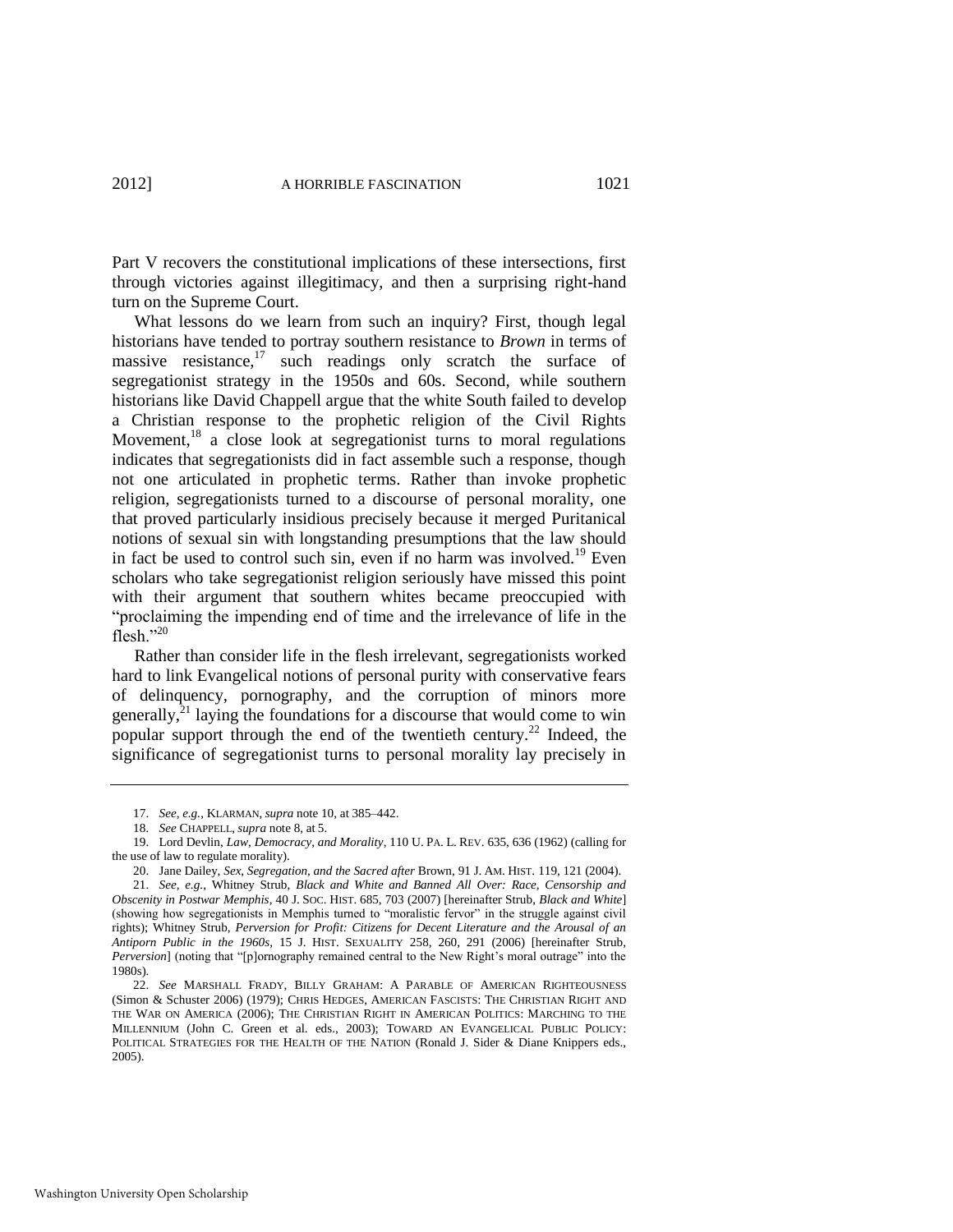Part V recovers the constitutional implications of these intersections, first through victories against illegitimacy, and then a surprising right-hand turn on the Supreme Court.

What lessons do we learn from such an inquiry? First, though legal historians have tended to portray southern resistance to *Brown* in terms of massive resistance, $17 \text{ such readings}$  only scratch the surface of segregationist strategy in the 1950s and 60s. Second, while southern historians like David Chappell argue that the white South failed to develop a Christian response to the prophetic religion of the Civil Rights Movement, $18$  a close look at segregationist turns to moral regulations indicates that segregationists did in fact assemble such a response, though not one articulated in prophetic terms. Rather than invoke prophetic religion, segregationists turned to a discourse of personal morality, one that proved particularly insidious precisely because it merged Puritanical notions of sexual sin with longstanding presumptions that the law should in fact be used to control such sin, even if no harm was involved.<sup>19</sup> Even scholars who take segregationist religion seriously have missed this point with their argument that southern whites became preoccupied with ―proclaiming the impending end of time and the irrelevance of life in the flesh." $20$ 

<span id="page-5-0"></span>Rather than consider life in the flesh irrelevant, segregationists worked hard to link Evangelical notions of personal purity with conservative fears of delinquency, pornography, and the corruption of minors more generally, $^{21}$  laying the foundations for a discourse that would come to win popular support through the end of the twentieth century.<sup>22</sup> Indeed, the significance of segregationist turns to personal morality lay precisely in

<span id="page-5-1"></span><sup>17.</sup> *See, e.g.*, KLARMAN, *supra* not[e 10,](#page-3-0) at 385*–*442.

<sup>18.</sup> *See* CHAPPELL, *supra* note [8,](#page-2-2) at 5.

<sup>19.</sup> Lord Devlin, *Law, Democracy, and Morality*, 110 U. PA. L. REV. 635, 636 (1962) (calling for the use of law to regulate morality).

<sup>20.</sup> Jane Dailey, *Sex, Segregation, and the Sacred after* Brown, 91 J. AM. HIST. 119, 121 (2004).

<sup>21.</sup> *See, e.g.*, Whitney Strub, *Black and White and Banned All Over: Race, Censorship and Obscenity in Postwar Memphis*, 40 J. SOC. HIST. 685, 703 (2007) [hereinafter Strub, *Black and White*] (showing how segregationists in Memphis turned to "moralistic fervor" in the struggle against civil rights); Whitney Strub, *Perversion for Profit: Citizens for Decent Literature and the Arousal of an Antiporn Public in the 1960s*, 15 J. HIST. SEXUALITY 258, 260, 291 (2006) [hereinafter Strub, *Perversion*] (noting that "[p]ornography remained central to the New Right's moral outrage" into the 1980s).

<sup>22.</sup> *See* MARSHALL FRADY, BILLY GRAHAM: A PARABLE OF AMERICAN RIGHTEOUSNESS (Simon & Schuster 2006) (1979); CHRIS HEDGES, AMERICAN FASCISTS: THE CHRISTIAN RIGHT AND THE WAR ON AMERICA (2006); THE CHRISTIAN RIGHT IN AMERICAN POLITICS: MARCHING TO THE MILLENNIUM (John C. Green et al. eds., 2003); TOWARD AN EVANGELICAL PUBLIC POLICY: POLITICAL STRATEGIES FOR THE HEALTH OF THE NATION (Ronald J. Sider & Diane Knippers eds., 2005).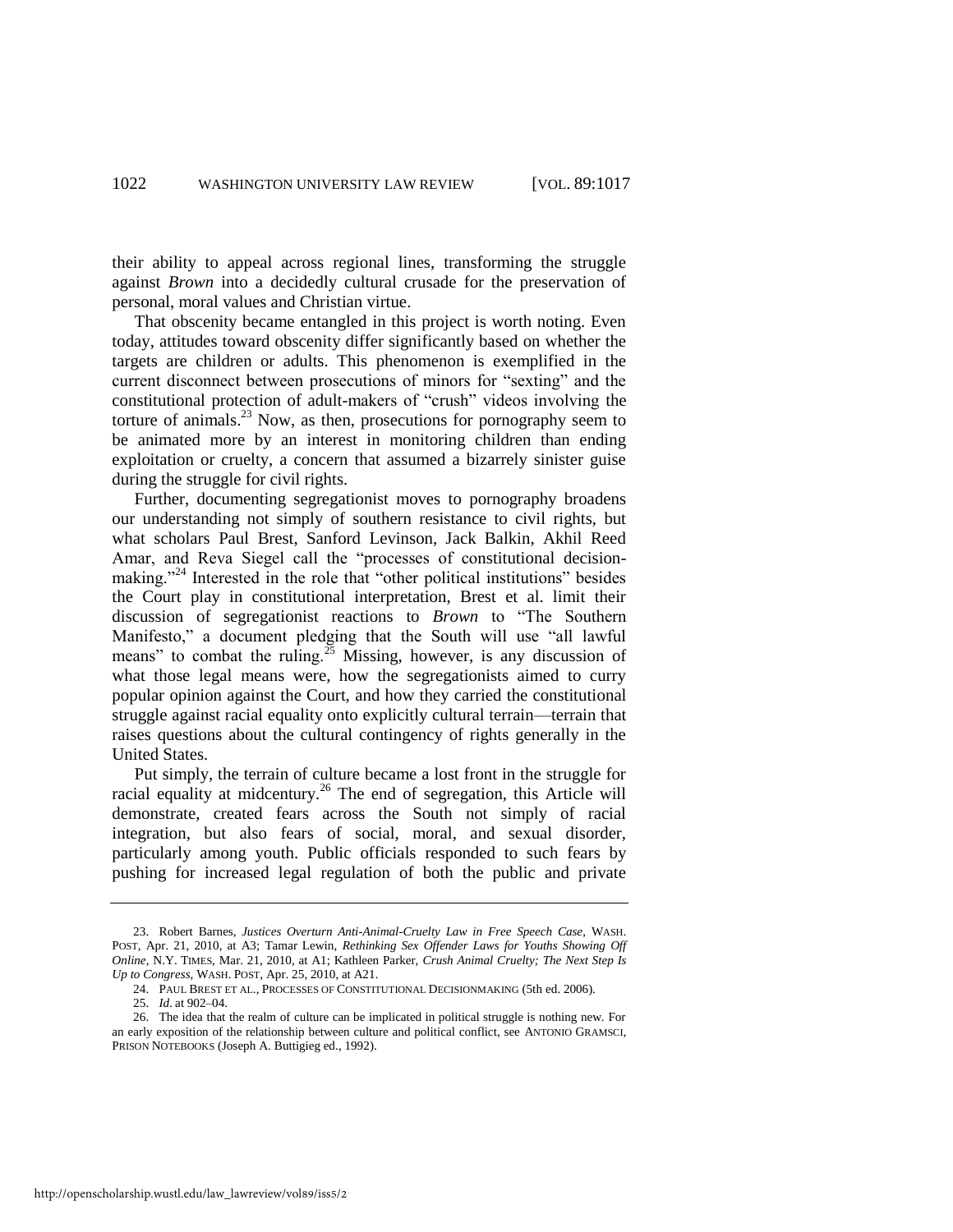their ability to appeal across regional lines, transforming the struggle against *Brown* into a decidedly cultural crusade for the preservation of personal, moral values and Christian virtue.

That obscenity became entangled in this project is worth noting. Even today, attitudes toward obscenity differ significantly based on whether the targets are children or adults. This phenomenon is exemplified in the current disconnect between prosecutions of minors for "sexting" and the constitutional protection of adult-makers of "crush" videos involving the torture of animals. $^{23}$  Now, as then, prosecutions for pornography seem to be animated more by an interest in monitoring children than ending exploitation or cruelty, a concern that assumed a bizarrely sinister guise during the struggle for civil rights.

Further, documenting segregationist moves to pornography broadens our understanding not simply of southern resistance to civil rights, but what scholars Paul Brest, Sanford Levinson, Jack Balkin, Akhil Reed Amar, and Reva Siegel call the "processes of constitutional decisionmaking."<sup>24</sup> Interested in the role that "other political institutions" besides the Court play in constitutional interpretation, Brest et al. limit their discussion of segregationist reactions to *Brown* to "The Southern Manifesto," a document pledging that the South will use "all lawful means" to combat the ruling.<sup>25</sup> Missing, however, is any discussion of what those legal means were, how the segregationists aimed to curry popular opinion against the Court, and how they carried the constitutional struggle against racial equality onto explicitly cultural terrain—terrain that raises questions about the cultural contingency of rights generally in the United States.

Put simply, the terrain of culture became a lost front in the struggle for racial equality at midcentury.<sup>26</sup> The end of segregation, this Article will demonstrate, created fears across the South not simply of racial integration, but also fears of social, moral, and sexual disorder, particularly among youth. Public officials responded to such fears by pushing for increased legal regulation of both the public and private

25. *Id*. at 902–04.

<sup>23.</sup> Robert Barnes, *Justices Overturn Anti-Animal-Cruelty Law in Free Speech Case*, WASH. POST, Apr. 21, 2010, at A3; Tamar Lewin, *Rethinking Sex Offender Laws for Youths Showing Off Online*, N.Y. TIMES, Mar. 21, 2010, at A1; Kathleen Parker, *Crush Animal Cruelty; The Next Step Is Up to Congress*, WASH. POST, Apr. 25, 2010, at A21.

<sup>24.</sup> PAUL BREST ET AL., PROCESSES OF CONSTITUTIONAL DECISIONMAKING (5th ed. 2006).

<sup>26.</sup> The idea that the realm of culture can be implicated in political struggle is nothing new. For an early exposition of the relationship between culture and political conflict, see ANTONIO GRAMSCI, PRISON NOTEBOOKS (Joseph A. Buttigieg ed., 1992).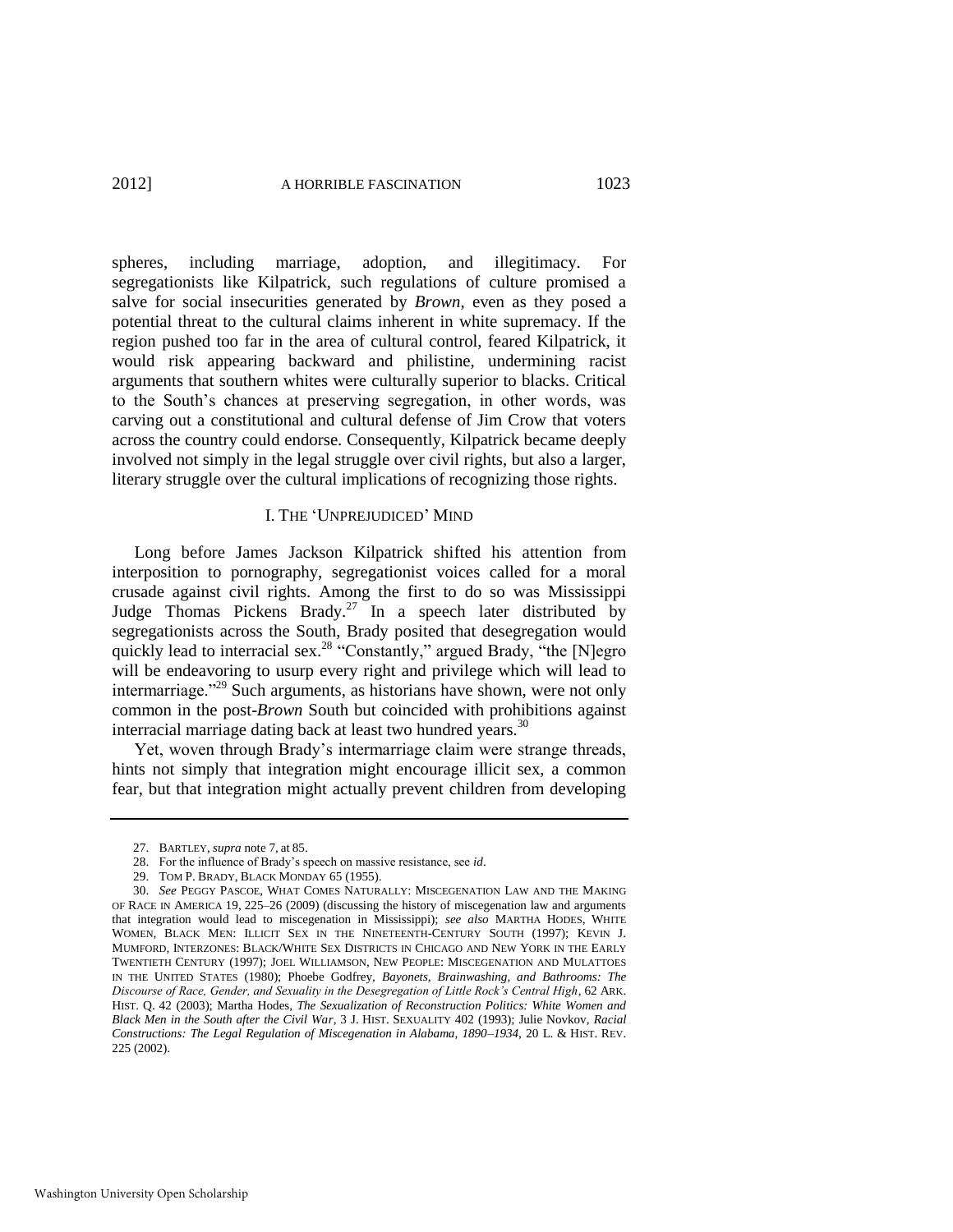spheres, including marriage, adoption, and illegitimacy. For segregationists like Kilpatrick, such regulations of culture promised a salve for social insecurities generated by *Brown*, even as they posed a potential threat to the cultural claims inherent in white supremacy. If the region pushed too far in the area of cultural control, feared Kilpatrick, it would risk appearing backward and philistine, undermining racist arguments that southern whites were culturally superior to blacks. Critical to the South's chances at preserving segregation, in other words, was carving out a constitutional and cultural defense of Jim Crow that voters across the country could endorse. Consequently, Kilpatrick became deeply involved not simply in the legal struggle over civil rights, but also a larger, literary struggle over the cultural implications of recognizing those rights.

#### I. THE ‗UNPREJUDICED' MIND

Long before James Jackson Kilpatrick shifted his attention from interposition to pornography, segregationist voices called for a moral crusade against civil rights. Among the first to do so was Mississippi Judge Thomas Pickens Brady.<sup>27</sup> In a speech later distributed by segregationists across the South, Brady posited that desegregation would quickly lead to interracial sex.<sup>28</sup> "Constantly," argued Brady, "the [N]egro will be endeavoring to usurp every right and privilege which will lead to intermarriage."<sup>29</sup> Such arguments, as historians have shown, were not only common in the post-*Brown* South but coincided with prohibitions against interracial marriage dating back at least two hundred years.<sup>30</sup>

<span id="page-7-0"></span>Yet, woven through Brady's intermarriage claim were strange threads, hints not simply that integration might encourage illicit sex, a common fear, but that integration might actually prevent children from developing

<sup>27.</sup> BARTLEY, *supra* note [7,](#page-2-1) at 85.

<sup>28.</sup> For the influence of Brady's speech on massive resistance, see *id*.

<sup>29.</sup> TOM P. BRADY, BLACK MONDAY 65 (1955).

<sup>30.</sup> *See* PEGGY PASCOE, WHAT COMES NATURALLY: MISCEGENATION LAW AND THE MAKING OF RACE IN AMERICA 19, 225*–*26 (2009) (discussing the history of miscegenation law and arguments that integration would lead to miscegenation in Mississippi); *see also* MARTHA HODES, WHITE WOMEN, BLACK MEN: ILLICIT SEX IN THE NINETEENTH-CENTURY SOUTH (1997); KEVIN J. MUMFORD, INTERZONES: BLACK/WHITE SEX DISTRICTS IN CHICAGO AND NEW YORK IN THE EARLY TWENTIETH CENTURY (1997); JOEL WILLIAMSON, NEW PEOPLE: MISCEGENATION AND MULATTOES IN THE UNITED STATES (1980); Phoebe Godfrey, *Bayonets, Brainwashing, and Bathrooms: The Discourse of Race, Gender, and Sexuality in the Desegregation of Little Rock's Central High*, 62 ARK. HIST. Q. 42 (2003); Martha Hodes, *The Sexualization of Reconstruction Politics: White Women and Black Men in the South after the Civil War*, 3 J. HIST. SEXUALITY 402 (1993); Julie Novkov, *Racial Constructions: The Legal Regulation of Miscegenation in Alabama, 1890–1934*, 20 L. & HIST. REV. 225 (2002).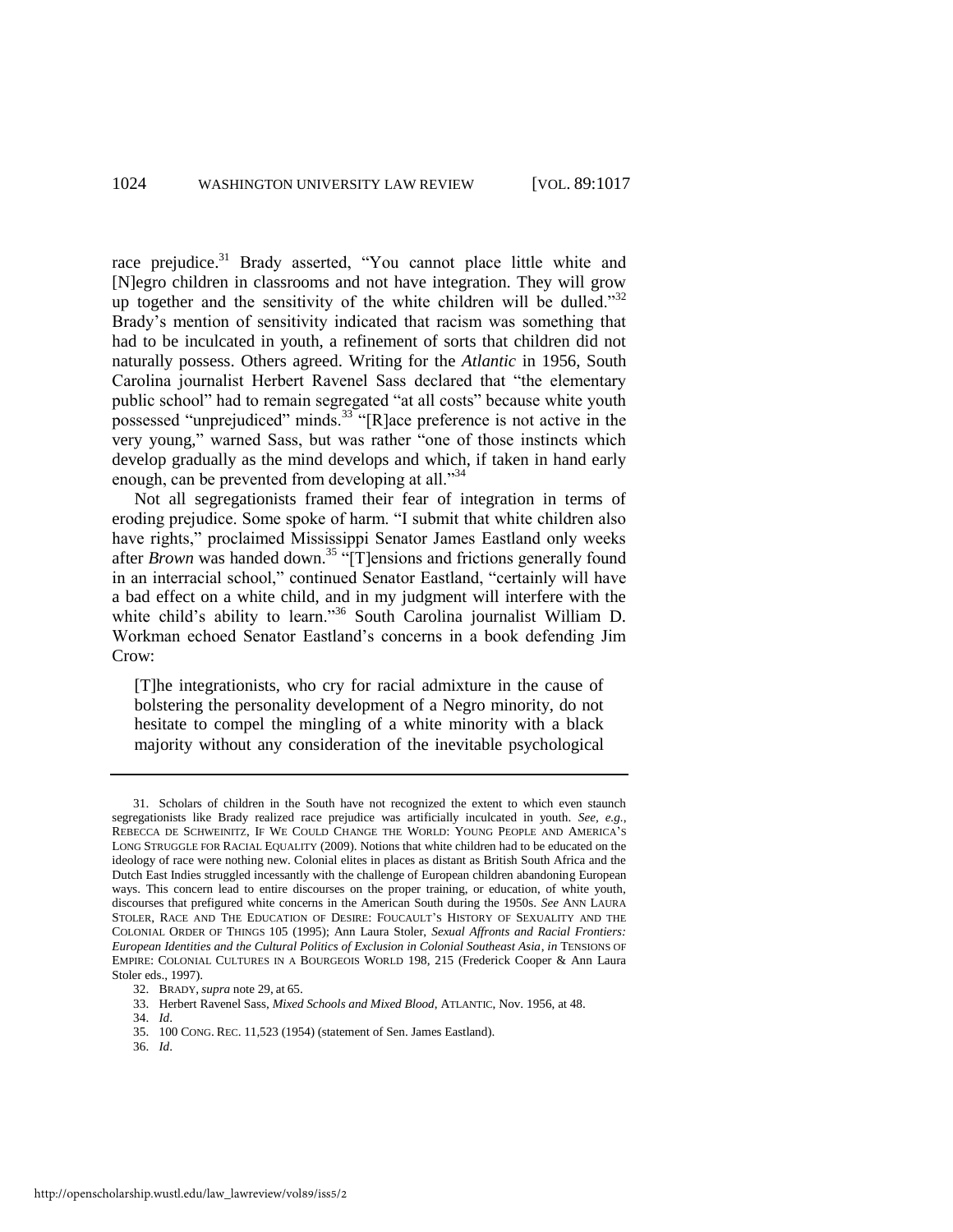race prejudice.<sup>31</sup> Brady asserted, "You cannot place little white and [N]egro children in classrooms and not have integration. They will grow up together and the sensitivity of the white children will be dulled.<sup>332</sup> Brady's mention of sensitivity indicated that racism was something that had to be inculcated in youth, a refinement of sorts that children did not naturally possess. Others agreed. Writing for the *Atlantic* in 1956, South Carolina journalist Herbert Ravenel Sass declared that "the elementary public school" had to remain segregated "at all costs" because white youth possessed "unprejudiced" minds.<sup>33</sup> "[R]ace preference is not active in the very young," warned Sass, but was rather "one of those instincts which develop gradually as the mind develops and which, if taken in hand early enough, can be prevented from developing at all. $34$ 

Not all segregationists framed their fear of integration in terms of eroding prejudice. Some spoke of harm. "I submit that white children also have rights," proclaimed Mississippi Senator James Eastland only weeks after *Brown* was handed down.<sup>35</sup> "[T]ensions and frictions generally found in an interracial school," continued Senator Eastland, "certainly will have a bad effect on a white child, and in my judgment will interfere with the white child's ability to learn."<sup>36</sup> South Carolina journalist William D. Workman echoed Senator Eastland's concerns in a book defending Jim Crow:

[T]he integrationists, who cry for racial admixture in the cause of bolstering the personality development of a Negro minority, do not hesitate to compel the mingling of a white minority with a black majority without any consideration of the inevitable psychological

36. *Id*.

<sup>31.</sup> Scholars of children in the South have not recognized the extent to which even staunch segregationists like Brady realized race prejudice was artificially inculcated in youth. *See, e.g.*, REBECCA DE SCHWEINITZ, IF WE COULD CHANGE THE WORLD: YOUNG PEOPLE AND AMERICA'S LONG STRUGGLE FOR RACIAL EQUALITY (2009). Notions that white children had to be educated on the ideology of race were nothing new. Colonial elites in places as distant as British South Africa and the Dutch East Indies struggled incessantly with the challenge of European children abandoning European ways. This concern lead to entire discourses on the proper training, or education, of white youth, discourses that prefigured white concerns in the American South during the 1950s. *See* ANN LAURA STOLER, RACE AND THE EDUCATION OF DESIRE: FOUCAULT'S HISTORY OF SEXUALITY AND THE COLONIAL ORDER OF THINGS 105 (1995); Ann Laura Stoler, *Sexual Affronts and Racial Frontiers: European Identities and the Cultural Politics of Exclusion in Colonial Southeast Asia*, *in* TENSIONS OF EMPIRE: COLONIAL CULTURES IN A BOURGEOIS WORLD 198, 215 (Frederick Cooper & Ann Laura Stoler eds., 1997).

<sup>32.</sup> BRADY, *supra* not[e 29,](#page-7-0) at 65.

<sup>33.</sup> Herbert Ravenel Sass, *Mixed Schools and Mixed Blood*, ATLANTIC, Nov. 1956, at 48.

<sup>34.</sup> *Id*.

<sup>35. 100</sup> CONG. REC. 11,523 (1954) (statement of Sen. James Eastland).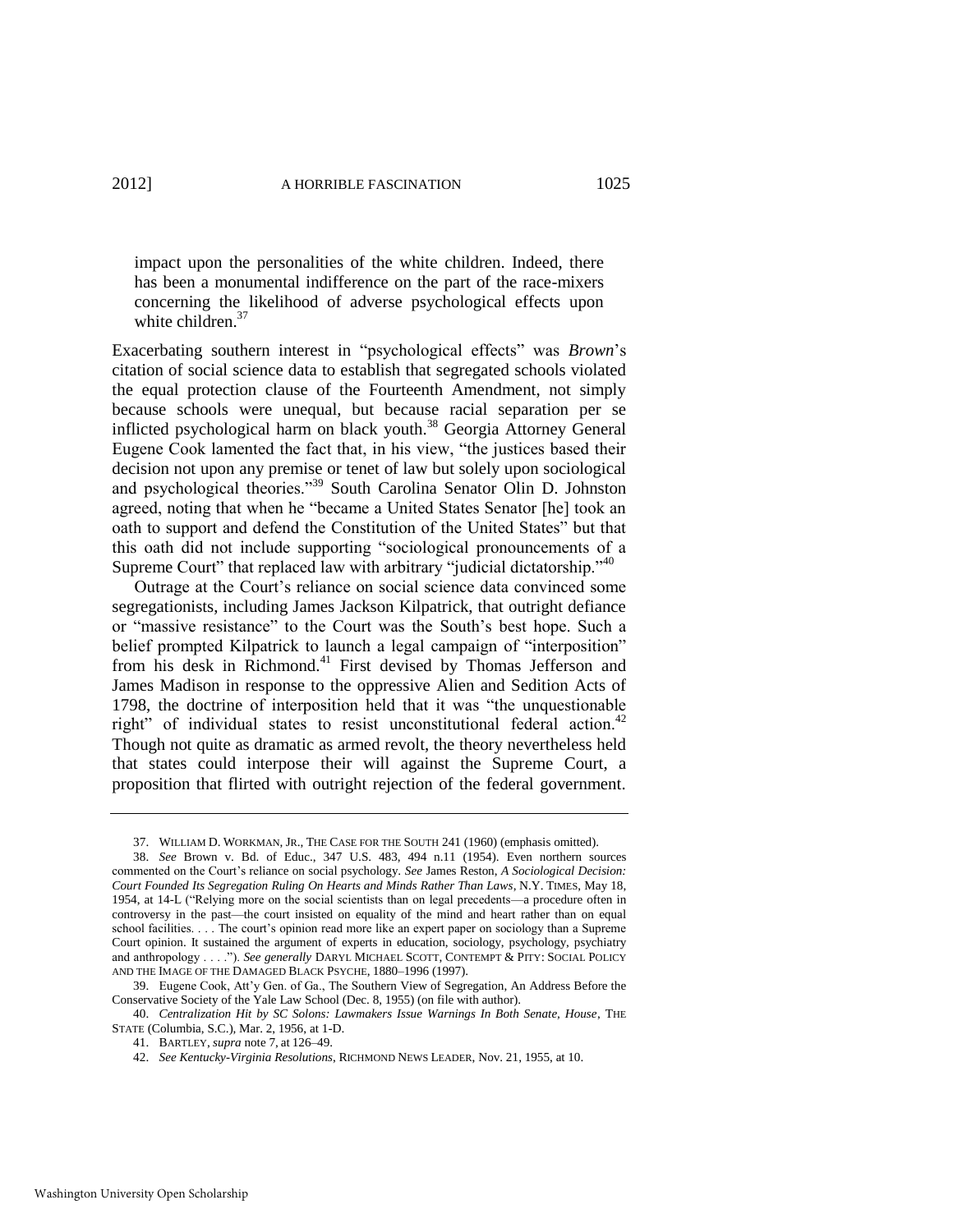impact upon the personalities of the white children. Indeed, there has been a monumental indifference on the part of the race-mixers concerning the likelihood of adverse psychological effects upon white children.<sup>37</sup>

Exacerbating southern interest in "psychological effects" was *Brown*'s citation of social science data to establish that segregated schools violated the equal protection clause of the Fourteenth Amendment, not simply because schools were unequal, but because racial separation per se inflicted psychological harm on black youth.<sup>38</sup> Georgia Attorney General Eugene Cook lamented the fact that, in his view, "the justices based their decision not upon any premise or tenet of law but solely upon sociological and psychological theories."<sup>39</sup> South Carolina Senator Olin D. Johnston agreed, noting that when he "became a United States Senator [he] took an oath to support and defend the Constitution of the United States" but that this oath did not include supporting "sociological pronouncements of a Supreme Court" that replaced law with arbitrary "judicial dictatorship." $40$ 

Outrage at the Court's reliance on social science data convinced some segregationists, including James Jackson Kilpatrick, that outright defiance or "massive resistance" to the Court was the South's best hope. Such a belief prompted Kilpatrick to launch a legal campaign of "interposition" from his desk in Richmond.<sup>41</sup> First devised by Thomas Jefferson and James Madison in response to the oppressive Alien and Sedition Acts of 1798, the doctrine of interposition held that it was "the unquestionable right" of individual states to resist unconstitutional federal action.<sup>42</sup> Though not quite as dramatic as armed revolt, the theory nevertheless held that states could interpose their will against the Supreme Court, a proposition that flirted with outright rejection of the federal government.

<sup>37.</sup> WILLIAM D. WORKMAN, JR., THE CASE FOR THE SOUTH 241 (1960) (emphasis omitted).

<sup>38.</sup> *See* Brown v. Bd. of Educ., 347 U.S. 483, 494 n.11 (1954). Even northern sources commented on the Court's reliance on social psychology. *See* James Reston, *A Sociological Decision: Court Founded Its Segregation Ruling On Hearts and Minds Rather Than Laws*, N.Y. TIMES, May 18, 1954, at 14-L ("Relying more on the social scientists than on legal precedents—a procedure often in controversy in the past—the court insisted on equality of the mind and heart rather than on equal school facilities. . . . The court's opinion read more like an expert paper on sociology than a Supreme Court opinion. It sustained the argument of experts in education, sociology, psychology, psychiatry and anthropology . . . .<sup>"</sup>). *See generally* DARYL MICHAEL SCOTT, CONTEMPT & PITY: SOCIAL POLICY AND THE IMAGE OF THE DAMAGED BLACK PSYCHE, 1880*–*1996 (1997).

<sup>39.</sup> Eugene Cook, Att'y Gen. of Ga., The Southern View of Segregation, An Address Before the Conservative Society of the Yale Law School (Dec. 8, 1955) (on file with author).

<sup>40.</sup> *Centralization Hit by SC Solons: Lawmakers Issue Warnings In Both Senate, House*, THE STATE (Columbia, S.C.), Mar. 2, 1956, at 1-D.

<sup>41.</sup> BARTLEY, *supra* note [7,](#page-2-1) at 126*–*49.

<sup>42.</sup> *See Kentucky-Virginia Resolutions*, RICHMOND NEWS LEADER, Nov. 21, 1955, at 10.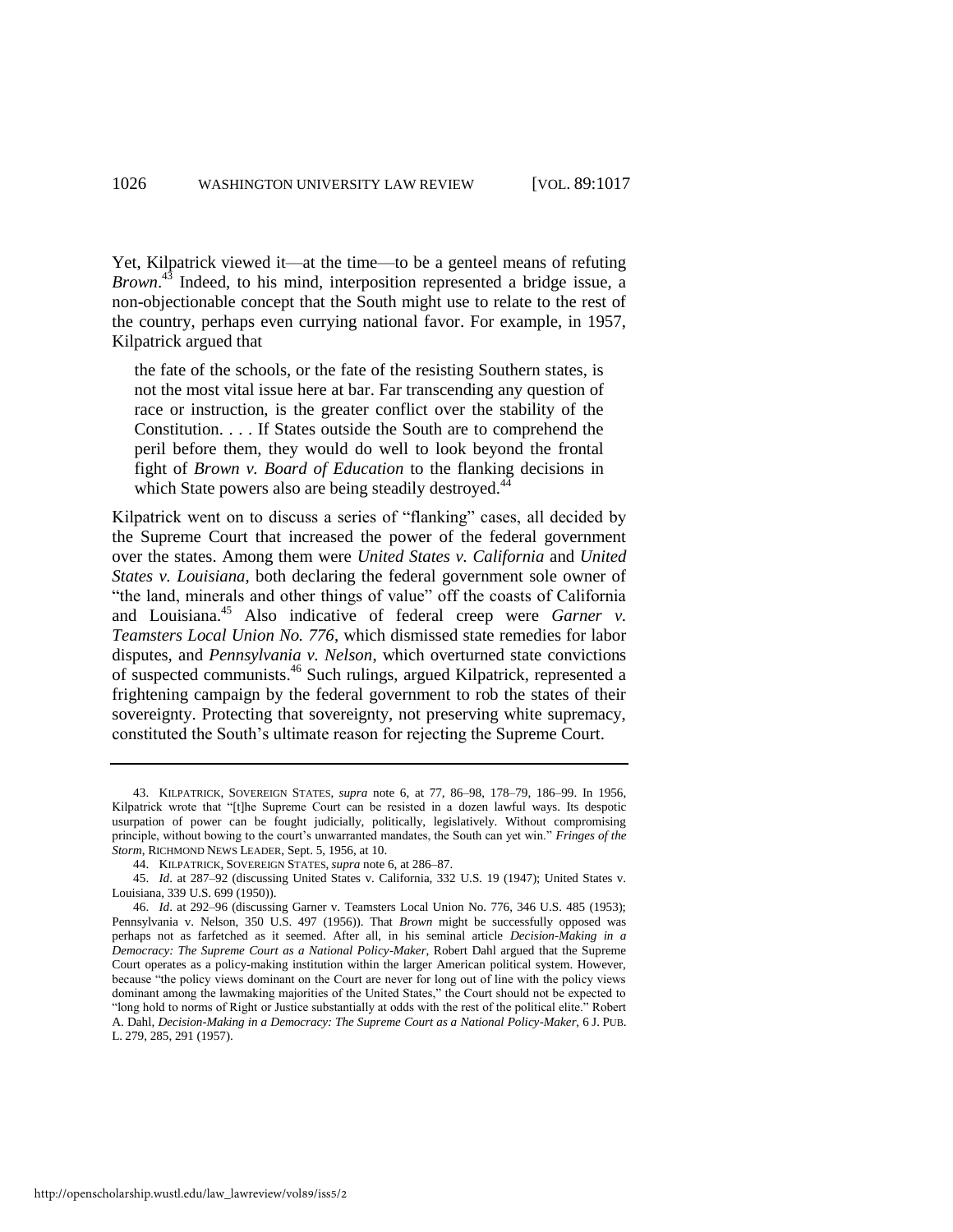Yet, Kilpatrick viewed it—at the time—to be a genteel means of refuting *Brown*. <sup>43</sup> Indeed, to his mind, interposition represented a bridge issue, a non-objectionable concept that the South might use to relate to the rest of the country, perhaps even currying national favor. For example, in 1957, Kilpatrick argued that

the fate of the schools, or the fate of the resisting Southern states, is not the most vital issue here at bar. Far transcending any question of race or instruction, is the greater conflict over the stability of the Constitution. . . . If States outside the South are to comprehend the peril before them, they would do well to look beyond the frontal fight of *Brown v. Board of Education* to the flanking decisions in which State powers also are being steadily destroyed.<sup>44</sup>

Kilpatrick went on to discuss a series of "flanking" cases, all decided by the Supreme Court that increased the power of the federal government over the states. Among them were *United States v. California* and *United States v. Louisiana*, both declaring the federal government sole owner of "the land, minerals and other things of value" off the coasts of California and Louisiana.<sup>45</sup> Also indicative of federal creep were *Garner v*. *Teamsters Local Union No. 776*, which dismissed state remedies for labor disputes, and *Pennsylvania v. Nelson*, which overturned state convictions of suspected communists.<sup>46</sup> Such rulings, argued Kilpatrick, represented a frightening campaign by the federal government to rob the states of their sovereignty. Protecting that sovereignty, not preserving white supremacy, constituted the South's ultimate reason for rejecting the Supreme Court.

44. KILPATRICK, SOVEREIGN STATES, *supra* not[e 6,](#page-2-3) at 286*–*87.

<sup>43.</sup> KILPATRICK, SOVEREIGN STATES, *supra* note [6,](#page-2-3) at 77, 86*–*98, 178*–*79, 186*–*99. In 1956, Kilpatrick wrote that "[t]he Supreme Court can be resisted in a dozen lawful ways. Its despotic usurpation of power can be fought judicially, politically, legislatively. Without compromising principle, without bowing to the court's unwarranted mandates, the South can yet win." *Fringes of the Storm*, RICHMOND NEWS LEADER, Sept. 5, 1956, at 10.

<sup>45.</sup> *Id*. at 287–92 (discussing United States v. California, 332 U.S. 19 (1947); United States v. Louisiana, 339 U.S. 699 (1950)).

<sup>46.</sup> *Id*. at 292–96 (discussing Garner v. Teamsters Local Union No. 776, 346 U.S. 485 (1953); Pennsylvania v. Nelson, 350 U.S. 497 (1956)). That *Brown* might be successfully opposed was perhaps not as farfetched as it seemed. After all, in his seminal article *Decision-Making in a Democracy: The Supreme Court as a National Policy-Maker*, Robert Dahl argued that the Supreme Court operates as a policy-making institution within the larger American political system. However, because "the policy views dominant on the Court are never for long out of line with the policy views dominant among the lawmaking majorities of the United States," the Court should not be expected to "long hold to norms of Right or Justice substantially at odds with the rest of the political elite." Robert A. Dahl, *Decision-Making in a Democracy: The Supreme Court as a National Policy-Maker*, 6 J. PUB. L. 279, 285, 291 (1957).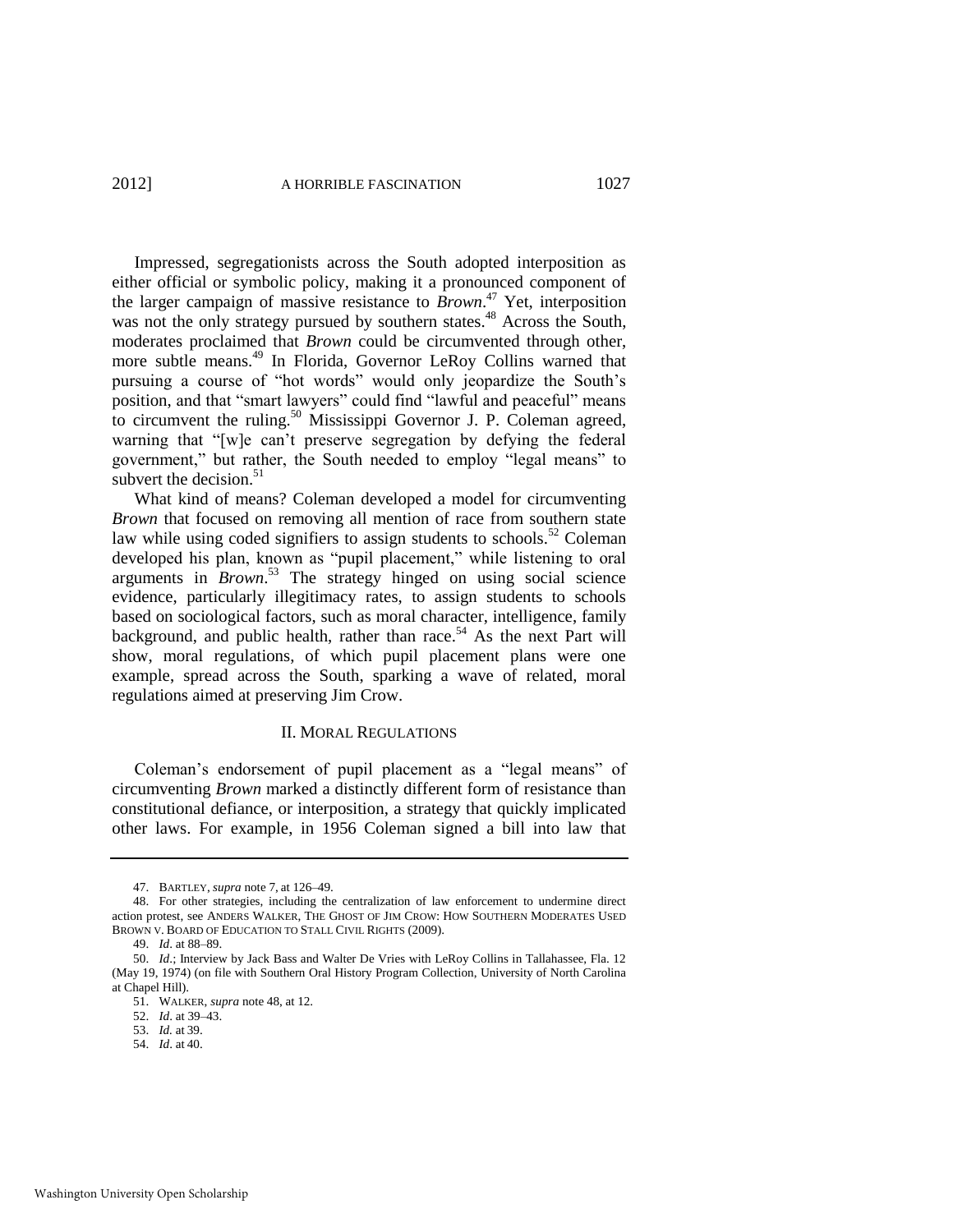<span id="page-11-0"></span>

Impressed, segregationists across the South adopted interposition as either official or symbolic policy, making it a pronounced component of the larger campaign of massive resistance to *Brown*. <sup>47</sup> Yet, interposition was not the only strategy pursued by southern states.<sup>48</sup> Across the South, moderates proclaimed that *Brown* could be circumvented through other, more subtle means.<sup>49</sup> In Florida, Governor LeRoy Collins warned that pursuing a course of "hot words" would only jeopardize the South's position, and that "smart lawyers" could find "lawful and peaceful" means to circumvent the ruling.<sup>50</sup> Mississippi Governor J. P. Coleman agreed, warning that "[w]e can't preserve segregation by defying the federal government," but rather, the South needed to employ "legal means" to subvert the decision.<sup>51</sup>

What kind of means? Coleman developed a model for circumventing *Brown* that focused on removing all mention of race from southern state law while using coded signifiers to assign students to schools.<sup>52</sup> Coleman developed his plan, known as "pupil placement," while listening to oral arguments in *Brown*. <sup>53</sup> The strategy hinged on using social science evidence, particularly illegitimacy rates, to assign students to schools based on sociological factors, such as moral character, intelligence, family background, and public health, rather than race.<sup>54</sup> As the next Part will show, moral regulations, of which pupil placement plans were one example, spread across the South, sparking a wave of related, moral regulations aimed at preserving Jim Crow.

#### II. MORAL REGULATIONS

Coleman's endorsement of pupil placement as a "legal means" of circumventing *Brown* marked a distinctly different form of resistance than constitutional defiance, or interposition, a strategy that quickly implicated other laws. For example, in 1956 Coleman signed a bill into law that

<sup>47.</sup> BARTLEY, *supra* note [7,](#page-2-1) at 126–49.

<sup>48.</sup> For other strategies, including the centralization of law enforcement to undermine direct action protest, see ANDERS WALKER, THE GHOST OF JIM CROW: HOW SOUTHERN MODERATES USED BROWN V. BOARD OF EDUCATION TO STALL CIVIL RIGHTS (2009).

<sup>49.</sup> *Id*. at 88*–*89.

<sup>50.</sup> *Id*.; Interview by Jack Bass and Walter De Vries with LeRoy Collins in Tallahassee, Fla. 12 (May 19, 1974) (on file with Southern Oral History Program Collection, University of North Carolina at Chapel Hill).

<sup>51.</sup> WALKER, *supra* not[e 48,](#page-11-0) at 12.

<sup>52.</sup> *Id*. at 39–43.

<sup>53.</sup> *Id.* at 39.

<sup>54.</sup> *Id*. at 40.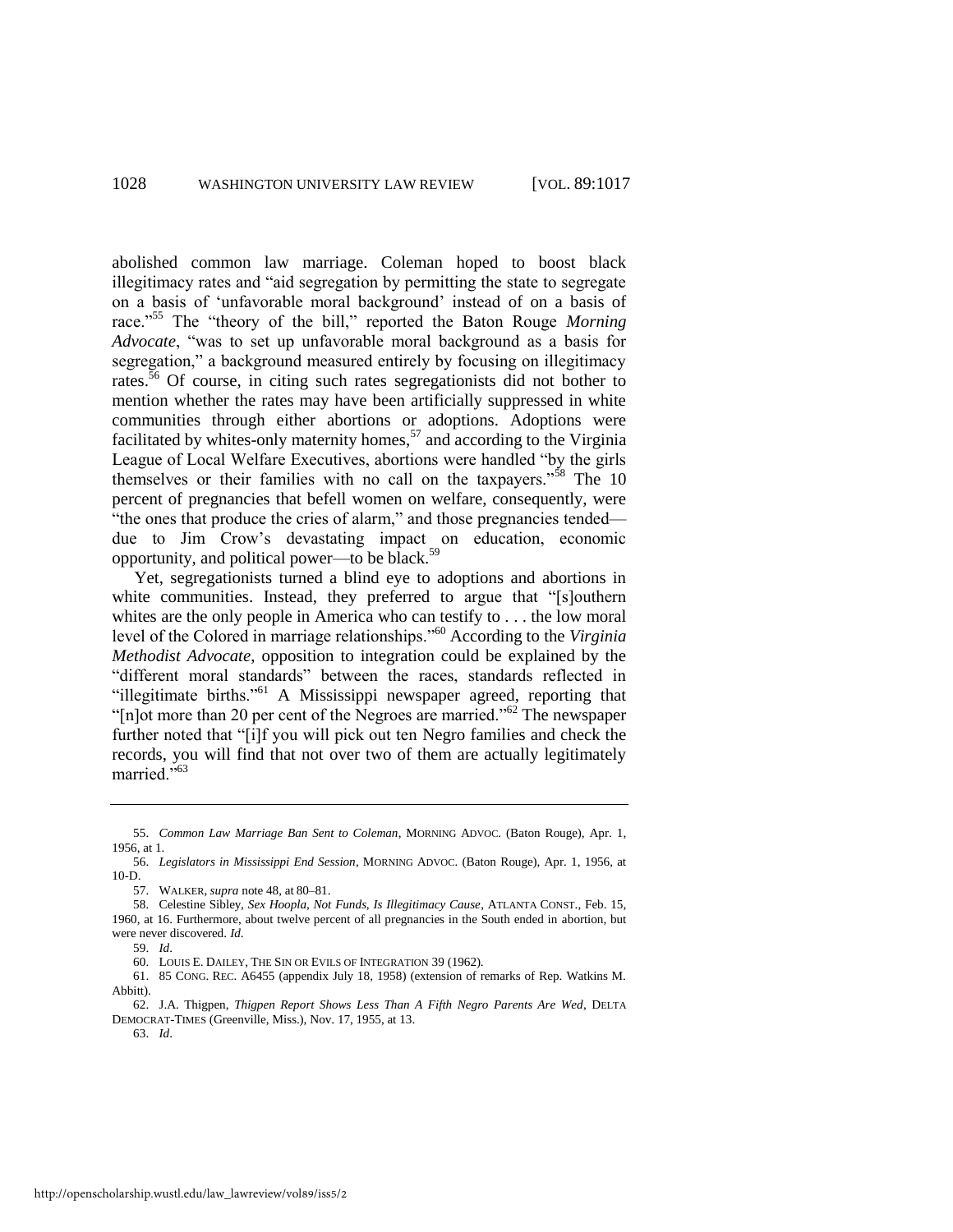abolished common law marriage. Coleman hoped to boost black illegitimacy rates and "aid segregation by permitting the state to segregate on a basis of ‗unfavorable moral background' instead of on a basis of race."<sup>55</sup> The "theory of the bill," reported the Baton Rouge *Morning* Advocate, "was to set up unfavorable moral background as a basis for segregation," a background measured entirely by focusing on illegitimacy rates.<sup>56</sup> Of course, in citing such rates segregationists did not bother to mention whether the rates may have been artificially suppressed in white communities through either abortions or adoptions. Adoptions were facilitated by whites-only maternity homes,<sup>57</sup> and according to the Virginia League of Local Welfare Executives, abortions were handled "by the girls themselves or their families with no call on the taxpayers."<sup>58</sup> The 10 percent of pregnancies that befell women on welfare, consequently, were "the ones that produce the cries of alarm," and those pregnancies tended due to Jim Crow's devastating impact on education, economic opportunity, and political power—to be black.<sup>59</sup>

Yet, segregationists turned a blind eye to adoptions and abortions in white communities. Instead, they preferred to argue that "[s]outhern whites are the only people in America who can testify to . . . the low moral level of the Colored in marriage relationships."<sup>60</sup> According to the *Virginia Methodist Advocate*, opposition to integration could be explained by the "different moral standards" between the races, standards reflected in "illegitimate births."<sup>61</sup> A Mississippi newspaper agreed, reporting that " $[n]$ ot more than 20 per cent of the Negroes are married."<sup>62</sup> The newspaper further noted that "[i]f you will pick out ten Negro families and check the records, you will find that not over two of them are actually legitimately married."<sup>63</sup>

<sup>55.</sup> *Common Law Marriage Ban Sent to Coleman*, MORNING ADVOC. (Baton Rouge), Apr. 1, 1956, at 1.

<sup>56.</sup> *Legislators in Mississippi End Session*, MORNING ADVOC. (Baton Rouge), Apr. 1, 1956, at 10-D.

<sup>57.</sup> WALKER, *supra* not[e 48,](#page-11-0) at 80*–*81.

<sup>58.</sup> Celestine Sibley, *Sex Hoopla, Not Funds, Is Illegitimacy Cause*, ATLANTA CONST., Feb. 15, 1960, at 16. Furthermore, about twelve percent of all pregnancies in the South ended in abortion, but were never discovered. *Id*.

<sup>59.</sup> *Id*.

<sup>60.</sup> LOUIS E. DAILEY, THE SIN OR EVILS OF INTEGRATION 39 (1962).

<sup>61. 85</sup> CONG. REC. A6455 (appendix July 18, 1958) (extension of remarks of Rep. Watkins M. Abbitt).

<sup>62.</sup> J.A. Thigpen, *Thigpen Report Shows Less Than A Fifth Negro Parents Are Wed*, DELTA DEMOCRAT-TIMES (Greenville, Miss.), Nov. 17, 1955, at 13.

<sup>63.</sup> *Id*.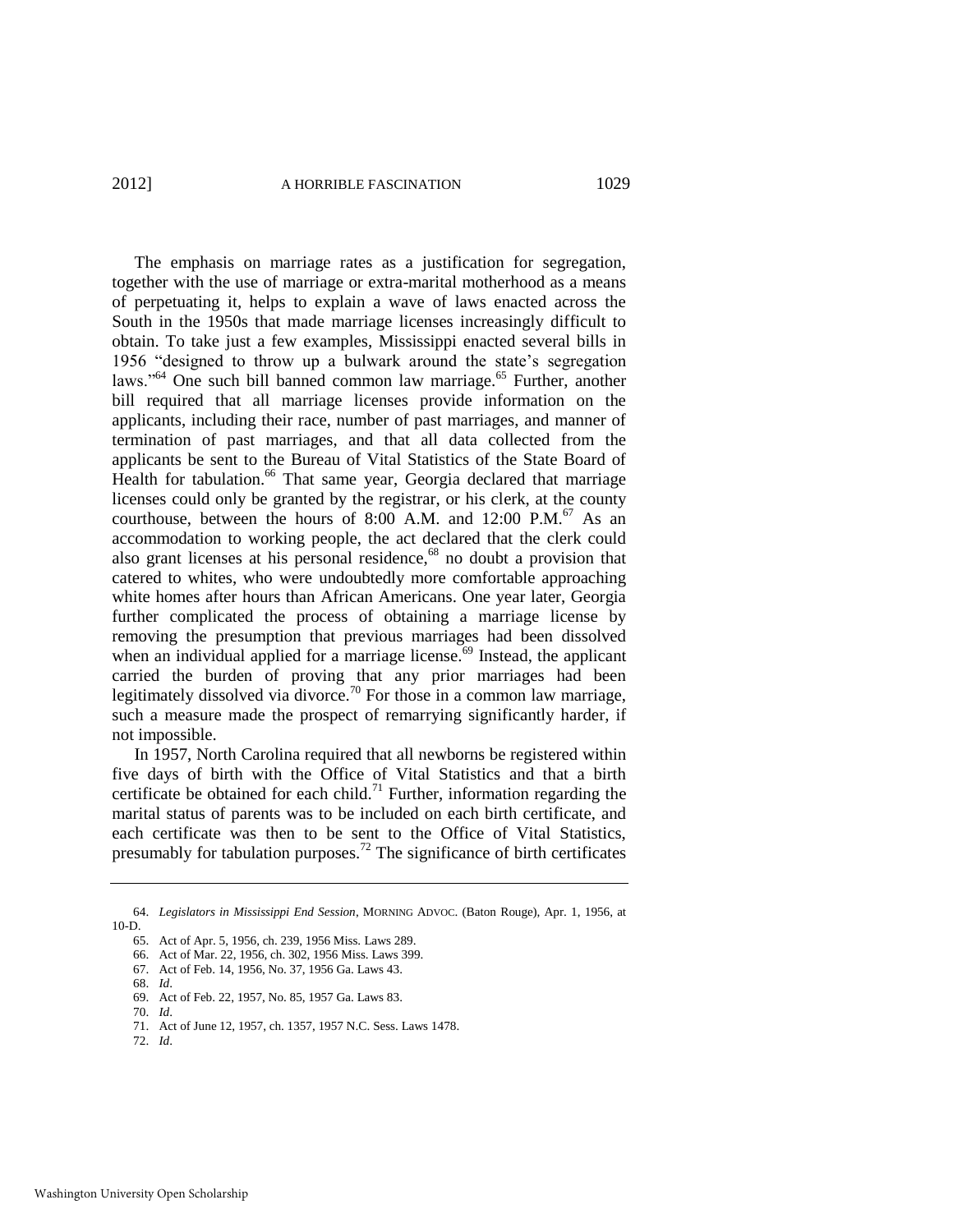The emphasis on marriage rates as a justification for segregation, together with the use of marriage or extra-marital motherhood as a means of perpetuating it, helps to explain a wave of laws enacted across the South in the 1950s that made marriage licenses increasingly difficult to obtain. To take just a few examples, Mississippi enacted several bills in 1956 "designed to throw up a bulwark around the state's segregation laws."<sup>64</sup> One such bill banned common law marriage.<sup>65</sup> Further, another bill required that all marriage licenses provide information on the applicants, including their race, number of past marriages, and manner of termination of past marriages, and that all data collected from the applicants be sent to the Bureau of Vital Statistics of the State Board of Health for tabulation.<sup>66</sup> That same year, Georgia declared that marriage licenses could only be granted by the registrar, or his clerk, at the county courthouse, between the hours of 8:00 A.M. and 12:00 P.M. $^{67}$  As an accommodation to working people, the act declared that the clerk could also grant licenses at his personal residence, $68$  no doubt a provision that catered to whites, who were undoubtedly more comfortable approaching white homes after hours than African Americans. One year later, Georgia further complicated the process of obtaining a marriage license by removing the presumption that previous marriages had been dissolved when an individual applied for a marriage license.<sup> $69$ </sup> Instead, the applicant carried the burden of proving that any prior marriages had been legitimately dissolved via divorce.<sup>70</sup> For those in a common law marriage, such a measure made the prospect of remarrying significantly harder, if not impossible.

In 1957, North Carolina required that all newborns be registered within five days of birth with the Office of Vital Statistics and that a birth certificate be obtained for each child.<sup>71</sup> Further, information regarding the marital status of parents was to be included on each birth certificate, and each certificate was then to be sent to the Office of Vital Statistics, presumably for tabulation purposes.<sup>72</sup> The significance of birth certificates

70. *Id*.

72. *Id*.

<sup>64.</sup> *Legislators in Mississippi End Session*, MORNING ADVOC. (Baton Rouge), Apr. 1, 1956, at 10-D.

<sup>65.</sup> Act of Apr. 5, 1956, ch. 239, 1956 Miss. Laws 289.

<sup>66.</sup> Act of Mar. 22, 1956, ch. 302, 1956 Miss. Laws 399.

<sup>67.</sup> Act of Feb. 14, 1956, No. 37, 1956 Ga. Laws 43.

<sup>68.</sup> *Id*.

<sup>69.</sup> Act of Feb. 22, 1957, No. 85, 1957 Ga. Laws 83.

<sup>71.</sup> Act of June 12, 1957, ch. 1357, 1957 N.C. Sess. Laws 1478.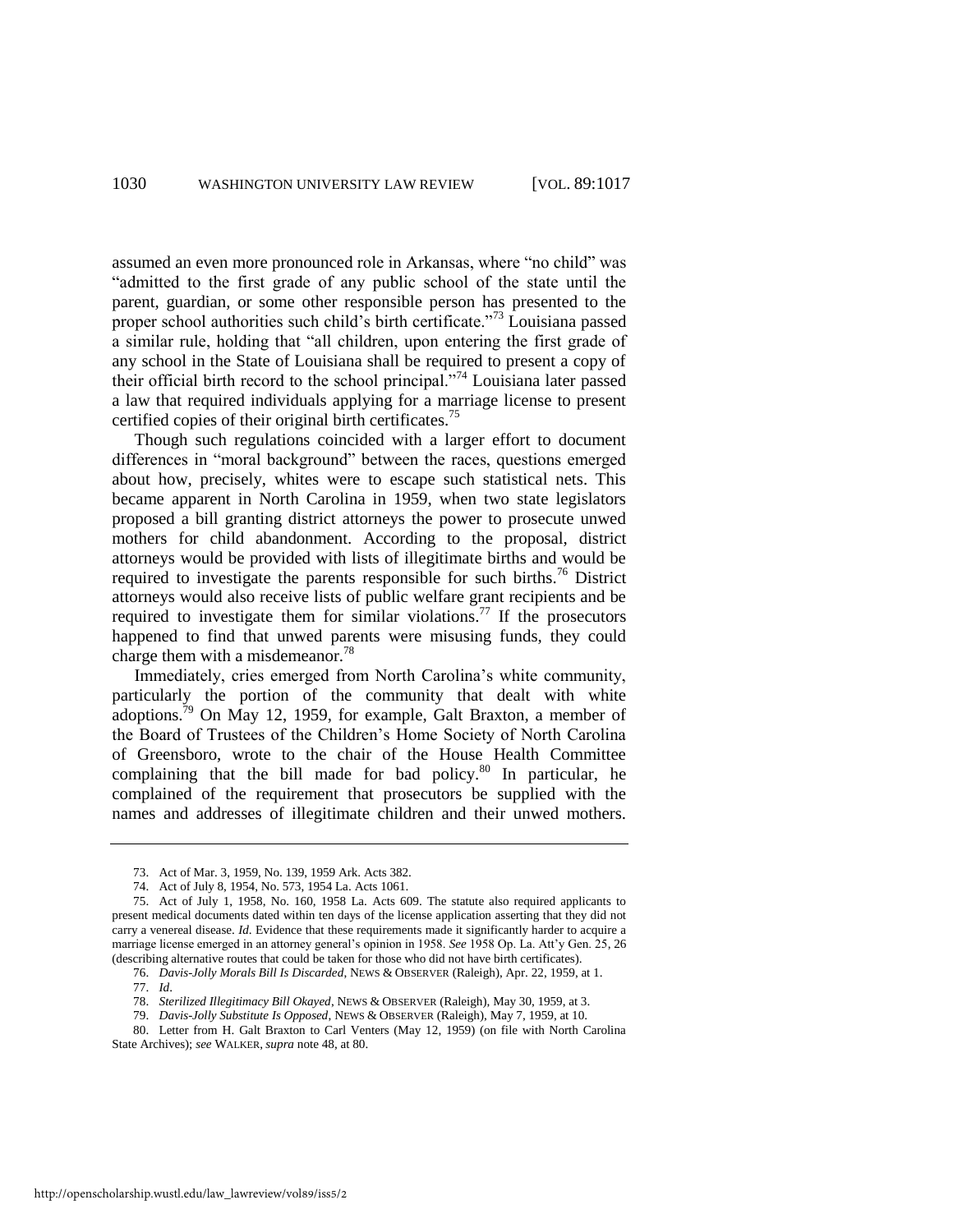assumed an even more pronounced role in Arkansas, where "no child" was "admitted to the first grade of any public school of the state until the parent, guardian, or some other responsible person has presented to the proper school authorities such child's birth certificate.<sup> $73$ </sup> Louisiana passed a similar rule, holding that "all children, upon entering the first grade of any school in the State of Louisiana shall be required to present a copy of their official birth record to the school principal. $1^{774}$  Louisiana later passed a law that required individuals applying for a marriage license to present certified copies of their original birth certificates.<sup>75</sup>

Though such regulations coincided with a larger effort to document differences in "moral background" between the races, questions emerged about how, precisely, whites were to escape such statistical nets. This became apparent in North Carolina in 1959, when two state legislators proposed a bill granting district attorneys the power to prosecute unwed mothers for child abandonment. According to the proposal, district attorneys would be provided with lists of illegitimate births and would be required to investigate the parents responsible for such births.<sup>76</sup> District attorneys would also receive lists of public welfare grant recipients and be required to investigate them for similar violations.<sup>77</sup> If the prosecutors happened to find that unwed parents were misusing funds, they could charge them with a misdemeanor.<sup>78</sup>

Immediately, cries emerged from North Carolina's white community, particularly the portion of the community that dealt with white adoptions.<sup>79</sup> On May 12, 1959, for example, Galt Braxton, a member of the Board of Trustees of the Children's Home Society of North Carolina of Greensboro, wrote to the chair of the House Health Committee complaining that the bill made for bad policy.<sup>80</sup> In particular, he complained of the requirement that prosecutors be supplied with the names and addresses of illegitimate children and their unwed mothers.

76. *Davis-Jolly Morals Bill Is Discarded*, NEWS & OBSERVER (Raleigh), Apr. 22, 1959, at 1.

80. Letter from H. Galt Braxton to Carl Venters (May 12, 1959) (on file with North Carolina State Archives); *see* WALKER, *supra* note [48,](#page-11-0) at 80.

<sup>73.</sup> Act of Mar. 3, 1959, No. 139, 1959 Ark. Acts 382.

<sup>74.</sup> Act of July 8, 1954, No. 573, 1954 La. Acts 1061.

<sup>75.</sup> Act of July 1, 1958, No. 160, 1958 La. Acts 609. The statute also required applicants to present medical documents dated within ten days of the license application asserting that they did not carry a venereal disease. *Id*. Evidence that these requirements made it significantly harder to acquire a marriage license emerged in an attorney general's opinion in 1958. *See* 1958 Op. La. Att'y Gen. 25, 26 (describing alternative routes that could be taken for those who did not have birth certificates).

<sup>77.</sup> *Id*.

<sup>78.</sup> *Sterilized Illegitimacy Bill Okayed*, NEWS & OBSERVER (Raleigh), May 30, 1959, at 3.

<sup>79.</sup> *Davis-Jolly Substitute Is Opposed*, NEWS & OBSERVER (Raleigh), May 7, 1959, at 10.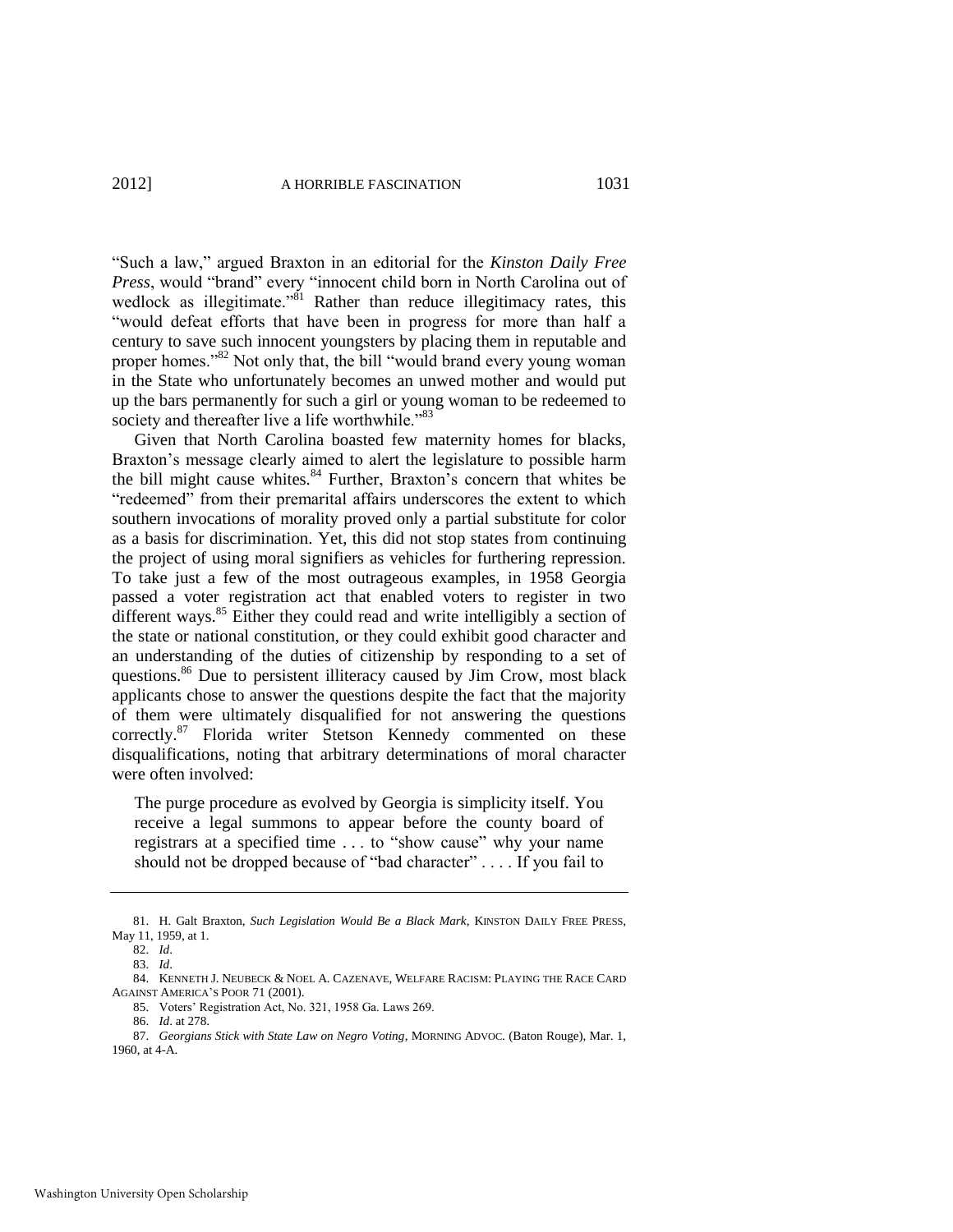―Such a law,‖ argued Braxton in an editorial for the *Kinston Daily Free*  Press, would "brand" every "innocent child born in North Carolina out of wedlock as illegitimate.<sup>981</sup> Rather than reduce illegitimacy rates, this ―would defeat efforts that have been in progress for more than half a century to save such innocent youngsters by placing them in reputable and proper homes."<sup>82</sup> Not only that, the bill "would brand every young woman in the State who unfortunately becomes an unwed mother and would put up the bars permanently for such a girl or young woman to be redeemed to society and thereafter live a life worthwhile."<sup>83</sup>

<span id="page-15-0"></span>Given that North Carolina boasted few maternity homes for blacks, Braxton's message clearly aimed to alert the legislature to possible harm the bill might cause whites.<sup>84</sup> Further, Braxton's concern that whites be "redeemed" from their premarital affairs underscores the extent to which southern invocations of morality proved only a partial substitute for color as a basis for discrimination. Yet, this did not stop states from continuing the project of using moral signifiers as vehicles for furthering repression. To take just a few of the most outrageous examples, in 1958 Georgia passed a voter registration act that enabled voters to register in two different ways.<sup>85</sup> Either they could read and write intelligibly a section of the state or national constitution, or they could exhibit good character and an understanding of the duties of citizenship by responding to a set of questions.<sup>86</sup> Due to persistent illiteracy caused by Jim Crow, most black applicants chose to answer the questions despite the fact that the majority of them were ultimately disqualified for not answering the questions correctly.<sup>87</sup> Florida writer Stetson Kennedy commented on these disqualifications, noting that arbitrary determinations of moral character were often involved:

The purge procedure as evolved by Georgia is simplicity itself. You receive a legal summons to appear before the county board of registrars at a specified time ... to "show cause" why your name should not be dropped because of "bad character" ... . If you fail to

<sup>81.</sup> H. Galt Braxton, *Such Legislation Would Be a Black Mark*, KINSTON DAILY FREE PRESS, May 11, 1959, at 1.

<sup>82.</sup> *Id*.

<sup>83.</sup> *Id*.

<sup>84.</sup> KENNETH J. NEUBECK & NOEL A. CAZENAVE, WELFARE RACISM: PLAYING THE RACE CARD AGAINST AMERICA'S POOR 71 (2001).

<sup>85.</sup> Voters' Registration Act, No. 321, 1958 Ga. Laws 269.

<sup>86.</sup> *Id*. at 278.

<sup>87.</sup> *Georgians Stick with State Law on Negro Voting*, MORNING ADVOC. (Baton Rouge), Mar. 1, 1960, at 4-A.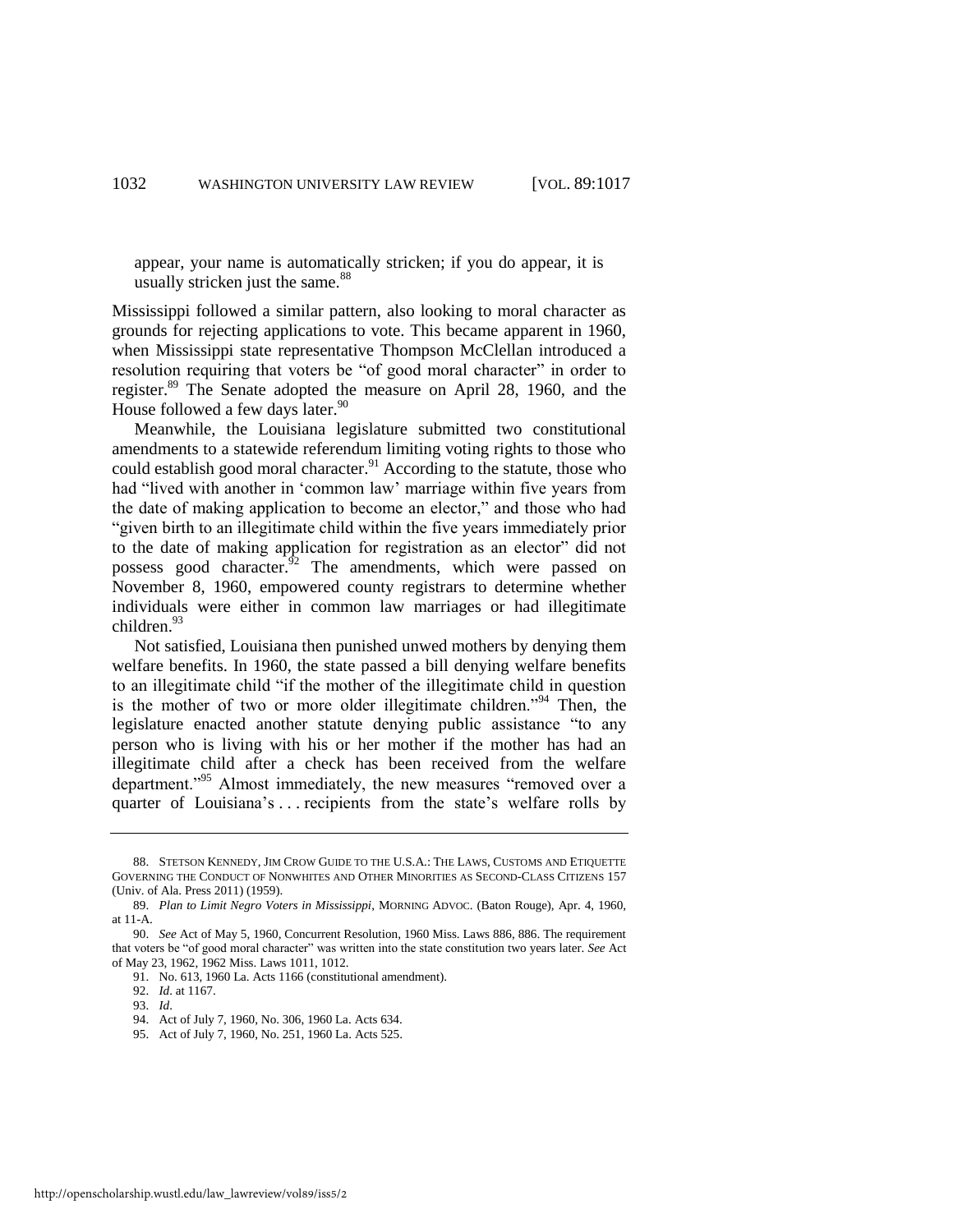appear, your name is automatically stricken; if you do appear, it is usually stricken just the same.<sup>88</sup>

Mississippi followed a similar pattern, also looking to moral character as grounds for rejecting applications to vote. This became apparent in 1960, when Mississippi state representative Thompson McClellan introduced a resolution requiring that voters be "of good moral character" in order to register.<sup>89</sup> The Senate adopted the measure on April 28, 1960, and the House followed a few days later.<sup>90</sup>

Meanwhile, the Louisiana legislature submitted two constitutional amendments to a statewide referendum limiting voting rights to those who could establish good moral character.<sup>91</sup> According to the statute, those who had "lived with another in 'common law' marriage within five years from the date of making application to become an elector," and those who had ―given birth to an illegitimate child within the five years immediately prior to the date of making application for registration as an elector" did not possess good character.<sup>42</sup> The amendments, which were passed on November 8, 1960, empowered county registrars to determine whether individuals were either in common law marriages or had illegitimate children.<sup>93</sup>

Not satisfied, Louisiana then punished unwed mothers by denying them welfare benefits. In 1960, the state passed a bill denying welfare benefits to an illegitimate child "if the mother of the illegitimate child in question is the mother of two or more older illegitimate children."<sup>94</sup> Then, the legislature enacted another statute denying public assistance "to any person who is living with his or her mother if the mother has had an illegitimate child after a check has been received from the welfare department.<sup>995</sup> Almost immediately, the new measures "removed over a quarter of Louisiana's . . . recipients from the state's welfare rolls by

<sup>88.</sup> STETSON KENNEDY, JIM CROW GUIDE TO THE U.S.A.: THE LAWS, CUSTOMS AND ETIQUETTE GOVERNING THE CONDUCT OF NONWHITES AND OTHER MINORITIES AS SECOND-CLASS CITIZENS 157 (Univ. of Ala. Press 2011) (1959).

<sup>89.</sup> *Plan to Limit Negro Voters in Mississippi*, MORNING ADVOC. (Baton Rouge), Apr. 4, 1960, at 11-A.

<sup>90.</sup> *See* Act of May 5, 1960, Concurrent Resolution, 1960 Miss. Laws 886, 886. The requirement that voters be "of good moral character" was written into the state constitution two years later. See Act of May 23, 1962, 1962 Miss. Laws 1011, 1012.

<sup>91.</sup> No. 613, 1960 La. Acts 1166 (constitutional amendment).

<sup>92.</sup> *Id*. at 1167.

<sup>93.</sup> *Id*.

<sup>94.</sup> Act of July 7, 1960, No. 306, 1960 La. Acts 634.

<sup>95.</sup> Act of July 7, 1960, No. 251, 1960 La. Acts 525.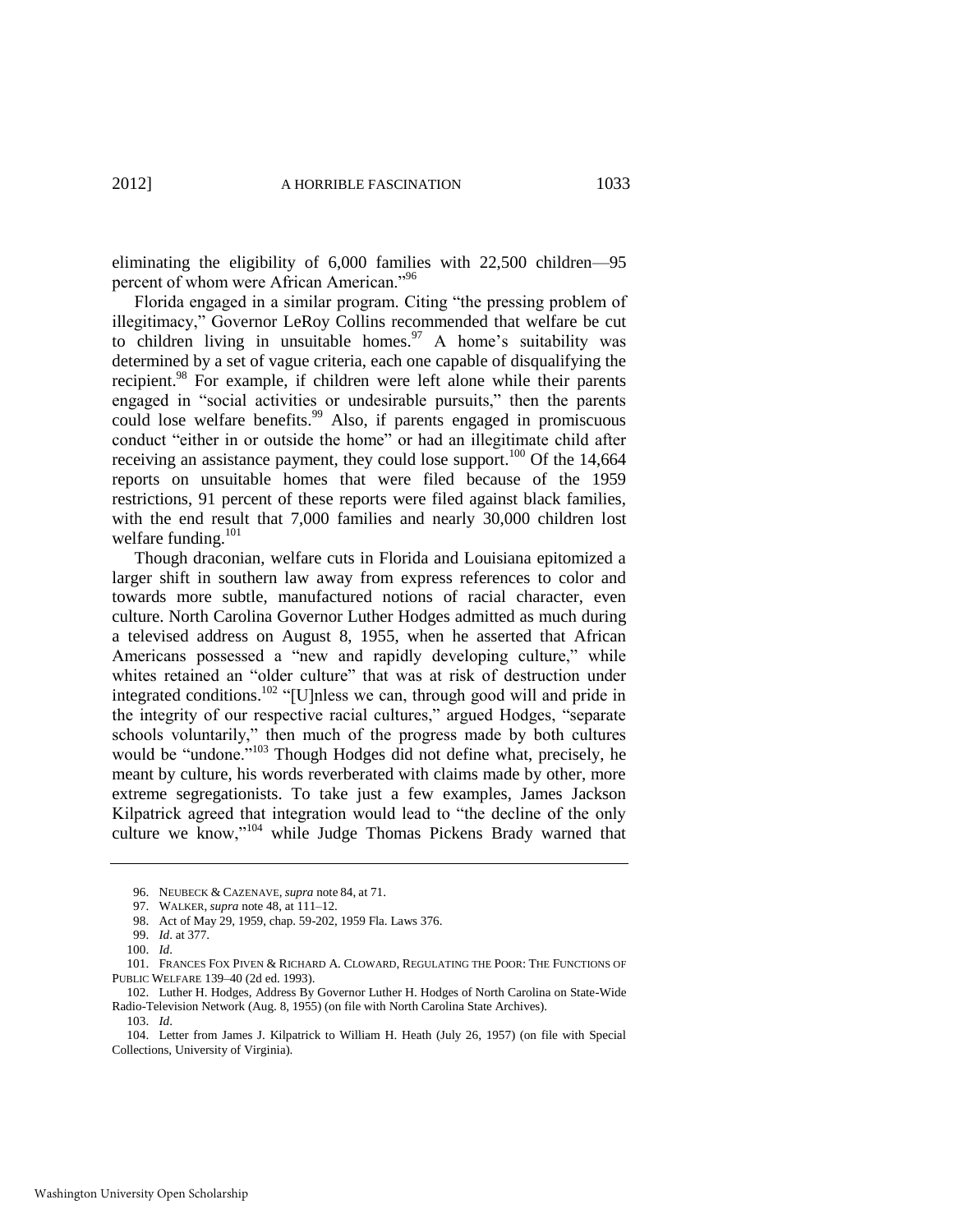eliminating the eligibility of 6,000 families with 22,500 children—95 percent of whom were African American."<sup>96</sup>

Florida engaged in a similar program. Citing "the pressing problem of illegitimacy," Governor LeRoy Collins recommended that welfare be cut to children living in unsuitable homes.<sup>97</sup> A home's suitability was determined by a set of vague criteria, each one capable of disqualifying the recipient.<sup>98</sup> For example, if children were left alone while their parents engaged in "social activities or undesirable pursuits," then the parents could lose welfare benefits.<sup>99</sup> Also, if parents engaged in promiscuous conduct "either in or outside the home" or had an illegitimate child after receiving an assistance payment, they could lose support.<sup>100</sup> Of the  $14,664$ reports on unsuitable homes that were filed because of the 1959 restrictions, 91 percent of these reports were filed against black families, with the end result that 7,000 families and nearly 30,000 children lost welfare funding.<sup>101</sup>

Though draconian, welfare cuts in Florida and Louisiana epitomized a larger shift in southern law away from express references to color and towards more subtle, manufactured notions of racial character, even culture. North Carolina Governor Luther Hodges admitted as much during a televised address on August 8, 1955, when he asserted that African Americans possessed a "new and rapidly developing culture," while whites retained an "older culture" that was at risk of destruction under integrated conditions.<sup>102</sup> "[U]nless we can, through good will and pride in the integrity of our respective racial cultures," argued Hodges, "separate schools voluntarily," then much of the progress made by both cultures would be "undone."<sup>103</sup> Though Hodges did not define what, precisely, he meant by culture, his words reverberated with claims made by other, more extreme segregationists. To take just a few examples, James Jackson Kilpatrick agreed that integration would lead to "the decline of the only culture we know,"<sup>104</sup> while Judge Thomas Pickens Brady warned that

<sup>96.</sup> NEUBECK & CAZENAVE, *supra* note [84,](#page-15-0) at 71.

<sup>97.</sup> WALKER, *supra* not[e 48,](#page-11-0) at 111–12.

<sup>98.</sup> Act of May 29, 1959, chap. 59-202, 1959 Fla. Laws 376.

<sup>99.</sup> *Id*. at 377.

<sup>100.</sup> *Id*.

<sup>101.</sup> FRANCES FOX PIVEN & RICHARD A. CLOWARD, REGULATING THE POOR: THE FUNCTIONS OF PUBLIC WELFARE 139*–*40 (2d ed. 1993).

<sup>102.</sup> Luther H. Hodges, Address By Governor Luther H. Hodges of North Carolina on State-Wide Radio-Television Network (Aug. 8, 1955) (on file with North Carolina State Archives). 103. *Id*.

<sup>104.</sup> Letter from James J. Kilpatrick to William H. Heath (July 26, 1957) (on file with Special Collections, University of Virginia).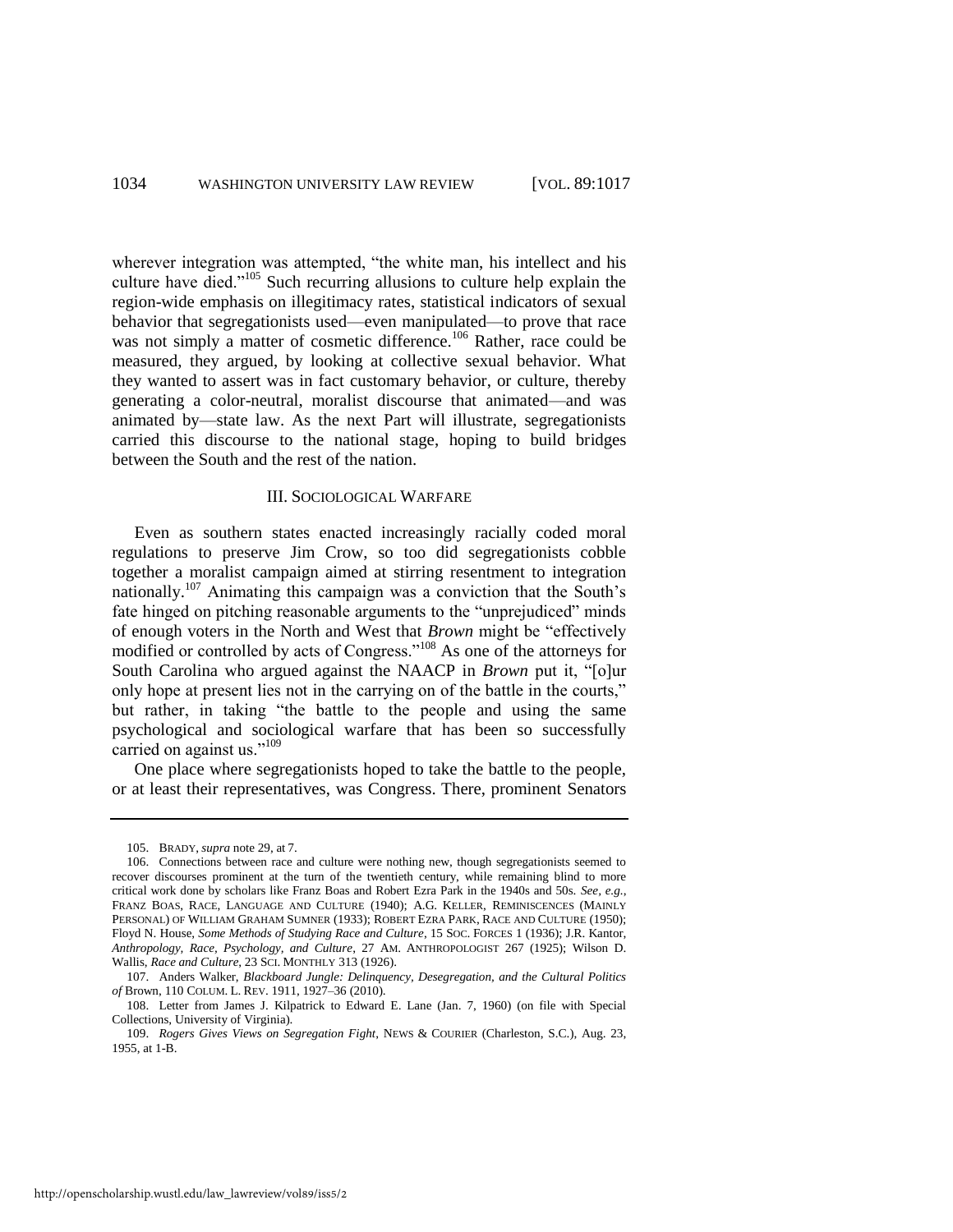wherever integration was attempted, "the white man, his intellect and his culture have died."<sup>105</sup> Such recurring allusions to culture help explain the region-wide emphasis on illegitimacy rates, statistical indicators of sexual behavior that segregationists used—even manipulated—to prove that race was not simply a matter of cosmetic difference.<sup>106</sup> Rather, race could be measured, they argued, by looking at collective sexual behavior. What they wanted to assert was in fact customary behavior, or culture, thereby generating a color-neutral, moralist discourse that animated—and was animated by—state law. As the next Part will illustrate, segregationists carried this discourse to the national stage, hoping to build bridges between the South and the rest of the nation.

#### III. SOCIOLOGICAL WARFARE

<span id="page-18-0"></span>Even as southern states enacted increasingly racially coded moral regulations to preserve Jim Crow, so too did segregationists cobble together a moralist campaign aimed at stirring resentment to integration nationally.<sup>107</sup> Animating this campaign was a conviction that the South's fate hinged on pitching reasonable arguments to the "unprejudiced" minds of enough voters in the North and West that *Brown* might be "effectively modified or controlled by acts of Congress." $108$  As one of the attorneys for South Carolina who argued against the NAACP in *Brown* put it, "[o]ur only hope at present lies not in the carrying on of the battle in the courts," but rather, in taking "the battle to the people and using the same psychological and sociological warfare that has been so successfully carried on against us."<sup>109</sup>

One place where segregationists hoped to take the battle to the people, or at least their representatives, was Congress. There, prominent Senators

<sup>105.</sup> BRADY, *supra* not[e 29,](#page-7-0) at 7.

<sup>106.</sup> Connections between race and culture were nothing new, though segregationists seemed to recover discourses prominent at the turn of the twentieth century, while remaining blind to more critical work done by scholars like Franz Boas and Robert Ezra Park in the 1940s and 50s. *See, e.g.*, FRANZ BOAS, RACE, LANGUAGE AND CULTURE (1940); A.G. KELLER, REMINISCENCES (MAINLY PERSONAL) OF WILLIAM GRAHAM SUMNER (1933); ROBERT EZRA PARK, RACE AND CULTURE (1950); Floyd N. House, *Some Methods of Studying Race and Culture*, 15 SOC. FORCES 1 (1936); J.R. Kantor, *Anthropology, Race, Psychology, and Culture*, 27 AM. ANTHROPOLOGIST 267 (1925); Wilson D. Wallis, *Race and Culture*, 23 SCI. MONTHLY 313 (1926).

<sup>107.</sup> Anders Walker, *Blackboard Jungle: Delinquency, Desegregation, and the Cultural Politics of* Brown, 110 COLUM. L. REV. 1911, 1927*–*36 (2010).

<sup>108.</sup> Letter from James J. Kilpatrick to Edward E. Lane (Jan. 7, 1960) (on file with Special Collections, University of Virginia).

<sup>109.</sup> *Rogers Gives Views on Segregation Fight*, NEWS & COURIER (Charleston, S.C.), Aug. 23, 1955, at 1-B.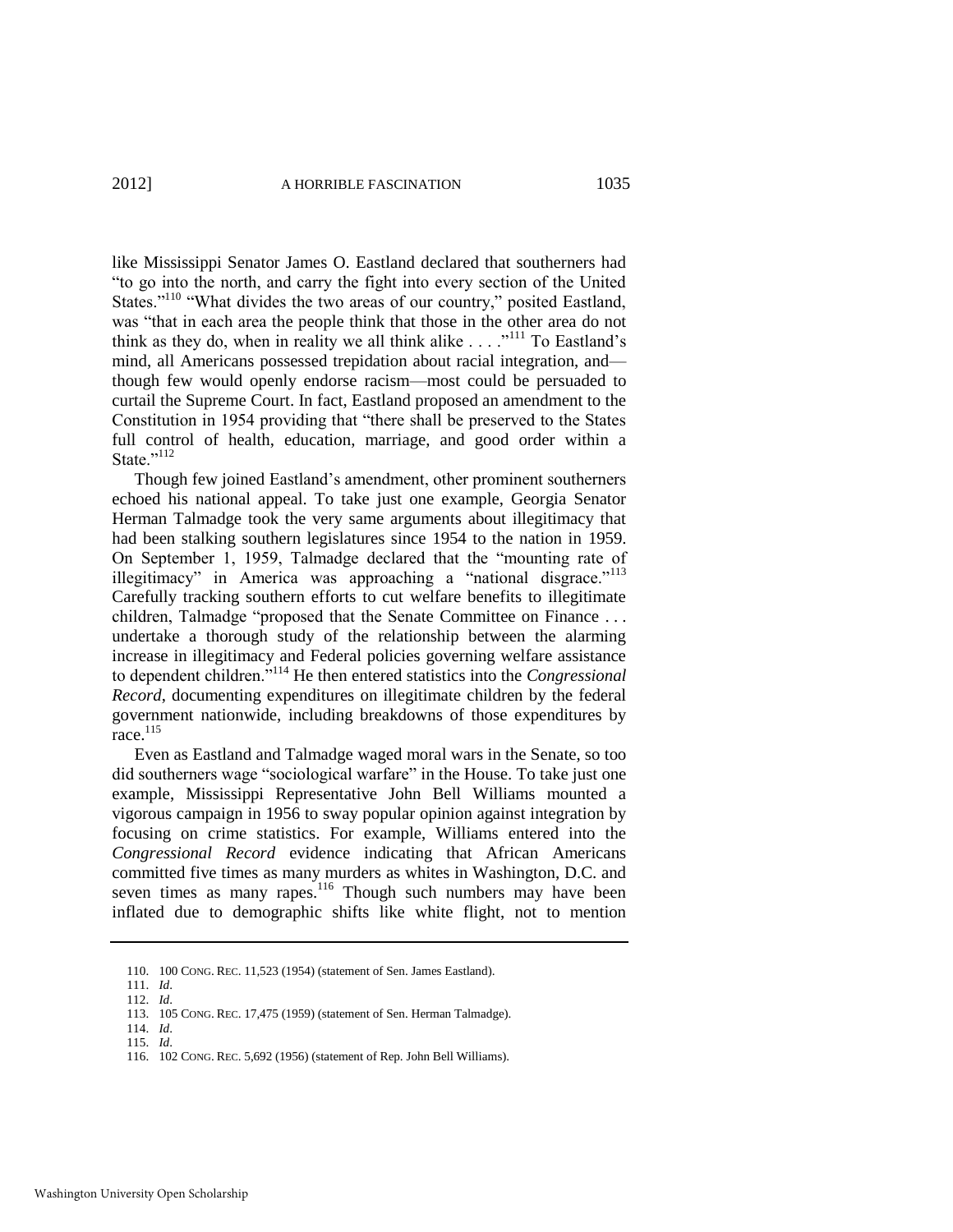like Mississippi Senator James O. Eastland declared that southerners had ―to go into the north, and carry the fight into every section of the United States."<sup>110</sup> "What divides the two areas of our country," posited Eastland, was "that in each area the people think that those in the other area do not think as they do, when in reality we all think alike  $\ldots$ ."<sup>111</sup> To Eastland's mind, all Americans possessed trepidation about racial integration, and though few would openly endorse racism—most could be persuaded to curtail the Supreme Court. In fact, Eastland proposed an amendment to the Constitution in 1954 providing that "there shall be preserved to the States" full control of health, education, marriage, and good order within a State."112

<span id="page-19-0"></span>Though few joined Eastland's amendment, other prominent southerners echoed his national appeal. To take just one example, Georgia Senator Herman Talmadge took the very same arguments about illegitimacy that had been stalking southern legislatures since 1954 to the nation in 1959. On September 1, 1959, Talmadge declared that the "mounting rate of illegitimacy" in America was approaching a "national disgrace."<sup>113</sup> Carefully tracking southern efforts to cut welfare benefits to illegitimate children, Talmadge "proposed that the Senate Committee on Finance ... undertake a thorough study of the relationship between the alarming increase in illegitimacy and Federal policies governing welfare assistance to dependent children.<sup>3114</sup> He then entered statistics into the *Congressional Record*, documenting expenditures on illegitimate children by the federal government nationwide, including breakdowns of those expenditures by race. $115$ 

Even as Eastland and Talmadge waged moral wars in the Senate, so too did southerners wage "sociological warfare" in the House. To take just one example, Mississippi Representative John Bell Williams mounted a vigorous campaign in 1956 to sway popular opinion against integration by focusing on crime statistics. For example, Williams entered into the *Congressional Record* evidence indicating that African Americans committed five times as many murders as whites in Washington, D.C. and seven times as many rapes.<sup>116</sup> Though such numbers may have been inflated due to demographic shifts like white flight, not to mention

<sup>110. 100</sup> CONG. REC. 11,523 (1954) (statement of Sen. James Eastland).

<sup>111.</sup> *Id*.

<sup>112.</sup> *Id*.

<sup>113. 105</sup> CONG. REC. 17,475 (1959) (statement of Sen. Herman Talmadge).

<sup>114.</sup> *Id*.

<sup>115.</sup> *Id*.

<sup>116. 102</sup> CONG. REC. 5,692 (1956) (statement of Rep. John Bell Williams).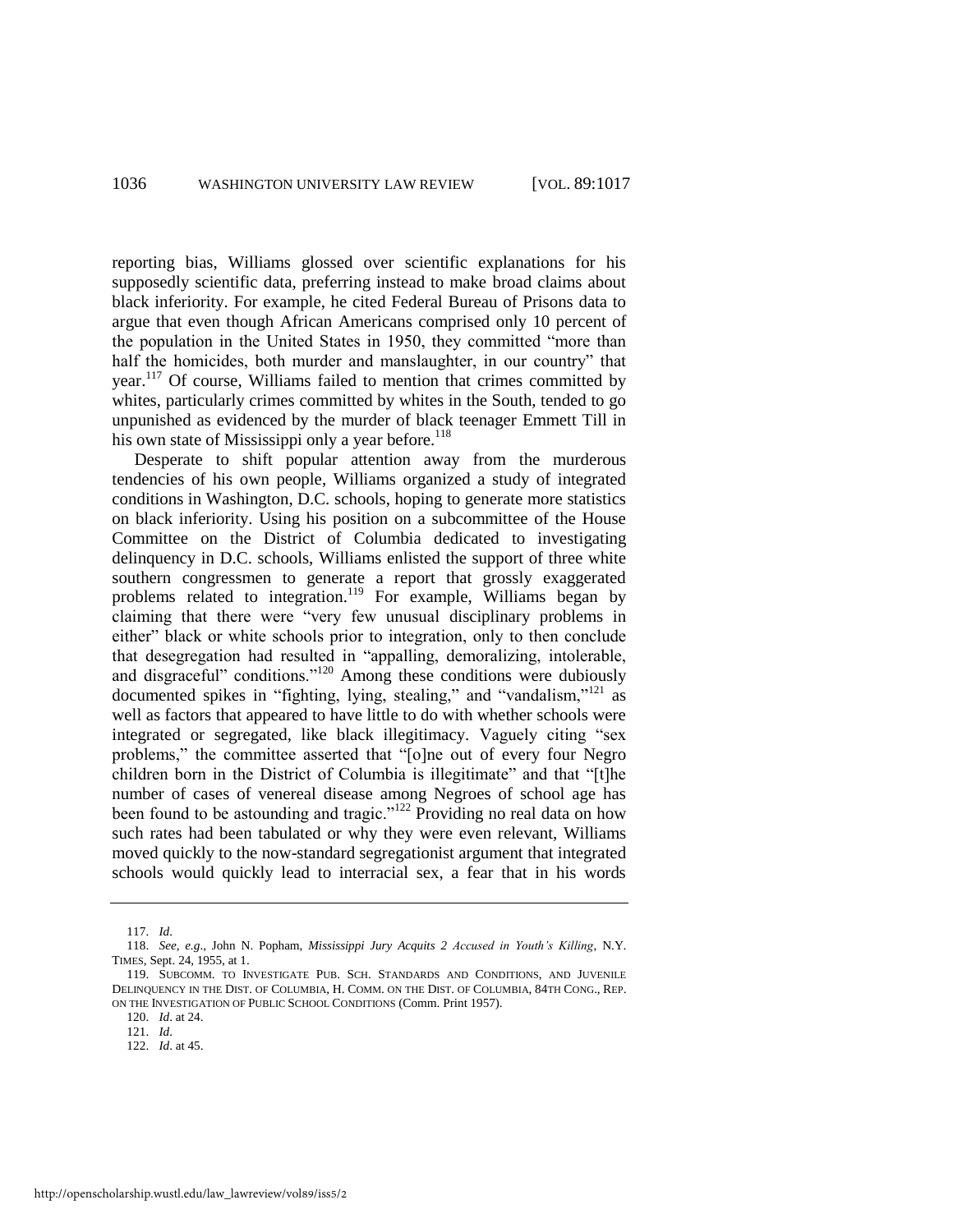reporting bias, Williams glossed over scientific explanations for his supposedly scientific data, preferring instead to make broad claims about black inferiority. For example, he cited Federal Bureau of Prisons data to argue that even though African Americans comprised only 10 percent of the population in the United States in 1950, they committed "more than half the homicides, both murder and manslaughter, in our country" that year.<sup>117</sup> Of course, Williams failed to mention that crimes committed by whites, particularly crimes committed by whites in the South, tended to go unpunished as evidenced by the murder of black teenager Emmett Till in his own state of Mississippi only a year before.<sup>118</sup>

Desperate to shift popular attention away from the murderous tendencies of his own people, Williams organized a study of integrated conditions in Washington, D.C. schools, hoping to generate more statistics on black inferiority. Using his position on a subcommittee of the House Committee on the District of Columbia dedicated to investigating delinquency in D.C. schools, Williams enlisted the support of three white southern congressmen to generate a report that grossly exaggerated problems related to integration.<sup>119</sup> For example, Williams began by claiming that there were "very few unusual disciplinary problems in either" black or white schools prior to integration, only to then conclude that desegregation had resulted in "appalling, demoralizing, intolerable, and disgraceful" conditions."<sup>120</sup> Among these conditions were dubiously documented spikes in "fighting, lying, stealing," and "vandalism,"<sup>121</sup> as well as factors that appeared to have little to do with whether schools were integrated or segregated, like black illegitimacy. Vaguely citing "sex problems," the committee asserted that "[o]ne out of every four Negro children born in the District of Columbia is illegitimate" and that "[t]he number of cases of venereal disease among Negroes of school age has been found to be astounding and tragic."<sup>122</sup> Providing no real data on how such rates had been tabulated or why they were even relevant, Williams moved quickly to the now-standard segregationist argument that integrated schools would quickly lead to interracial sex, a fear that in his words

<sup>117.</sup> *Id*.

<sup>118.</sup> *See, e.g*., John N. Popham, *Mississippi Jury Acquits 2 Accused in Youth's Killing*, N.Y. TIMES, Sept. 24, 1955, at 1.

<sup>119.</sup> SUBCOMM. TO INVESTIGATE PUB. SCH. STANDARDS AND CONDITIONS, AND JUVENILE DELINQUENCY IN THE DIST. OF COLUMBIA, H. COMM. ON THE DIST. OF COLUMBIA, 84TH CONG., REP. ON THE INVESTIGATION OF PUBLIC SCHOOL CONDITIONS (Comm. Print 1957).

<sup>120.</sup> *Id*. at 24.

<sup>121.</sup> *Id*.

<sup>122.</sup> *Id*. at 45.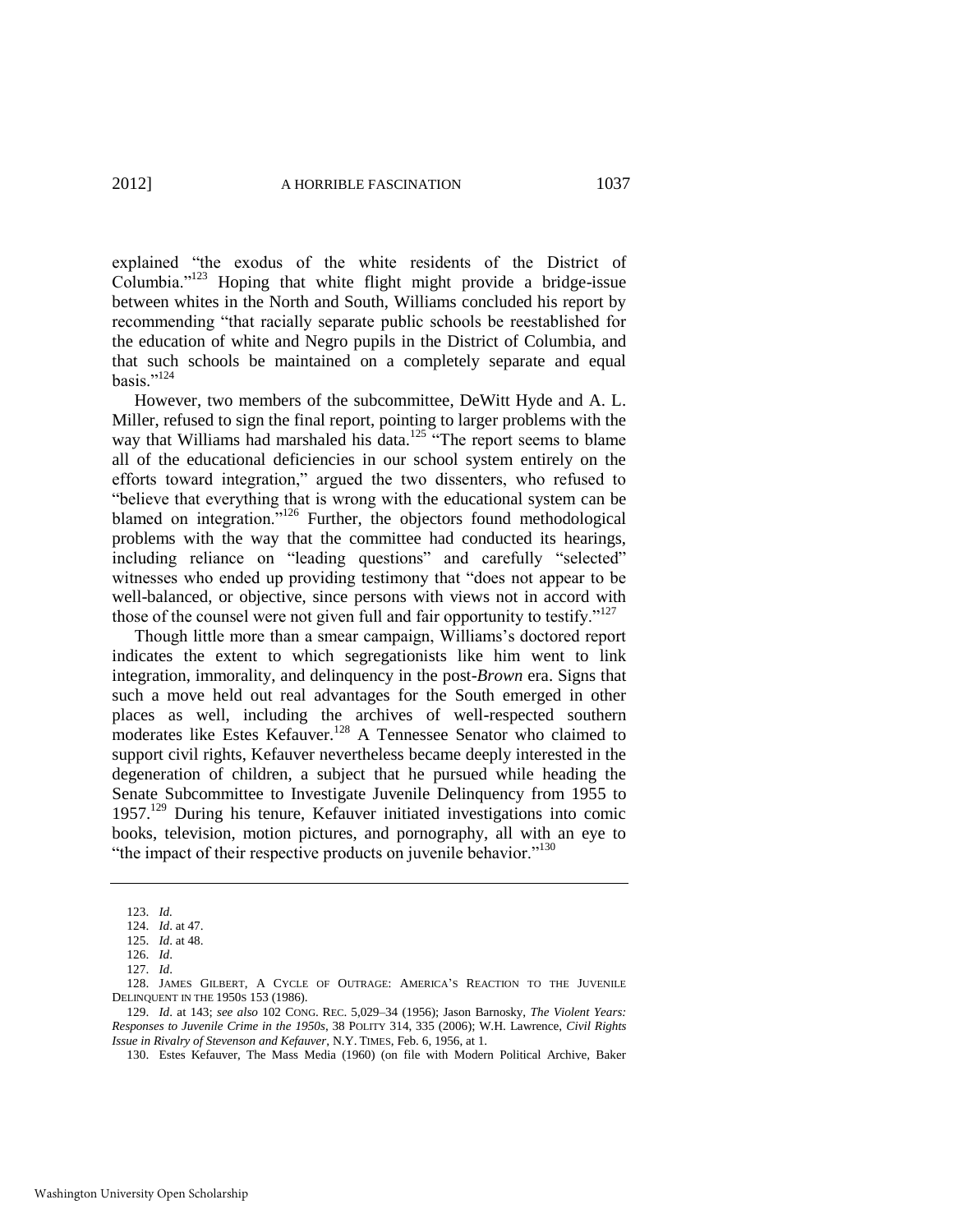explained "the exodus of the white residents of the District of Columbia." $123$  Hoping that white flight might provide a bridge-issue between whites in the North and South, Williams concluded his report by recommending "that racially separate public schools be reestablished for the education of white and Negro pupils in the District of Columbia, and that such schools be maintained on a completely separate and equal basis $^{124}$ 

However, two members of the subcommittee, DeWitt Hyde and A. L. Miller, refused to sign the final report, pointing to larger problems with the way that Williams had marshaled his data.<sup>125</sup> "The report seems to blame" all of the educational deficiencies in our school system entirely on the efforts toward integration," argued the two dissenters, who refused to "believe that everything that is wrong with the educational system can be blamed on integration."<sup>126</sup> Further, the objectors found methodological problems with the way that the committee had conducted its hearings, including reliance on "leading questions" and carefully "selected" witnesses who ended up providing testimony that "does not appear to be well-balanced, or objective, since persons with views not in accord with those of the counsel were not given full and fair opportunity to testify." $127$ 

<span id="page-21-0"></span>Though little more than a smear campaign, Williams's doctored report indicates the extent to which segregationists like him went to link integration, immorality, and delinquency in the post-*Brown* era. Signs that such a move held out real advantages for the South emerged in other places as well, including the archives of well-respected southern moderates like Estes Kefauver.<sup>128</sup> A Tennessee Senator who claimed to support civil rights, Kefauver nevertheless became deeply interested in the degeneration of children, a subject that he pursued while heading the Senate Subcommittee to Investigate Juvenile Delinquency from 1955 to 1957.<sup>129</sup> During his tenure, Kefauver initiated investigations into comic books, television, motion pictures, and pornography, all with an eye to "the impact of their respective products on juvenile behavior."<sup>130</sup>

130. Estes Kefauver, The Mass Media (1960) (on file with Modern Political Archive, Baker

<sup>123.</sup> *Id.*

<sup>124.</sup> *Id*. at 47.

<sup>125.</sup> *Id*. at 48.

<sup>126.</sup> *Id*.

<sup>127.</sup> *Id*.

<sup>128.</sup> JAMES GILBERT, A CYCLE OF OUTRAGE: AMERICA'S REACTION TO THE JUVENILE DELINQUENT IN THE 1950S 153 (1986).

<sup>129.</sup> *Id*. at 143; *see also* 102 CONG. REC. 5,029–34 (1956); Jason Barnosky, *The Violent Years: Responses to Juvenile Crime in the 1950s*, 38 POLITY 314, 335 (2006); W.H. Lawrence, *Civil Rights Issue in Rivalry of Stevenson and Kefauver*, N.Y. TIMES, Feb. 6, 1956, at 1.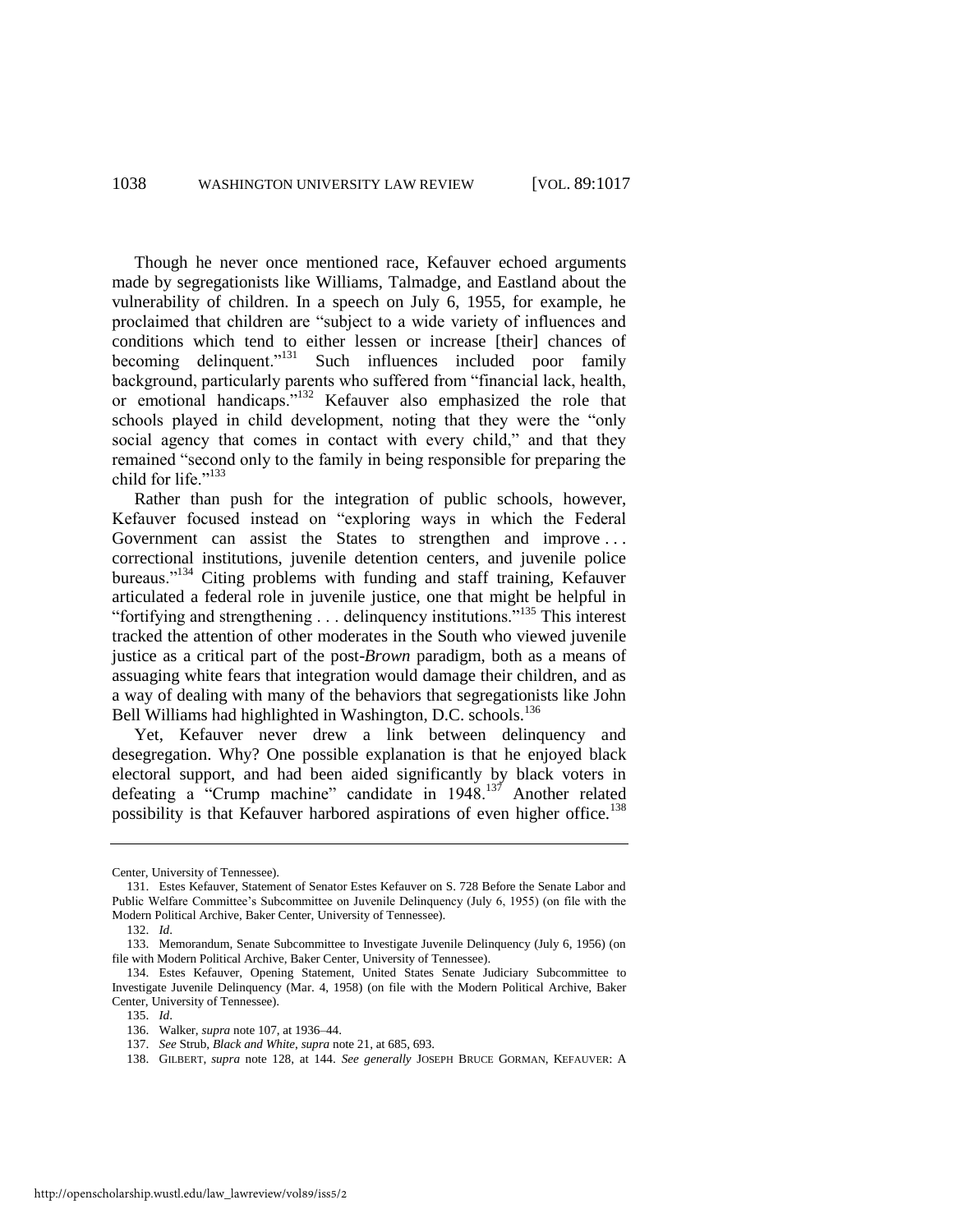Though he never once mentioned race, Kefauver echoed arguments made by segregationists like Williams, Talmadge, and Eastland about the vulnerability of children. In a speech on July 6, 1955, for example, he proclaimed that children are "subject to a wide variety of influences and conditions which tend to either lessen or increase [their] chances of becoming delinquent."<sup>131</sup> Such influences included poor family background, particularly parents who suffered from "financial lack, health, or emotional handicaps."<sup>132</sup> Kefauver also emphasized the role that schools played in child development, noting that they were the "only" social agency that comes in contact with every child," and that they remained "second only to the family in being responsible for preparing the child for life."<sup>133</sup>

Rather than push for the integration of public schools, however, Kefauver focused instead on "exploring ways in which the Federal Government can assist the States to strengthen and improve... correctional institutions, juvenile detention centers, and juvenile police bureaus."<sup>134</sup> Citing problems with funding and staff training, Kefauver articulated a federal role in juvenile justice, one that might be helpful in "fortifying and strengthening . . . delinquency institutions."<sup>135</sup> This interest tracked the attention of other moderates in the South who viewed juvenile justice as a critical part of the post-*Brown* paradigm, both as a means of assuaging white fears that integration would damage their children, and as a way of dealing with many of the behaviors that segregationists like John Bell Williams had highlighted in Washington, D.C. schools.<sup>136</sup>

Yet, Kefauver never drew a link between delinquency and desegregation. Why? One possible explanation is that he enjoyed black electoral support, and had been aided significantly by black voters in defeating a "Crump machine" candidate in  $1948$ .<sup>137</sup> Another related possibility is that Kefauver harbored aspirations of even higher office.<sup>138</sup>

Center, University of Tennessee).

<sup>131.</sup> Estes Kefauver, Statement of Senator Estes Kefauver on S. 728 Before the Senate Labor and Public Welfare Committee's Subcommittee on Juvenile Delinquency (July 6, 1955) (on file with the Modern Political Archive, Baker Center, University of Tennessee).

<span id="page-22-0"></span><sup>132.</sup> *Id*.

<sup>133.</sup> Memorandum, Senate Subcommittee to Investigate Juvenile Delinquency (July 6, 1956) (on file with Modern Political Archive, Baker Center, University of Tennessee).

<sup>134.</sup> Estes Kefauver, Opening Statement, United States Senate Judiciary Subcommittee to Investigate Juvenile Delinquency (Mar. 4, 1958) (on file with the Modern Political Archive, Baker Center, University of Tennessee).

<sup>135.</sup> *Id*.

<sup>136.</sup> Walker, *supra* note [107,](#page-18-0) at 1936–44.

<sup>137.</sup> *See* Strub, *Black and White*, *supra* not[e 21,](#page-5-0) at 685, 693.

<sup>138.</sup> GILBERT, *supra* note [128,](#page-21-0) at 144. *See generally* JOSEPH BRUCE GORMAN, KEFAUVER: A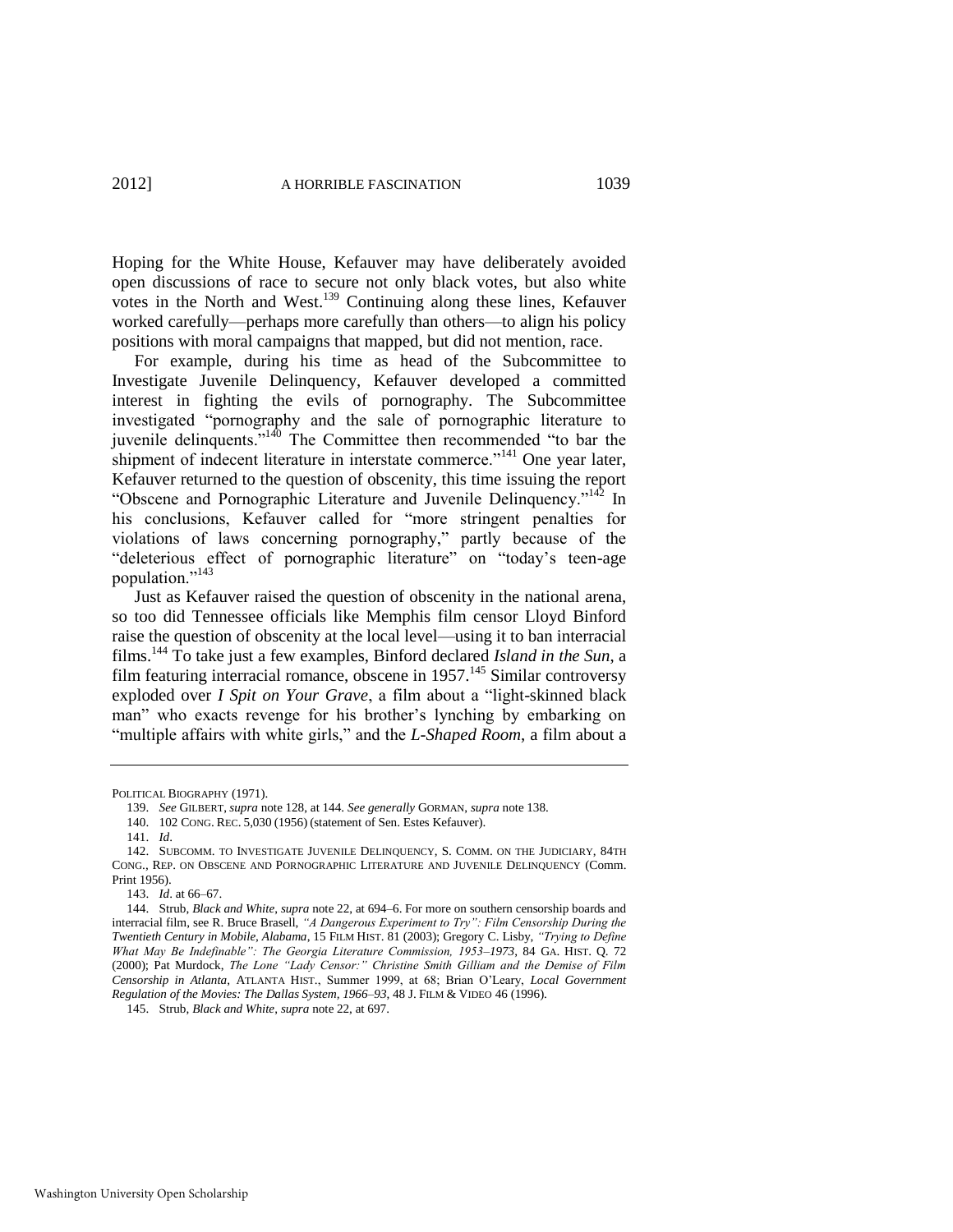Hoping for the White House, Kefauver may have deliberately avoided open discussions of race to secure not only black votes, but also white votes in the North and West.<sup>139</sup> Continuing along these lines, Kefauver worked carefully—perhaps more carefully than others—to align his policy positions with moral campaigns that mapped, but did not mention, race.

For example, during his time as head of the Subcommittee to Investigate Juvenile Delinquency, Kefauver developed a committed interest in fighting the evils of pornography. The Subcommittee investigated "pornography and the sale of pornographic literature to  $j$  investigative  $\int$   $\frac{1}{40}$  The Committee then recommended "to bar the shipment of indecent literature in interstate commerce."<sup>141</sup> One year later, Kefauver returned to the question of obscenity, this time issuing the report "Obscene and Pornographic Literature and Juvenile Delinquency."<sup>142</sup> In his conclusions, Kefauver called for "more stringent penalties for violations of laws concerning pornography," partly because of the "deleterious effect of pornographic literature" on "today's teen-age population."<sup>143</sup>

<span id="page-23-0"></span>Just as Kefauver raised the question of obscenity in the national arena, so too did Tennessee officials like Memphis film censor Lloyd Binford raise the question of obscenity at the local level—using it to ban interracial films.<sup>144</sup> To take just a few examples, Binford declared *Island in the Sun*, a film featuring interracial romance, obscene in  $1957<sup>145</sup>$  Similar controversy exploded over *I Spit on Your Grave*, a film about a "light-skinned black man" who exacts revenge for his brother's lynching by embarking on "multiple affairs with white girls," and the *L-Shaped Room*, a film about a

140. 102 CONG. REC. 5,030 (1956) (statement of Sen. Estes Kefauver).

POLITICAL BIOGRAPHY (1971).

<sup>139.</sup> *See* GILBERT, *supra* not[e 128,](#page-21-0) at 144. *See generally* GORMAN, *supra* not[e 138.](#page-22-0) 

<sup>141.</sup> *Id*.

<sup>142.</sup> SUBCOMM. TO INVESTIGATE JUVENILE DELINQUENCY, S. COMM. ON THE JUDICIARY, 84TH CONG., REP. ON OBSCENE AND PORNOGRAPHIC LITERATURE AND JUVENILE DELINQUENCY (Comm. Print 1956).

<sup>143.</sup> *Id*. at 66–67.

<sup>144.</sup> Strub, *Black and White*, *supra* not[e 22,](#page-5-1) at 694–6. For more on southern censorship boards and interracial film, see R. Bruce Brasell, "A Dangerous Experiment to Try": Film Censorship During the *Twentieth Century in Mobile, Alabama*, 15 FILM HIST. 81 (2003); Gregory C. Lisby, *―Trying to Define What May Be Indefinable‖: The Georgia Literature Commission, 1953–1973*, 84 GA. HIST. Q. 72 (2000); Pat Murdock, *The Lone "Lady Censor:" Christine Smith Gilliam and the Demise of Film Censorship in Atlanta*, ATLANTA HIST., Summer 1999, at 68; Brian O'Leary, *Local Government Regulation of the Movies: The Dallas System, 1966–93*, 48 J. FILM & VIDEO 46 (1996).

<sup>145.</sup> Strub, *Black and White*, *supra* not[e 22,](#page-5-1) at 697.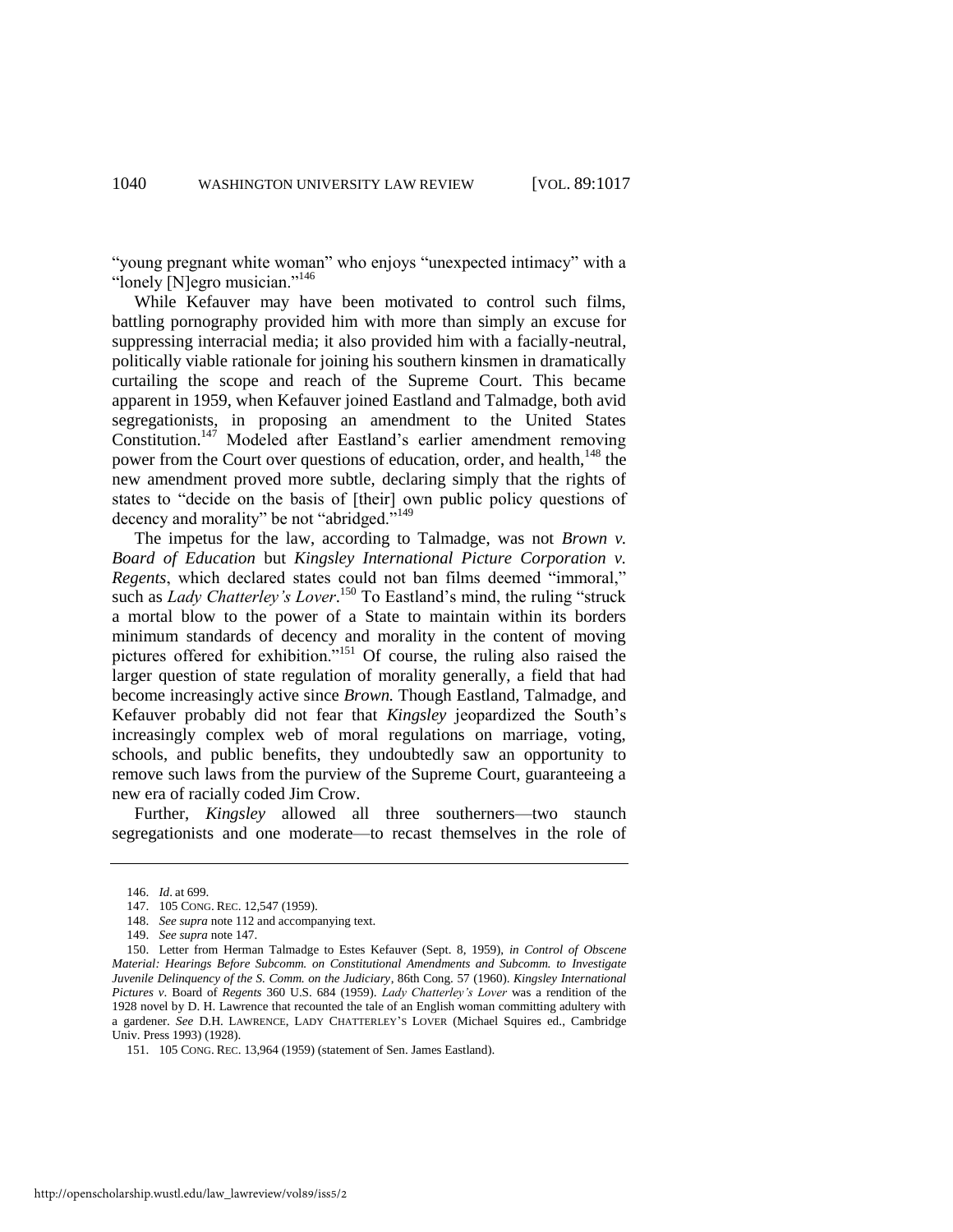"young pregnant white woman" who enjoys "unexpected intimacy" with a "lonely  $[N]$ egro musician."<sup>146</sup>

While Kefauver may have been motivated to control such films, battling pornography provided him with more than simply an excuse for suppressing interracial media; it also provided him with a facially-neutral, politically viable rationale for joining his southern kinsmen in dramatically curtailing the scope and reach of the Supreme Court. This became apparent in 1959, when Kefauver joined Eastland and Talmadge, both avid segregationists, in proposing an amendment to the United States Constitution.<sup>147</sup> Modeled after Eastland's earlier amendment removing power from the Court over questions of education, order, and health,<sup>148</sup> the new amendment proved more subtle, declaring simply that the rights of states to "decide on the basis of [their] own public policy questions of decency and morality" be not "abridged."<sup>149</sup>

<span id="page-24-2"></span><span id="page-24-1"></span><span id="page-24-0"></span>The impetus for the law, according to Talmadge, was not *Brown v. Board of Education* but *Kingsley International Picture Corporation v. Regents*, which declared states could not ban films deemed "immoral," such as *Lady Chatterley's Lover*.<sup>150</sup> To Eastland's mind, the ruling "struck a mortal blow to the power of a State to maintain within its borders minimum standards of decency and morality in the content of moving pictures offered for exhibition."<sup>151</sup> Of course, the ruling also raised the larger question of state regulation of morality generally, a field that had become increasingly active since *Brown.* Though Eastland, Talmadge, and Kefauver probably did not fear that *Kingsley* jeopardized the South's increasingly complex web of moral regulations on marriage, voting, schools, and public benefits, they undoubtedly saw an opportunity to remove such laws from the purview of the Supreme Court, guaranteeing a new era of racially coded Jim Crow.

Further, *Kingsley* allowed all three southerners—two staunch segregationists and one moderate—to recast themselves in the role of

149. *See supra* not[e 147.](#page-24-0) 

<sup>146.</sup> *Id*. at 699.

<sup>147. 105</sup> CONG. REC. 12,547 (1959).

<sup>148.</sup> *See supra* not[e 112](#page-19-0) and accompanying text.

<sup>150.</sup> Letter from Herman Talmadge to Estes Kefauver (Sept. 8, 1959), *in Control of Obscene Material: Hearings Before Subcomm. on Constitutional Amendments and Subcomm. to Investigate Juvenile Delinquency of the S. Comm. on the Judiciary*, 86th Cong. 57 (1960). *Kingsley International Pictures v*. Board of *Regents* 360 U.S. 684 (1959). *Lady Chatterley's Lover* was a rendition of the 1928 novel by D. H. Lawrence that recounted the tale of an English woman committing adultery with a gardener. *See* D.H. LAWRENCE, LADY CHATTERLEY'S LOVER (Michael Squires ed., Cambridge Univ. Press 1993) (1928).

<sup>151. 105</sup> CONG. REC. 13,964 (1959) (statement of Sen. James Eastland).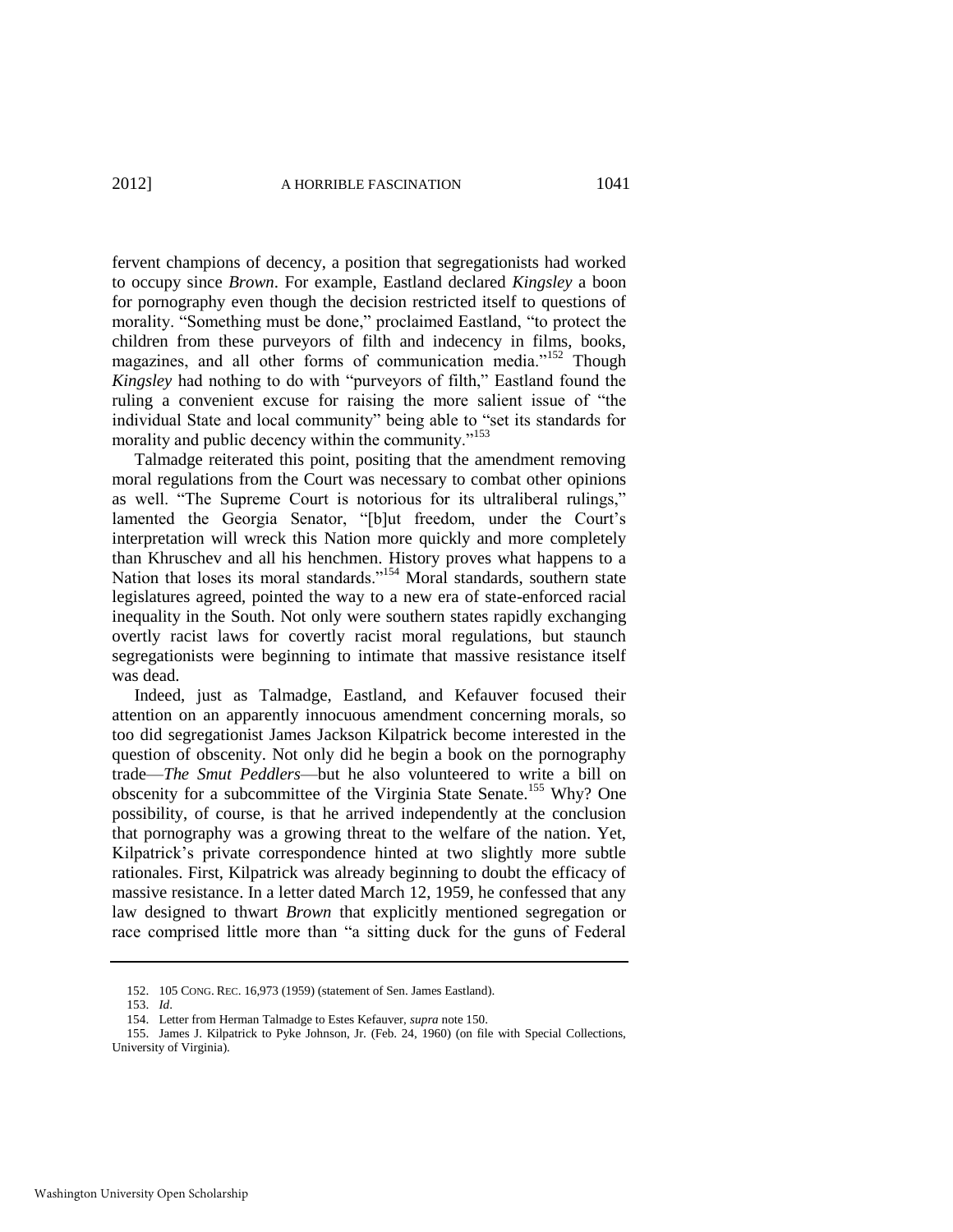fervent champions of decency, a position that segregationists had worked to occupy since *Brown*. For example, Eastland declared *Kingsley* a boon for pornography even though the decision restricted itself to questions of morality. "Something must be done," proclaimed Eastland, "to protect the children from these purveyors of filth and indecency in films, books, magazines, and all other forms of communication media."<sup>152</sup> Though *Kingsley* had nothing to do with "purveyors of filth," Eastland found the ruling a convenient excuse for raising the more salient issue of "the individual State and local community" being able to "set its standards for morality and public decency within the community."<sup>153</sup>

Talmadge reiterated this point, positing that the amendment removing moral regulations from the Court was necessary to combat other opinions as well. "The Supreme Court is notorious for its ultraliberal rulings," lamented the Georgia Senator, "[b]ut freedom, under the Court's interpretation will wreck this Nation more quickly and more completely than Khruschev and all his henchmen. History proves what happens to a Nation that loses its moral standards."<sup>154</sup> Moral standards, southern state legislatures agreed, pointed the way to a new era of state-enforced racial inequality in the South. Not only were southern states rapidly exchanging overtly racist laws for covertly racist moral regulations, but staunch segregationists were beginning to intimate that massive resistance itself was dead.

Indeed, just as Talmadge, Eastland, and Kefauver focused their attention on an apparently innocuous amendment concerning morals, so too did segregationist James Jackson Kilpatrick become interested in the question of obscenity. Not only did he begin a book on the pornography trade—*The Smut Peddlers*—but he also volunteered to write a bill on obscenity for a subcommittee of the Virginia State Senate.<sup>155</sup> Why? One possibility, of course, is that he arrived independently at the conclusion that pornography was a growing threat to the welfare of the nation. Yet, Kilpatrick's private correspondence hinted at two slightly more subtle rationales. First, Kilpatrick was already beginning to doubt the efficacy of massive resistance. In a letter dated March 12, 1959, he confessed that any law designed to thwart *Brown* that explicitly mentioned segregation or race comprised little more than "a sitting duck for the guns of Federal

<sup>152. 105</sup> CONG. REC. 16,973 (1959) (statement of Sen. James Eastland).

<sup>153.</sup> *Id*.

<sup>154.</sup> Letter from Herman Talmadge to Estes Kefauver, *supra* not[e 150.](#page-24-1) 

<sup>155.</sup> James J. Kilpatrick to Pyke Johnson, Jr. (Feb. 24, 1960) (on file with Special Collections, University of Virginia).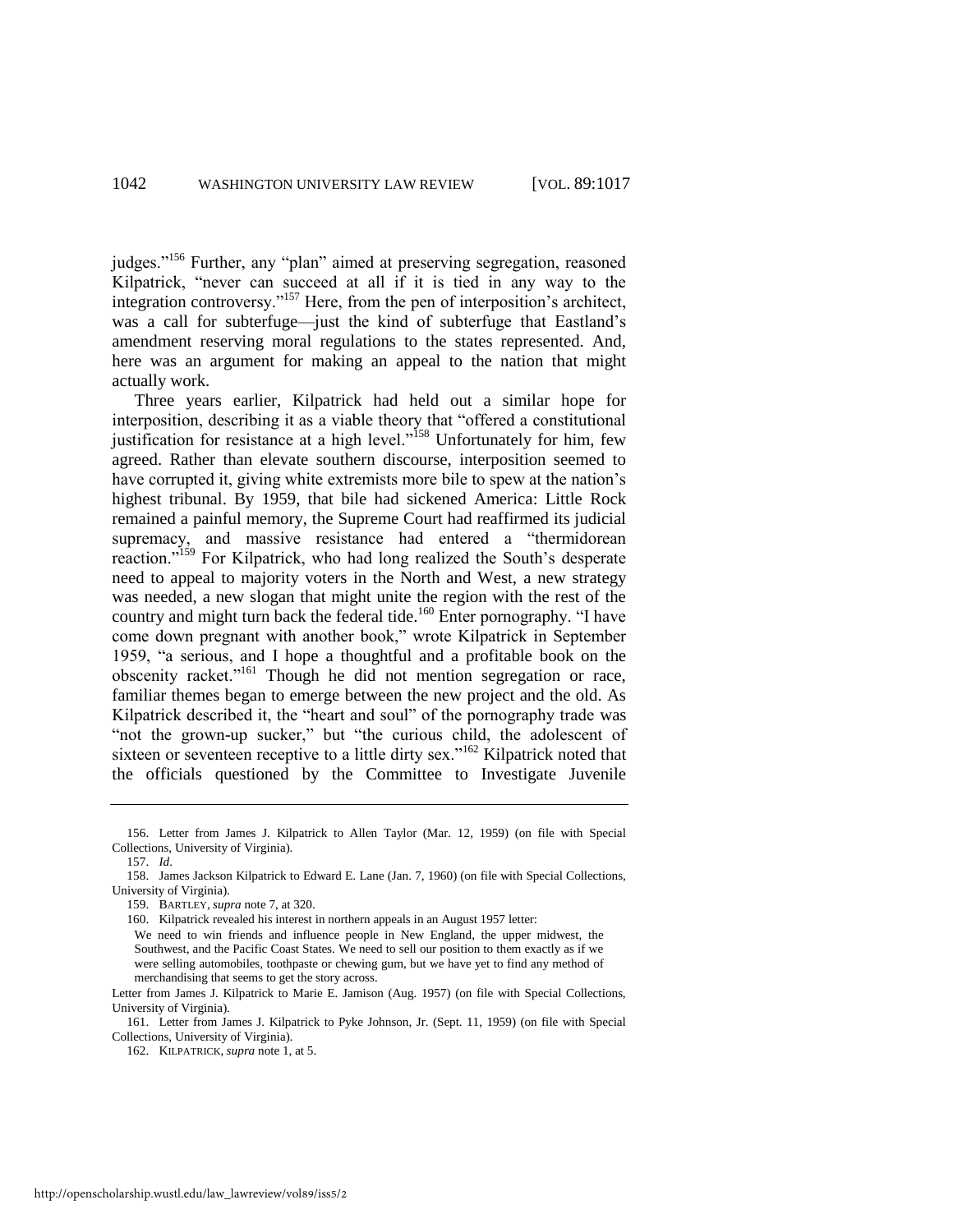judges."<sup>156</sup> Further, any "plan" aimed at preserving segregation, reasoned Kilpatrick, "never can succeed at all if it is tied in any way to the integration controversy."<sup>157</sup> Here, from the pen of interposition's architect, was a call for subterfuge—just the kind of subterfuge that Eastland's amendment reserving moral regulations to the states represented. And, here was an argument for making an appeal to the nation that might actually work.

Three years earlier, Kilpatrick had held out a similar hope for interposition, describing it as a viable theory that "offered a constitutional justification for resistance at a high level."<sup>158</sup> Unfortunately for him, few agreed. Rather than elevate southern discourse, interposition seemed to have corrupted it, giving white extremists more bile to spew at the nation's highest tribunal. By 1959, that bile had sickened America: Little Rock remained a painful memory, the Supreme Court had reaffirmed its judicial supremacy, and massive resistance had entered a "thermidorean reaction."<sup>159</sup> For Kilpatrick, who had long realized the South's desperate need to appeal to majority voters in the North and West, a new strategy was needed, a new slogan that might unite the region with the rest of the country and might turn back the federal tide.<sup>160</sup> Enter pornography. "I have come down pregnant with another book," wrote Kilpatrick in September 1959, "a serious, and I hope a thoughtful and a profitable book on the obscenity racket."<sup>161</sup> Though he did not mention segregation or race, familiar themes began to emerge between the new project and the old. As Kilpatrick described it, the "heart and soul" of the pornography trade was "not the grown-up sucker," but "the curious child, the adolescent of sixteen or seventeen receptive to a little dirty sex."<sup>162</sup> Kilpatrick noted that the officials questioned by the Committee to Investigate Juvenile

<sup>156.</sup> Letter from James J. Kilpatrick to Allen Taylor (Mar. 12, 1959) (on file with Special Collections, University of Virginia).

<sup>157.</sup> *Id*.

<sup>158.</sup> James Jackson Kilpatrick to Edward E. Lane (Jan. 7, 1960) (on file with Special Collections, University of Virginia).

<sup>159.</sup> BARTLEY, *supra* note [7,](#page-2-1) at 320.

<sup>160.</sup> Kilpatrick revealed his interest in northern appeals in an August 1957 letter:

We need to win friends and influence people in New England, the upper midwest, the Southwest, and the Pacific Coast States. We need to sell our position to them exactly as if we were selling automobiles, toothpaste or chewing gum, but we have yet to find any method of merchandising that seems to get the story across.

Letter from James J. Kilpatrick to Marie E. Jamison (Aug. 1957) (on file with Special Collections, University of Virginia).

<sup>161.</sup> Letter from James J. Kilpatrick to Pyke Johnson, Jr. (Sept. 11, 1959) (on file with Special Collections, University of Virginia).

<sup>162.</sup> KILPATRICK, *supra* not[e 1,](#page-2-0) at 5.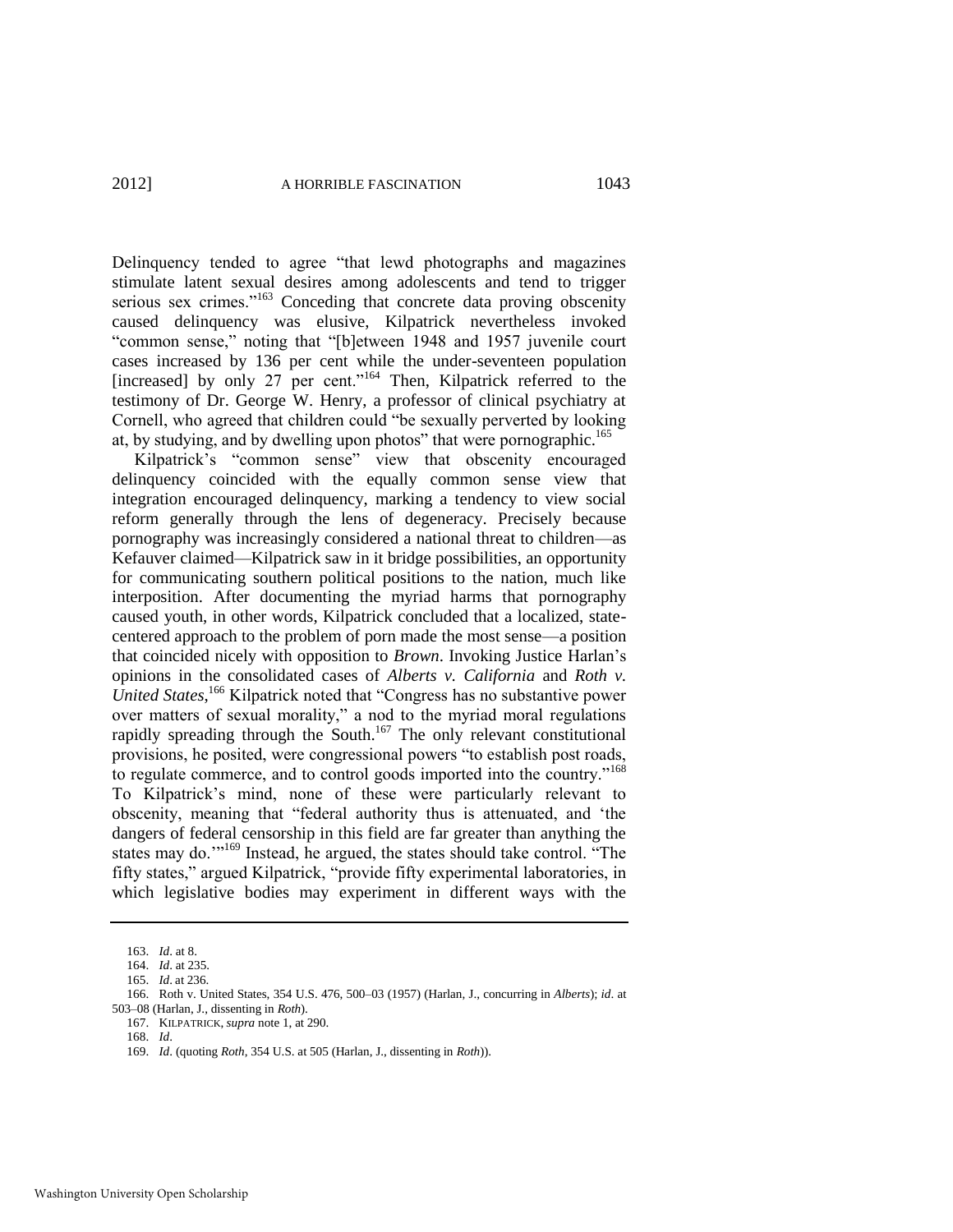Delinquency tended to agree "that lewd photographs and magazines" stimulate latent sexual desires among adolescents and tend to trigger serious sex crimes."<sup>163</sup> Conceding that concrete data proving obscenity caused delinquency was elusive, Kilpatrick nevertheless invoked "common sense," noting that "[b]etween 1948 and 1957 juvenile court cases increased by 136 per cent while the under-seventeen population [increased] by only 27 per cent."<sup>164</sup> Then, Kilpatrick referred to the testimony of Dr. George W. Henry, a professor of clinical psychiatry at Cornell, who agreed that children could "be sexually perverted by looking at, by studying, and by dwelling upon photos" that were pornographic.<sup>165</sup>

Kilpatrick's "common sense" view that obscenity encouraged delinquency coincided with the equally common sense view that integration encouraged delinquency, marking a tendency to view social reform generally through the lens of degeneracy. Precisely because pornography was increasingly considered a national threat to children—as Kefauver claimed—Kilpatrick saw in it bridge possibilities, an opportunity for communicating southern political positions to the nation, much like interposition. After documenting the myriad harms that pornography caused youth, in other words, Kilpatrick concluded that a localized, statecentered approach to the problem of porn made the most sense—a position that coincided nicely with opposition to *Brown*. Invoking Justice Harlan's opinions in the consolidated cases of *Alberts v. California* and *Roth v.*  United States,<sup>166</sup> Kilpatrick noted that "Congress has no substantive power over matters of sexual morality," a nod to the myriad moral regulations rapidly spreading through the South.<sup>167</sup> The only relevant constitutional provisions, he posited, were congressional powers "to establish post roads, to regulate commerce, and to control goods imported into the country."<sup>168</sup> To Kilpatrick's mind, none of these were particularly relevant to obscenity, meaning that "federal authority thus is attenuated, and 'the dangers of federal censorship in this field are far greater than anything the states may do.'"<sup>169</sup> Instead, he argued, the states should take control. "The fifty states," argued Kilpatrick, "provide fifty experimental laboratories, in which legislative bodies may experiment in different ways with the

<sup>163.</sup> *Id*. at 8.

<sup>164.</sup> *Id*. at 235.

<sup>165.</sup> *Id*. at 236.

<sup>166.</sup> Roth v. United States, 354 U.S. 476, 500–03 (1957) (Harlan, J., concurring in *Alberts*); *id*. at 503–08 (Harlan, J., dissenting in *Roth*).

<sup>167.</sup> KILPATRICK, *supra* not[e 1,](#page-2-0) at 290.

<sup>168.</sup> *Id*.

<sup>169.</sup> *Id*. (quoting *Roth*, 354 U.S. at 505 (Harlan, J., dissenting in *Roth*)).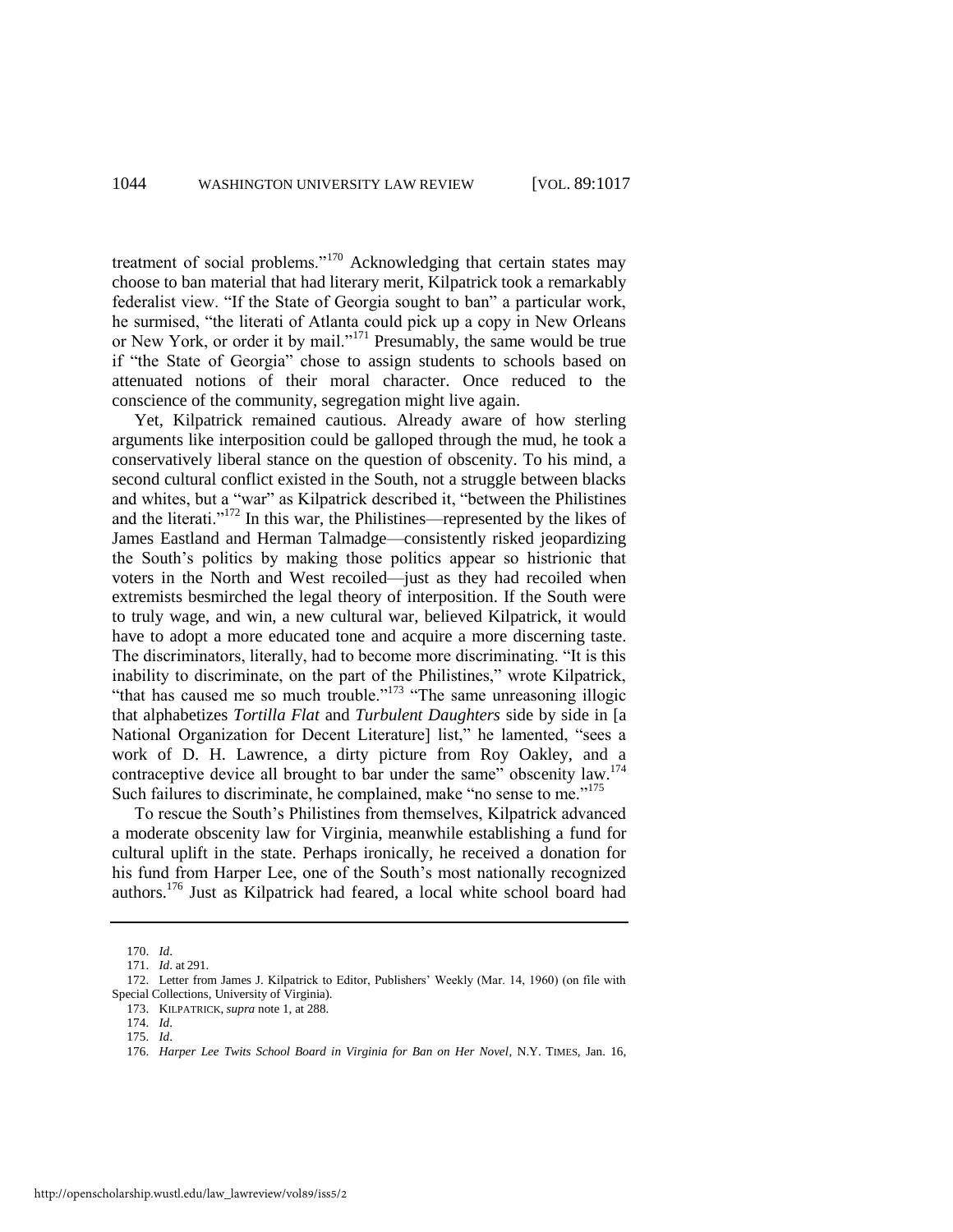treatment of social problems."<sup>170</sup> Acknowledging that certain states may choose to ban material that had literary merit, Kilpatrick took a remarkably federalist view. "If the State of Georgia sought to ban" a particular work, he surmised, "the literati of Atlanta could pick up a copy in New Orleans or New York, or order it by mail."<sup>171</sup> Presumably, the same would be true if "the State of Georgia" chose to assign students to schools based on attenuated notions of their moral character. Once reduced to the conscience of the community, segregation might live again.

Yet, Kilpatrick remained cautious. Already aware of how sterling arguments like interposition could be galloped through the mud, he took a conservatively liberal stance on the question of obscenity. To his mind, a second cultural conflict existed in the South, not a struggle between blacks and whites, but a "war" as Kilpatrick described it, "between the Philistines and the literati.<sup> $172$ </sup> In this war, the Philistines—represented by the likes of James Eastland and Herman Talmadge—consistently risked jeopardizing the South's politics by making those politics appear so histrionic that voters in the North and West recoiled—just as they had recoiled when extremists besmirched the legal theory of interposition. If the South were to truly wage, and win, a new cultural war, believed Kilpatrick, it would have to adopt a more educated tone and acquire a more discerning taste. The discriminators, literally, had to become more discriminating. "It is this inability to discriminate, on the part of the Philistines," wrote Kilpatrick, "that has caused me so much trouble." $173$  "The same unreasoning illogic that alphabetizes *Tortilla Flat* and *Turbulent Daughters* side by side in [a National Organization for Decent Literature] list," he lamented, "sees a work of D. H. Lawrence, a dirty picture from Roy Oakley, and a contraceptive device all brought to bar under the same" obscenity law. $174$ Such failures to discriminate, he complained, make "no sense to me." $175$ 

To rescue the South's Philistines from themselves, Kilpatrick advanced a moderate obscenity law for Virginia, meanwhile establishing a fund for cultural uplift in the state. Perhaps ironically, he received a donation for his fund from Harper Lee, one of the South's most nationally recognized authors.<sup>176</sup> Just as Kilpatrick had feared, a local white school board had

<span id="page-28-0"></span><sup>170.</sup> *Id*.

<sup>171.</sup> *Id*. at 291.

<sup>172.</sup> Letter from James J. Kilpatrick to Editor, Publishers' Weekly (Mar. 14, 1960) (on file with Special Collections, University of Virginia).

<sup>173.</sup> KILPATRICK, *supra* not[e 1,](#page-2-0) at 288.

<sup>174.</sup> *Id*.

<sup>175.</sup> *Id*.

<sup>176.</sup> *Harper Lee Twits School Board in Virginia for Ban on Her Novel*, N.Y. TIMES, Jan. 16,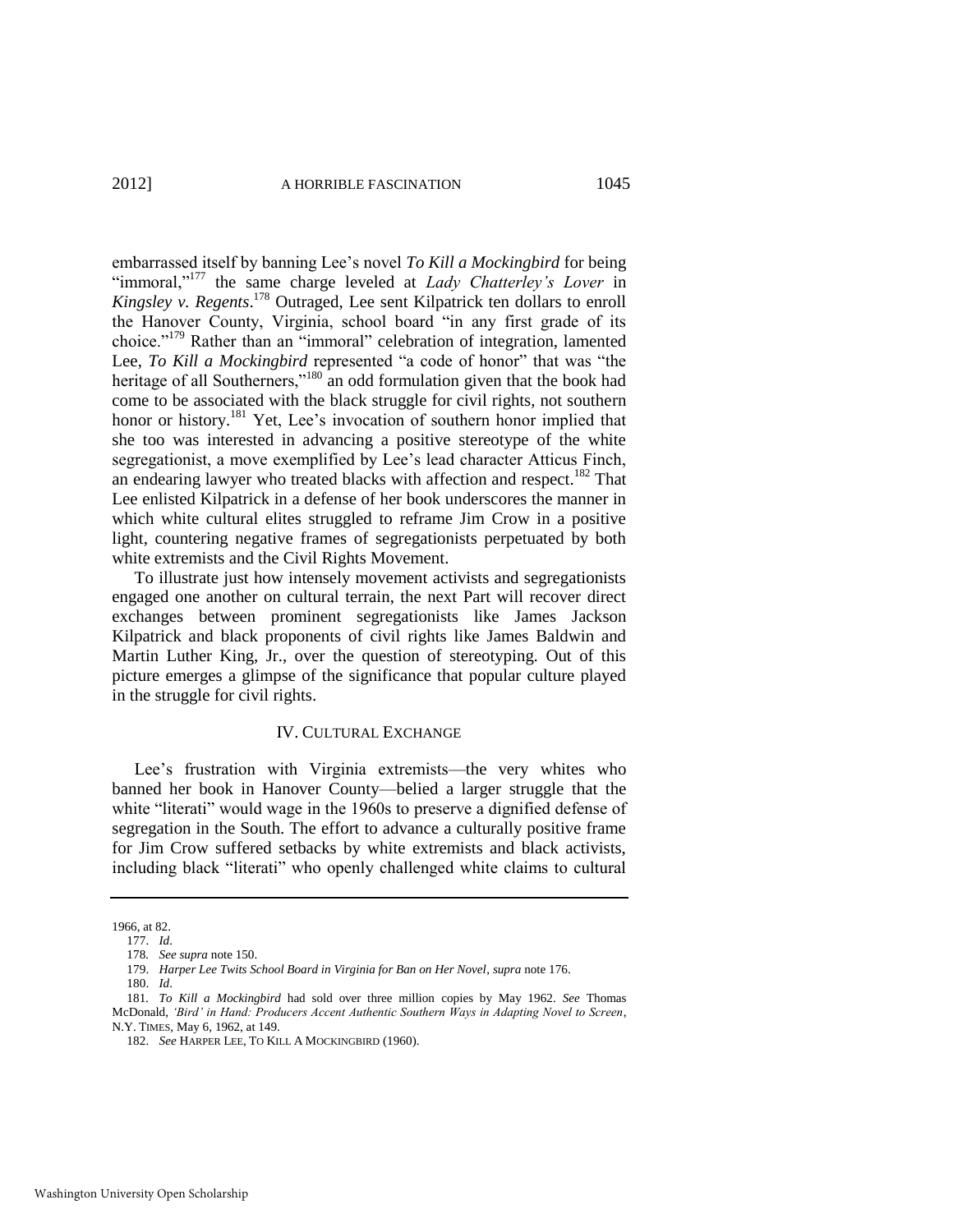embarrassed itself by banning Lee's novel *To Kill a Mockingbird* for being "immoral,"<sup>177</sup> the same charge leveled at *Lady Chatterley's Lover* in *Kingsley v. Regents*. <sup>178</sup> Outraged, Lee sent Kilpatrick ten dollars to enroll the Hanover County, Virginia, school board "in any first grade of its choice."<sup>179</sup> Rather than an "immoral" celebration of integration, lamented Lee, *To Kill a Mockingbird* represented "a code of honor" that was "the heritage of all Southerners,"<sup>180</sup> an odd formulation given that the book had come to be associated with the black struggle for civil rights, not southern honor or history.<sup>181</sup> Yet, Lee's invocation of southern honor implied that she too was interested in advancing a positive stereotype of the white segregationist, a move exemplified by Lee's lead character Atticus Finch, an endearing lawyer who treated blacks with affection and respect.<sup>182</sup> That Lee enlisted Kilpatrick in a defense of her book underscores the manner in which white cultural elites struggled to reframe Jim Crow in a positive light, countering negative frames of segregationists perpetuated by both white extremists and the Civil Rights Movement.

To illustrate just how intensely movement activists and segregationists engaged one another on cultural terrain, the next Part will recover direct exchanges between prominent segregationists like James Jackson Kilpatrick and black proponents of civil rights like James Baldwin and Martin Luther King, Jr., over the question of stereotyping. Out of this picture emerges a glimpse of the significance that popular culture played in the struggle for civil rights.

#### IV. CULTURAL EXCHANGE

Lee's frustration with Virginia extremists—the very whites who banned her book in Hanover County—belied a larger struggle that the white "literati" would wage in the 1960s to preserve a dignified defense of segregation in the South. The effort to advance a culturally positive frame for Jim Crow suffered setbacks by white extremists and black activists, including black "literati" who openly challenged white claims to cultural

<sup>1966,</sup> at 82.

<sup>177.</sup> *Id*.

<sup>178</sup>*. See supra* not[e 150.](#page-24-2) 

<sup>179.</sup> *Harper Lee Twits School Board in Virginia for Ban on Her Novel*, *supra* not[e 176.](#page-28-0) 

<sup>180.</sup> *Id*.

<sup>181</sup>*. To Kill a Mockingbird* had sold over three million copies by May 1962. *See* Thomas McDonald, *‗Bird' in Hand: Producers Accent Authentic Southern Ways in Adapting Novel to Screen*, N.Y. TIMES, May 6, 1962, at 149.

<sup>182.</sup> *See* HARPER LEE, TO KILL A MOCKINGBIRD (1960).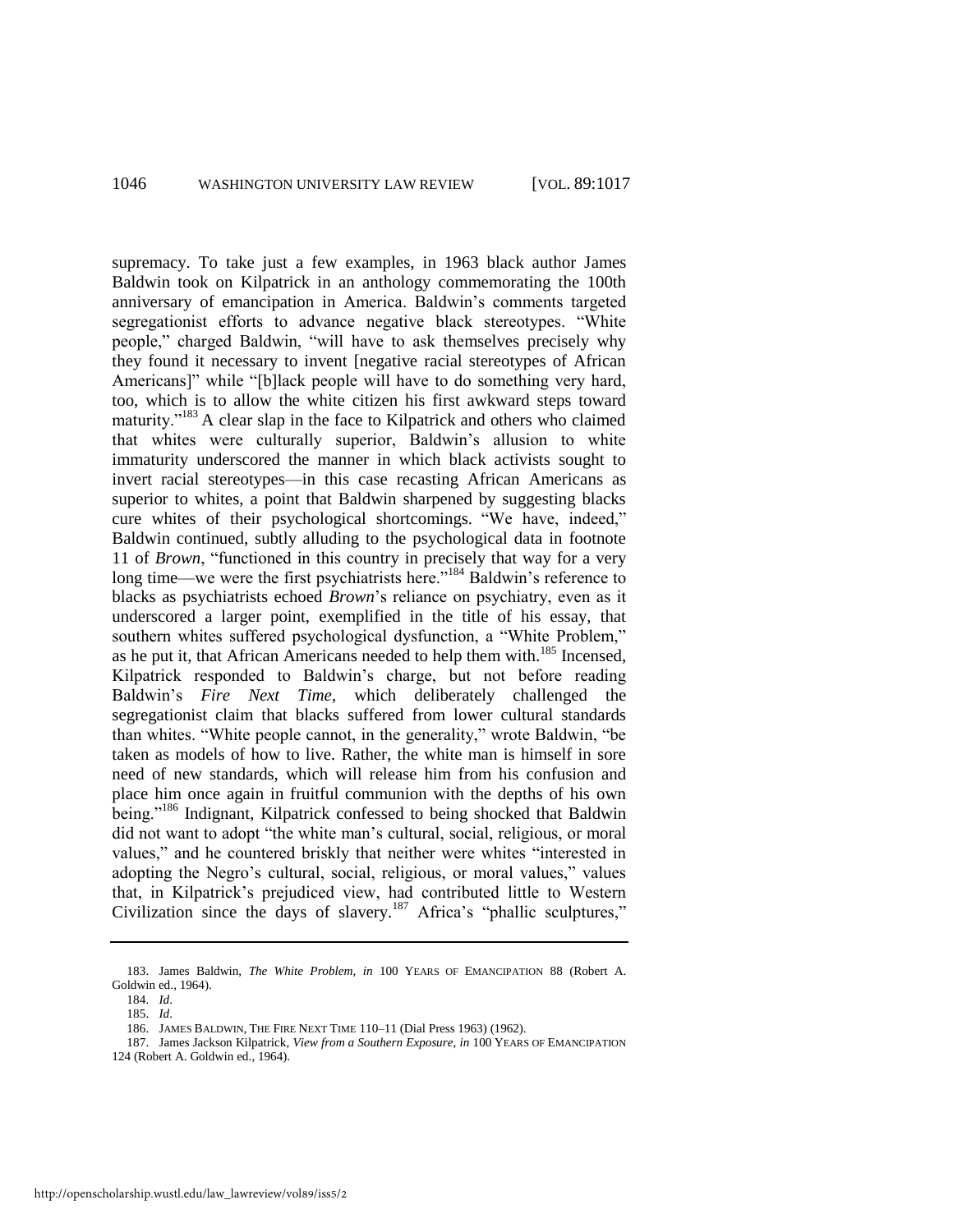supremacy. To take just a few examples, in 1963 black author James Baldwin took on Kilpatrick in an anthology commemorating the 100th anniversary of emancipation in America. Baldwin's comments targeted segregationist efforts to advance negative black stereotypes. "White people," charged Baldwin, "will have to ask themselves precisely why they found it necessary to invent [negative racial stereotypes of African Americans]" while "[b]lack people will have to do something very hard, too, which is to allow the white citizen his first awkward steps toward maturity."<sup>183</sup> A clear slap in the face to Kilpatrick and others who claimed that whites were culturally superior, Baldwin's allusion to white immaturity underscored the manner in which black activists sought to invert racial stereotypes—in this case recasting African Americans as superior to whites, a point that Baldwin sharpened by suggesting blacks cure whites of their psychological shortcomings. "We have, indeed," Baldwin continued, subtly alluding to the psychological data in footnote 11 of *Brown*, "functioned in this country in precisely that way for a very long time—we were the first psychiatrists here."<sup>184</sup> Baldwin's reference to blacks as psychiatrists echoed *Brown*'s reliance on psychiatry, even as it underscored a larger point, exemplified in the title of his essay, that southern whites suffered psychological dysfunction, a "White Problem," as he put it, that African Americans needed to help them with.<sup>185</sup> Incensed, Kilpatrick responded to Baldwin's charge, but not before reading Baldwin's *Fire Next Time*, which deliberately challenged the segregationist claim that blacks suffered from lower cultural standards than whites. "White people cannot, in the generality," wrote Baldwin, "be taken as models of how to live. Rather, the white man is himself in sore need of new standards, which will release him from his confusion and place him once again in fruitful communion with the depths of his own being."<sup>186</sup> Indignant, Kilpatrick confessed to being shocked that Baldwin did not want to adopt "the white man's cultural, social, religious, or moral values," and he countered briskly that neither were whites "interested in adopting the Negro's cultural, social, religious, or moral values," values that, in Kilpatrick's prejudiced view, had contributed little to Western Civilization since the days of slavery.<sup>187</sup> Africa's "phallic sculptures,"

<sup>183.</sup> James Baldwin, *The White Problem*, *in* 100 YEARS OF EMANCIPATION 88 (Robert A. Goldwin ed., 1964).

<span id="page-30-0"></span><sup>184.</sup> *Id*.

<sup>185.</sup> *Id*.

<sup>186.</sup> JAMES BALDWIN, THE FIRE NEXT TIME 110–11 (Dial Press 1963) (1962).

<sup>187.</sup> James Jackson Kilpatrick, *View from a Southern Exposure*, *in* 100 YEARS OF EMANCIPATION 124 (Robert A. Goldwin ed., 1964).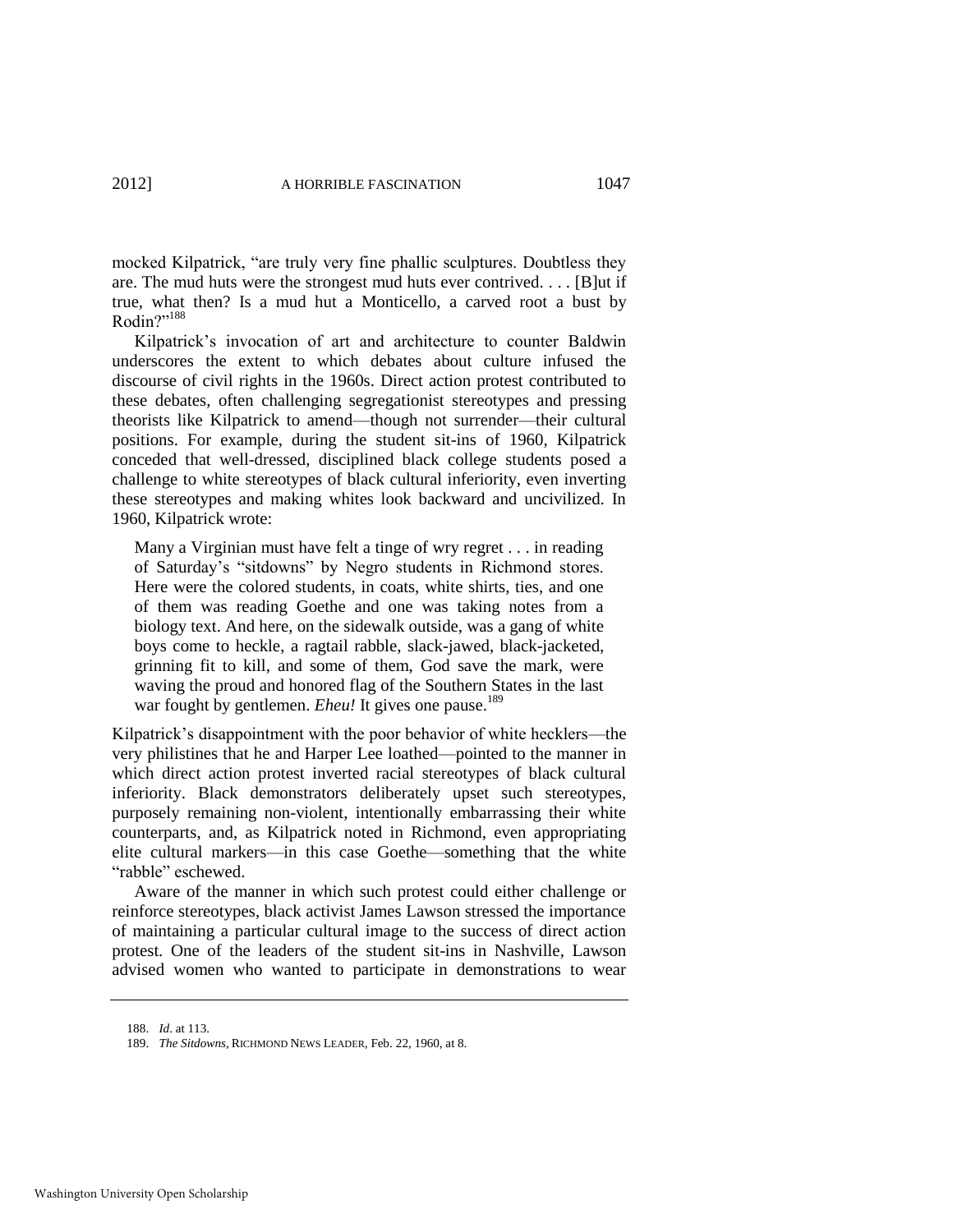mocked Kilpatrick, "are truly very fine phallic sculptures. Doubtless they are. The mud huts were the strongest mud huts ever contrived. . . . [B]ut if true, what then? Is a mud hut a Monticello, a carved root a bust by Rodin?"<sup>188</sup>

Kilpatrick's invocation of art and architecture to counter Baldwin underscores the extent to which debates about culture infused the discourse of civil rights in the 1960s. Direct action protest contributed to these debates, often challenging segregationist stereotypes and pressing theorists like Kilpatrick to amend—though not surrender—their cultural positions. For example, during the student sit-ins of 1960, Kilpatrick conceded that well-dressed, disciplined black college students posed a challenge to white stereotypes of black cultural inferiority, even inverting these stereotypes and making whites look backward and uncivilized. In 1960, Kilpatrick wrote:

Many a Virginian must have felt a tinge of wry regret . . . in reading of Saturday's "sitdowns" by Negro students in Richmond stores. Here were the colored students, in coats, white shirts, ties, and one of them was reading Goethe and one was taking notes from a biology text. And here, on the sidewalk outside, was a gang of white boys come to heckle, a ragtail rabble, slack-jawed, black-jacketed, grinning fit to kill, and some of them, God save the mark, were waving the proud and honored flag of the Southern States in the last war fought by gentlemen. *Eheu!* It gives one pause.<sup>189</sup>

Kilpatrick's disappointment with the poor behavior of white hecklers—the very philistines that he and Harper Lee loathed—pointed to the manner in which direct action protest inverted racial stereotypes of black cultural inferiority. Black demonstrators deliberately upset such stereotypes, purposely remaining non-violent, intentionally embarrassing their white counterparts, and, as Kilpatrick noted in Richmond, even appropriating elite cultural markers—in this case Goethe—something that the white "rabble" eschewed.

Aware of the manner in which such protest could either challenge or reinforce stereotypes, black activist James Lawson stressed the importance of maintaining a particular cultural image to the success of direct action protest. One of the leaders of the student sit-ins in Nashville, Lawson advised women who wanted to participate in demonstrations to wear

<sup>188.</sup> *Id*. at 113.

<sup>189.</sup> *The Sitdowns*, RICHMOND NEWS LEADER, Feb. 22, 1960, at 8.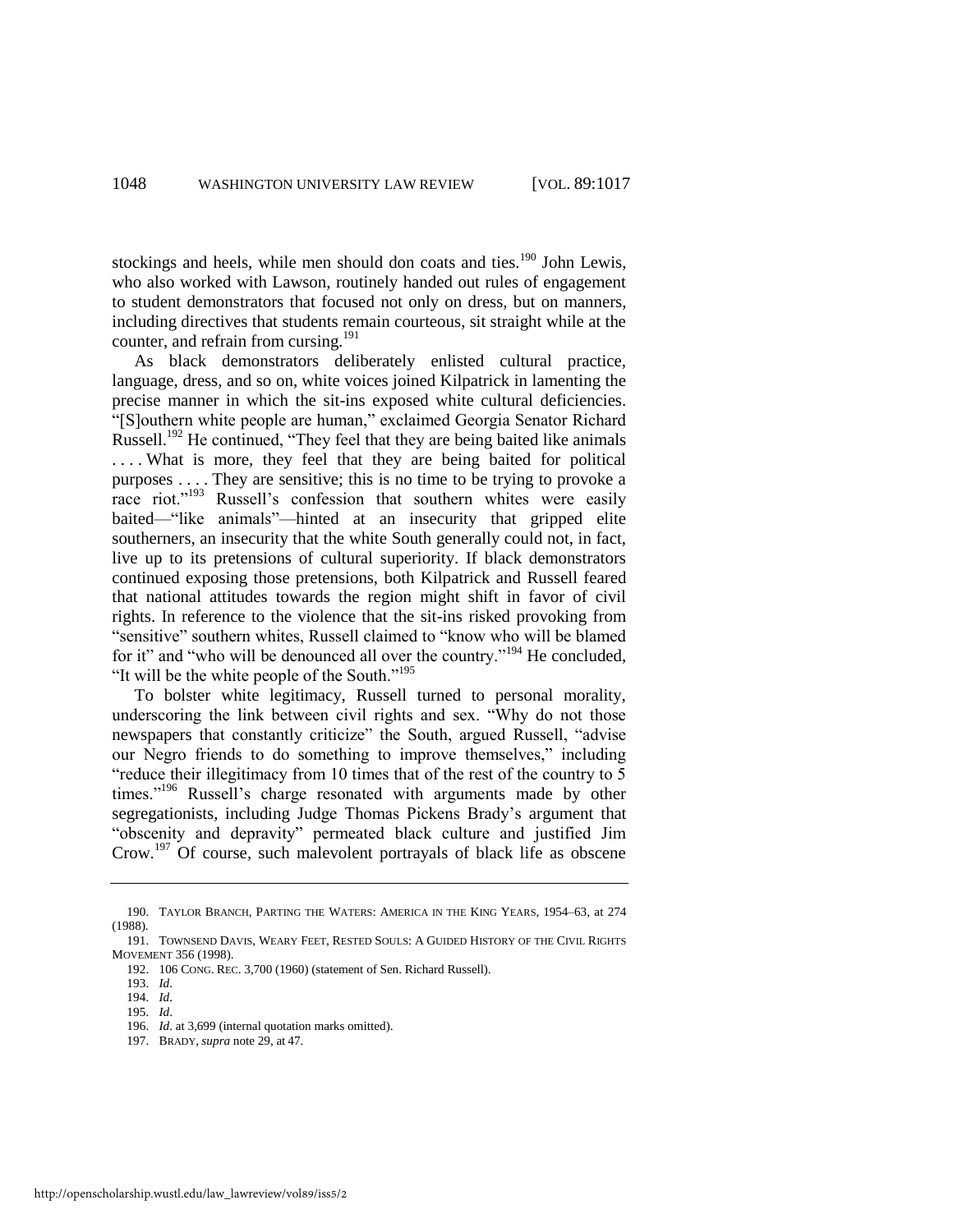<span id="page-32-0"></span>stockings and heels, while men should don coats and ties.<sup>190</sup> John Lewis, who also worked with Lawson, routinely handed out rules of engagement to student demonstrators that focused not only on dress, but on manners, including directives that students remain courteous, sit straight while at the counter, and refrain from cursing.<sup>191</sup>

As black demonstrators deliberately enlisted cultural practice, language, dress, and so on, white voices joined Kilpatrick in lamenting the precise manner in which the sit-ins exposed white cultural deficiencies. "[S]outhern white people are human," exclaimed Georgia Senator Richard Russell.<sup>192</sup> He continued, "They feel that they are being baited like animals ... What is more, they feel that they are being baited for political purposes . . . . They are sensitive; this is no time to be trying to provoke a race riot."<sup>193</sup> Russell's confession that southern whites were easily baited—"like animals"—hinted at an insecurity that gripped elite southerners, an insecurity that the white South generally could not, in fact, live up to its pretensions of cultural superiority. If black demonstrators continued exposing those pretensions, both Kilpatrick and Russell feared that national attitudes towards the region might shift in favor of civil rights. In reference to the violence that the sit-ins risked provoking from "sensitive" southern whites, Russell claimed to "know who will be blamed for it" and "who will be denounced all over the country."<sup>194</sup> He concluded, "It will be the white people of the South."<sup>195</sup>

To bolster white legitimacy, Russell turned to personal morality, underscoring the link between civil rights and sex. "Why do not those newspapers that constantly criticize" the South, argued Russell, "advise" our Negro friends to do something to improve themselves," including "reduce their illegitimacy from 10 times that of the rest of the country to 5 times."<sup>196</sup> Russell's charge resonated with arguments made by other segregationists, including Judge Thomas Pickens Brady's argument that "obscenity and depravity" permeated black culture and justified Jim Crow.<sup>197</sup> Of course, such malevolent portrayals of black life as obscene

<sup>190.</sup> TAYLOR BRANCH, PARTING THE WATERS: AMERICA IN THE KING YEARS, 1954*–*63, at 274 (1988).

<sup>191.</sup> TOWNSEND DAVIS, WEARY FEET, RESTED SOULS: A GUIDED HISTORY OF THE CIVIL RIGHTS MOVEMENT 356 (1998).

<sup>192. 106</sup> CONG. REC. 3,700 (1960) (statement of Sen. Richard Russell).

<sup>193.</sup> *Id*.

<sup>194.</sup> *Id*.

<sup>195.</sup> *Id*.

<sup>196.</sup> *Id*. at 3,699 (internal quotation marks omitted).

<sup>197.</sup> BRADY, *supra* not[e 29,](#page-7-0) at 47.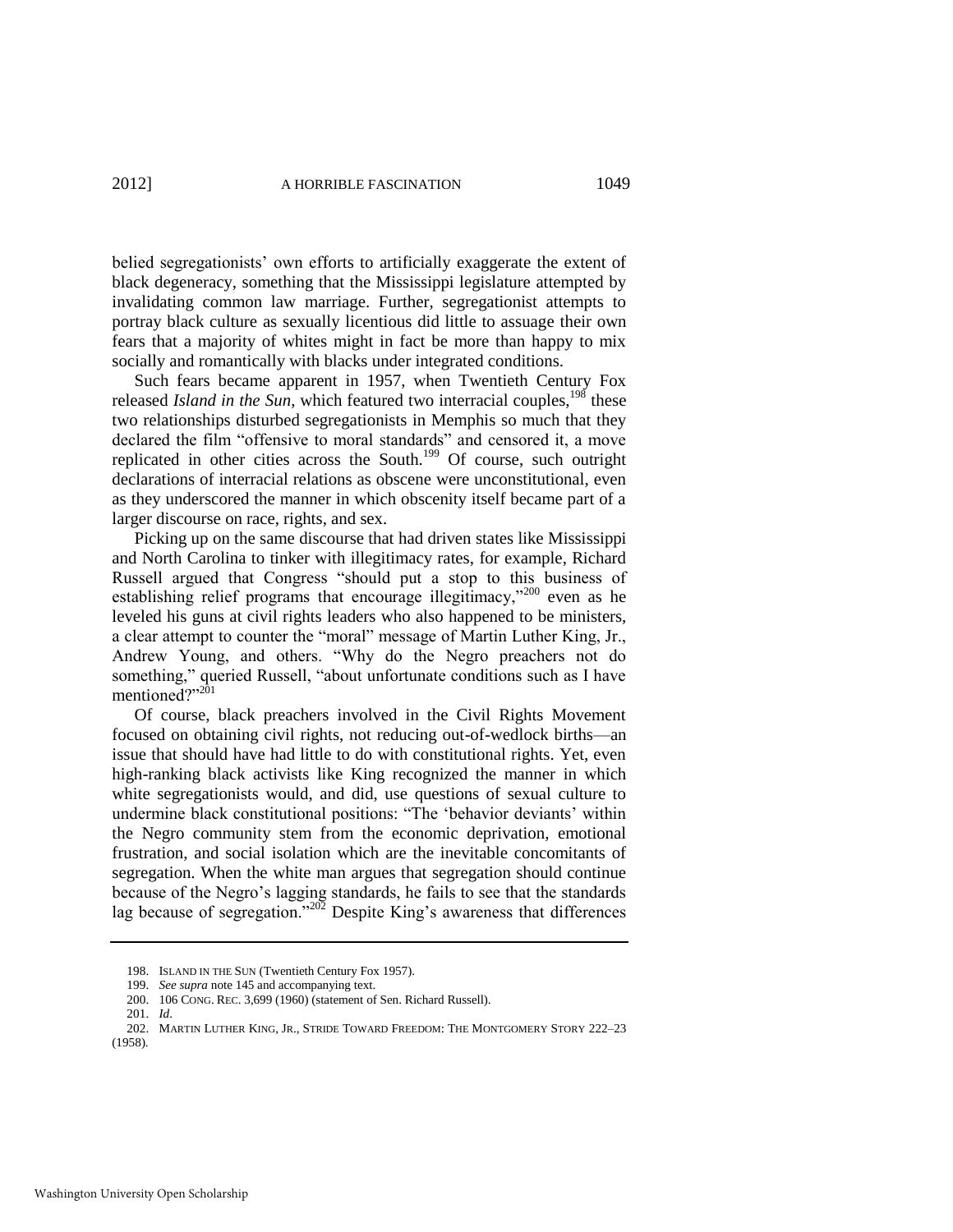belied segregationists' own efforts to artificially exaggerate the extent of black degeneracy, something that the Mississippi legislature attempted by invalidating common law marriage. Further, segregationist attempts to portray black culture as sexually licentious did little to assuage their own fears that a majority of whites might in fact be more than happy to mix socially and romantically with blacks under integrated conditions.

Such fears became apparent in 1957, when Twentieth Century Fox released *Island in the Sun*, which featured two interracial couples,<sup>198</sup> these two relationships disturbed segregationists in Memphis so much that they declared the film "offensive to moral standards" and censored it, a move replicated in other cities across the South.<sup>199</sup> Of course, such outright declarations of interracial relations as obscene were unconstitutional, even as they underscored the manner in which obscenity itself became part of a larger discourse on race, rights, and sex.

Picking up on the same discourse that had driven states like Mississippi and North Carolina to tinker with illegitimacy rates, for example, Richard Russell argued that Congress "should put a stop to this business of establishing relief programs that encourage illegitimacy,"<sup>200</sup> even as he leveled his guns at civil rights leaders who also happened to be ministers, a clear attempt to counter the "moral" message of Martin Luther King, Jr., Andrew Young, and others. "Why do the Negro preachers not do something," queried Russell, "about unfortunate conditions such as I have mentioned?"201

Of course, black preachers involved in the Civil Rights Movement focused on obtaining civil rights, not reducing out-of-wedlock births—an issue that should have had little to do with constitutional rights. Yet, even high-ranking black activists like King recognized the manner in which white segregationists would, and did, use questions of sexual culture to undermine black constitutional positions: "The 'behavior deviants' within the Negro community stem from the economic deprivation, emotional frustration, and social isolation which are the inevitable concomitants of segregation. When the white man argues that segregation should continue because of the Negro's lagging standards, he fails to see that the standards lag because of segregation.<sup>7202</sup> Despite King's awareness that differences

<sup>198.</sup> ISLAND IN THE SUN (Twentieth Century Fox 1957).

<sup>199.</sup> *See supra* not[e 145 a](#page-23-0)nd accompanying text.

<sup>200. 106</sup> CONG. REC. 3,699 (1960) (statement of Sen. Richard Russell).

<sup>201.</sup> *Id*.

<sup>202.</sup> MARTIN LUTHER KING, JR., STRIDE TOWARD FREEDOM: THE MONTGOMERY STORY 222–23 (1958).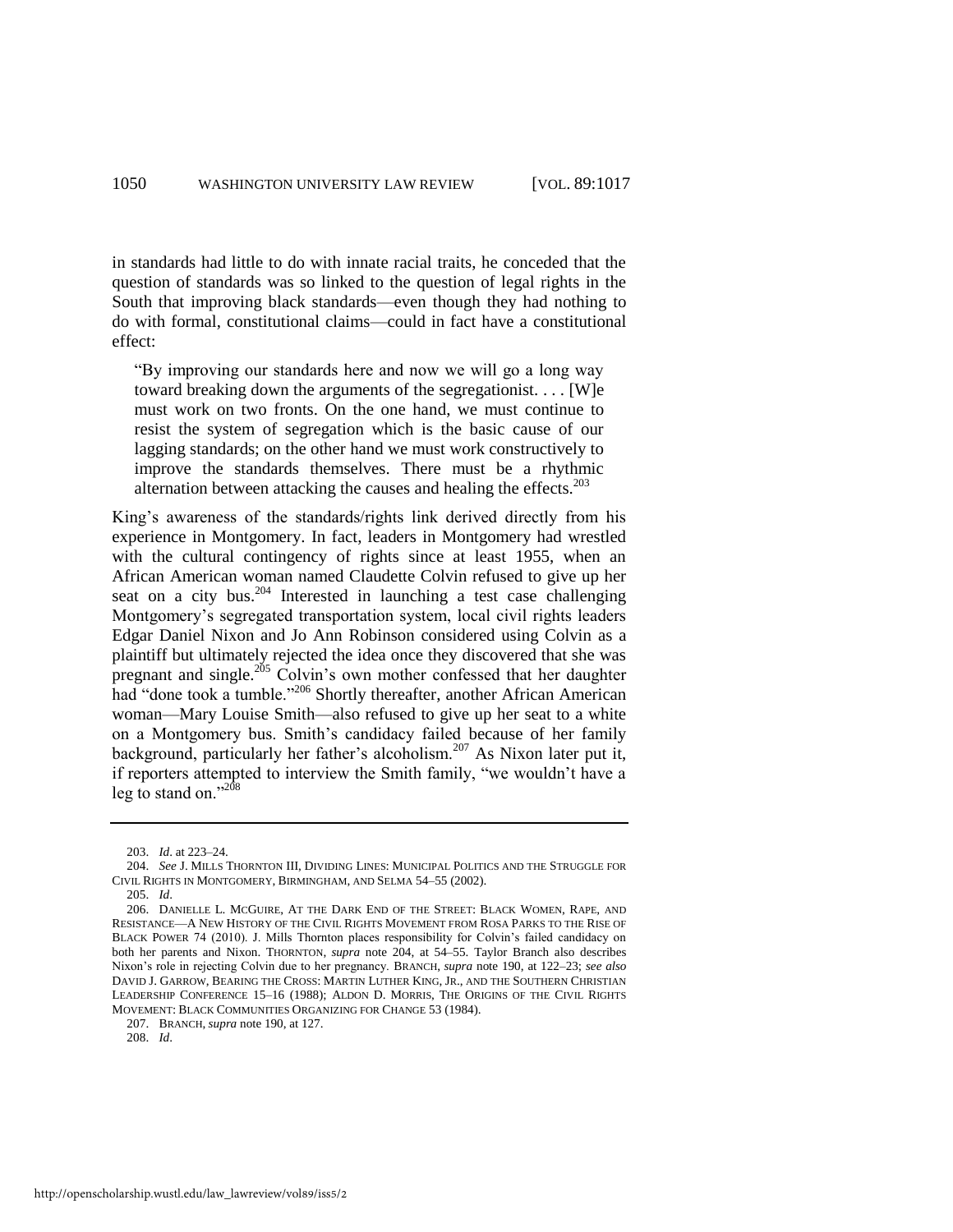in standards had little to do with innate racial traits, he conceded that the question of standards was so linked to the question of legal rights in the South that improving black standards—even though they had nothing to do with formal, constitutional claims—could in fact have a constitutional effect:

―By improving our standards here and now we will go a long way toward breaking down the arguments of the segregationist. . . . [W]e must work on two fronts. On the one hand, we must continue to resist the system of segregation which is the basic cause of our lagging standards; on the other hand we must work constructively to improve the standards themselves. There must be a rhythmic alternation between attacking the causes and healing the effects.<sup>203</sup>

<span id="page-34-0"></span>King's awareness of the standards/rights link derived directly from his experience in Montgomery. In fact, leaders in Montgomery had wrestled with the cultural contingency of rights since at least 1955, when an African American woman named Claudette Colvin refused to give up her seat on a city bus.<sup>204</sup> Interested in launching a test case challenging Montgomery's segregated transportation system, local civil rights leaders Edgar Daniel Nixon and Jo Ann Robinson considered using Colvin as a plaintiff but ultimately rejected the idea once they discovered that she was pregnant and single.<sup>205</sup> Colvin's own mother confessed that her daughter had "done took a tumble."<sup>206</sup> Shortly thereafter, another African American woman—Mary Louise Smith—also refused to give up her seat to a white on a Montgomery bus. Smith's candidacy failed because of her family background, particularly her father's alcoholism.<sup>207</sup> As Nixon later put it, if reporters attempted to interview the Smith family, "we wouldn't have a leg to stand on." $208$ 

<span id="page-34-1"></span><sup>203.</sup> *Id*. at 223–24.

<sup>204.</sup> *See* J. MILLS THORNTON III, DIVIDING LINES: MUNICIPAL POLITICS AND THE STRUGGLE FOR CIVIL RIGHTS IN MONTGOMERY, BIRMINGHAM, AND SELMA 54*–*55 (2002).

<sup>205.</sup> *Id*.

<sup>206.</sup> DANIELLE L. MCGUIRE, AT THE DARK END OF THE STREET: BLACK WOMEN, RAPE, AND RESISTANCE—A NEW HISTORY OF THE CIVIL RIGHTS MOVEMENT FROM ROSA PARKS TO THE RISE OF BLACK POWER 74 (2010). J. Mills Thornton places responsibility for Colvin's failed candidacy on both her parents and Nixon. THORNTON, *supra* note [204,](#page-34-0) at 54*–*55. Taylor Branch also describes Nixon's role in rejecting Colvin due to her pregnancy. BRANCH, *supra* not[e 190,](#page-32-0) at 122*–*23; *see also*  DAVID J. GARROW, BEARING THE CROSS: MARTIN LUTHER KING, JR., AND THE SOUTHERN CHRISTIAN LEADERSHIP CONFERENCE 15*–*16 (1988); ALDON D. MORRIS, THE ORIGINS OF THE CIVIL RIGHTS MOVEMENT: BLACK COMMUNITIES ORGANIZING FOR CHANGE 53 (1984).

<sup>207.</sup> BRANCH, *supra* not[e 190,](#page-32-0) at 127.

<sup>208.</sup> *Id*.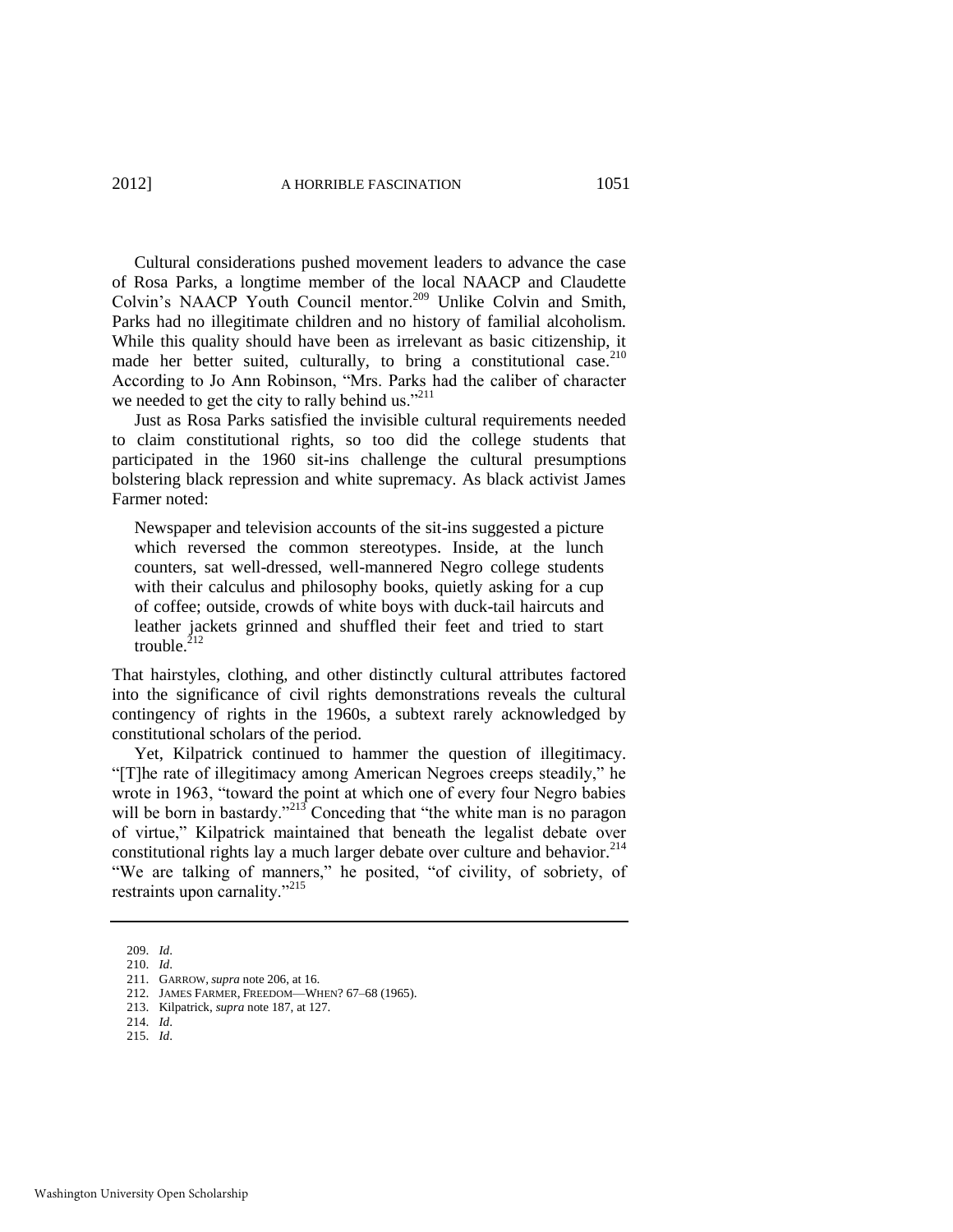Cultural considerations pushed movement leaders to advance the case of Rosa Parks, a longtime member of the local NAACP and Claudette Colvin's NAACP Youth Council mentor.<sup>209</sup> Unlike Colvin and Smith, Parks had no illegitimate children and no history of familial alcoholism. While this quality should have been as irrelevant as basic citizenship, it made her better suited, culturally, to bring a constitutional case.  $2^{10}$ According to Jo Ann Robinson, "Mrs. Parks had the caliber of character we needed to get the city to rally behind us."<sup>211</sup>

Just as Rosa Parks satisfied the invisible cultural requirements needed to claim constitutional rights, so too did the college students that participated in the 1960 sit-ins challenge the cultural presumptions bolstering black repression and white supremacy. As black activist James Farmer noted:

Newspaper and television accounts of the sit-ins suggested a picture which reversed the common stereotypes. Inside, at the lunch counters, sat well-dressed, well-mannered Negro college students with their calculus and philosophy books, quietly asking for a cup of coffee; outside, crowds of white boys with duck-tail haircuts and leather jackets grinned and shuffled their feet and tried to start trouble. $^{212}$ 

That hairstyles, clothing, and other distinctly cultural attributes factored into the significance of civil rights demonstrations reveals the cultural contingency of rights in the 1960s, a subtext rarely acknowledged by constitutional scholars of the period.

Yet, Kilpatrick continued to hammer the question of illegitimacy. "[T]he rate of illegitimacy among American Negroes creeps steadily," he wrote in 1963, "toward the point at which one of every four Negro babies will be born in bastardy.<sup>213</sup> Conceding that "the white man is no paragon of virtue," Kilpatrick maintained that beneath the legalist debate over constitutional rights lay a much larger debate over culture and behavior.<sup>214</sup> "We are talking of manners," he posited, "of civility, of sobriety, of restraints upon carnality." $^{215}$ 

214. *Id*.

<sup>209.</sup> *Id*.

<sup>210.</sup> *Id*.

<sup>211.</sup> GARROW, *supra* not[e 206,](#page-34-1) at 16.

<sup>212.</sup> JAMES FARMER, FREEDOM—WHEN? 67*–*68 (1965).

<sup>213.</sup> Kilpatrick, *supra* not[e 187,](#page-30-0) at 127.

<sup>215.</sup> *Id*.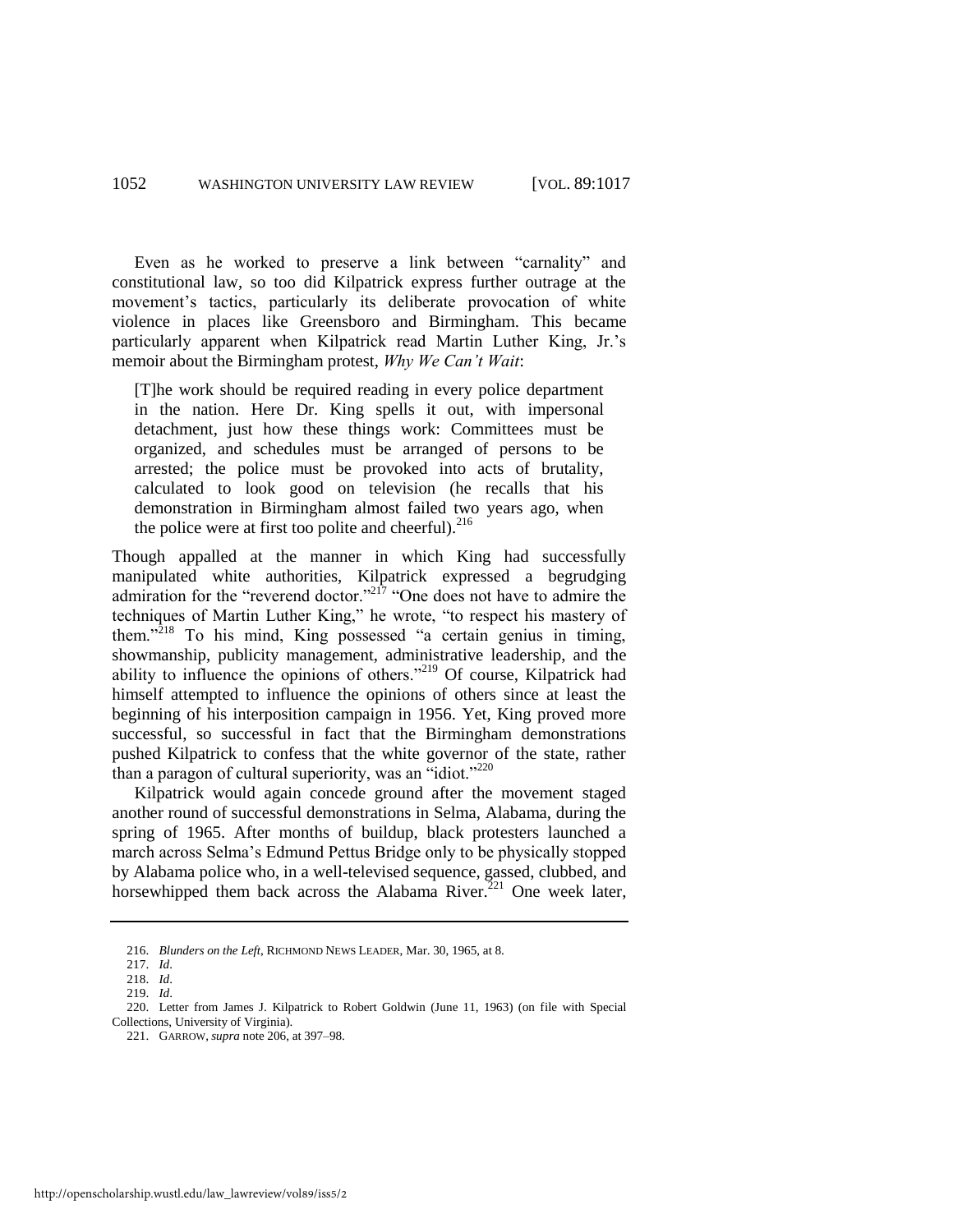Even as he worked to preserve a link between "carnality" and constitutional law, so too did Kilpatrick express further outrage at the movement's tactics, particularly its deliberate provocation of white violence in places like Greensboro and Birmingham. This became particularly apparent when Kilpatrick read Martin Luther King, Jr.'s memoir about the Birmingham protest, *Why We Can't Wait*:

[T]he work should be required reading in every police department in the nation. Here Dr. King spells it out, with impersonal detachment, just how these things work: Committees must be organized, and schedules must be arranged of persons to be arrested; the police must be provoked into acts of brutality, calculated to look good on television (he recalls that his demonstration in Birmingham almost failed two years ago, when the police were at first too polite and cheerful).<sup>216</sup>

Though appalled at the manner in which King had successfully manipulated white authorities, Kilpatrick expressed a begrudging admiration for the "reverend doctor."<sup>217</sup> "One does not have to admire the techniques of Martin Luther King," he wrote, "to respect his mastery of them." $218$  To his mind, King possessed "a certain genius in timing, showmanship, publicity management, administrative leadership, and the ability to influence the opinions of others."<sup>219</sup> Of course, Kilpatrick had himself attempted to influence the opinions of others since at least the beginning of his interposition campaign in 1956. Yet, King proved more successful, so successful in fact that the Birmingham demonstrations pushed Kilpatrick to confess that the white governor of the state, rather than a paragon of cultural superiority, was an  $\cdot$ idiot."<sup>220</sup>

Kilpatrick would again concede ground after the movement staged another round of successful demonstrations in Selma, Alabama, during the spring of 1965. After months of buildup, black protesters launched a march across Selma's Edmund Pettus Bridge only to be physically stopped by Alabama police who, in a well-televised sequence, gassed, clubbed, and horsewhipped them back across the Alabama River.<sup>221</sup> One week later,

<sup>216.</sup> *Blunders on the Left*, RICHMOND NEWS LEADER, Mar. 30, 1965, at 8.

<sup>217.</sup> *Id*.

<sup>218.</sup> *Id*.

<sup>219.</sup> *Id*.

<sup>220.</sup> Letter from James J. Kilpatrick to Robert Goldwin (June 11, 1963) (on file with Special Collections, University of Virginia).

<sup>221.</sup> GARROW, *supra* not[e 206,](#page-34-1) at 397–98.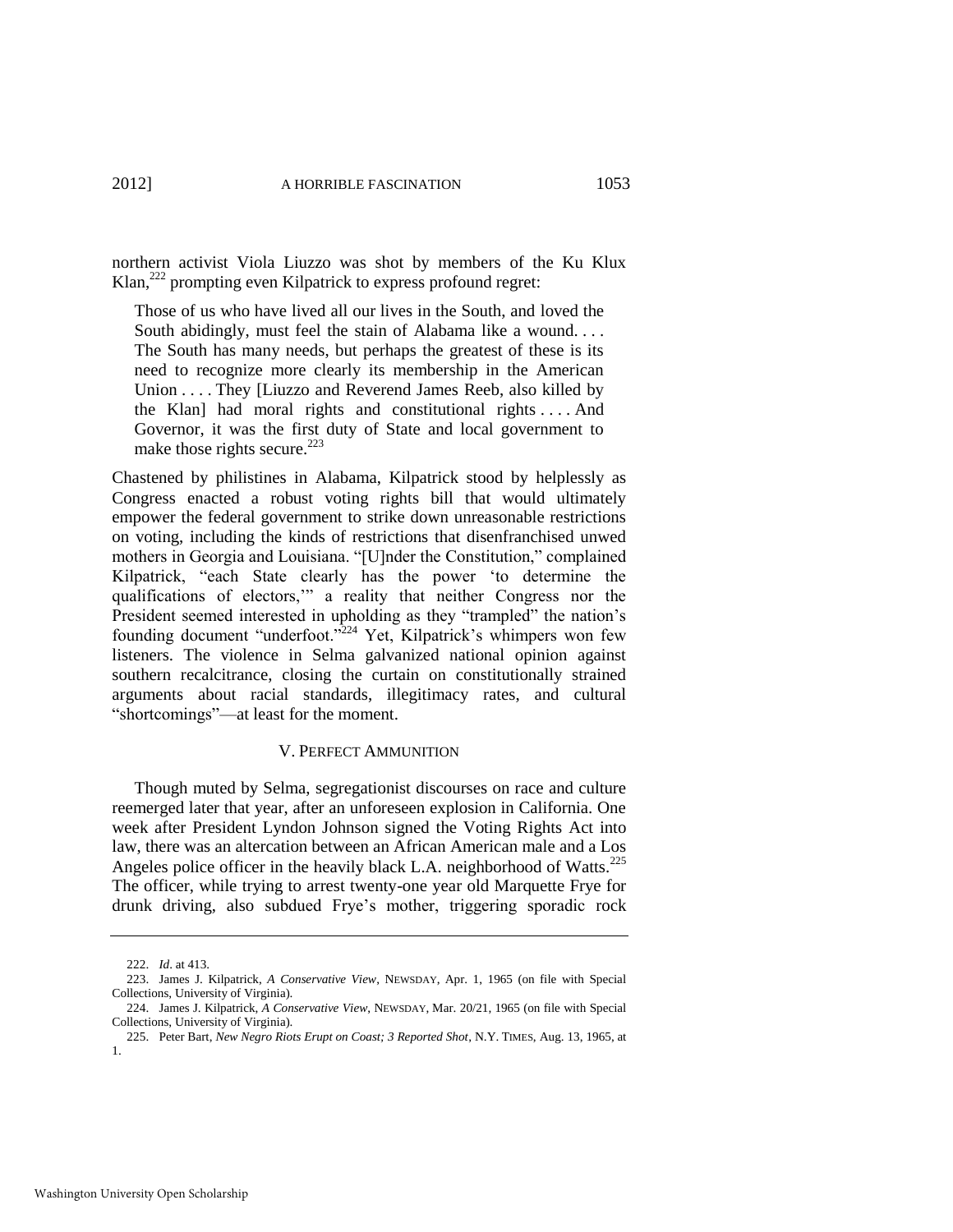northern activist Viola Liuzzo was shot by members of the Ku Klux Klan,<sup>222</sup> prompting even Kilpatrick to express profound regret:

Those of us who have lived all our lives in the South, and loved the South abidingly, must feel the stain of Alabama like a wound. . . . The South has many needs, but perhaps the greatest of these is its need to recognize more clearly its membership in the American Union . . . . They [Liuzzo and Reverend James Reeb, also killed by the Klan] had moral rights and constitutional rights . . . . And Governor, it was the first duty of State and local government to make those rights secure.<sup>223</sup>

Chastened by philistines in Alabama, Kilpatrick stood by helplessly as Congress enacted a robust voting rights bill that would ultimately empower the federal government to strike down unreasonable restrictions on voting, including the kinds of restrictions that disenfranchised unwed mothers in Georgia and Louisiana. "[U]nder the Constitution," complained Kilpatrick, "each State clearly has the power 'to determine the qualifications of electors," a reality that neither Congress nor the President seemed interested in upholding as they "trampled" the nation's founding document "underfoot."<sup>224</sup> Yet, Kilpatrick's whimpers won few listeners. The violence in Selma galvanized national opinion against southern recalcitrance, closing the curtain on constitutionally strained arguments about racial standards, illegitimacy rates, and cultural "shortcomings"—at least for the moment.

#### V. PERFECT AMMUNITION

Though muted by Selma, segregationist discourses on race and culture reemerged later that year, after an unforeseen explosion in California. One week after President Lyndon Johnson signed the Voting Rights Act into law, there was an altercation between an African American male and a Los Angeles police officer in the heavily black L.A. neighborhood of Watts.<sup>225</sup> The officer, while trying to arrest twenty-one year old Marquette Frye for drunk driving, also subdued Frye's mother, triggering sporadic rock

<sup>222.</sup> *Id*. at 413.

<sup>223.</sup> James J. Kilpatrick, *A Conservative View*, NEWSDAY, Apr. 1, 1965 (on file with Special Collections, University of Virginia).

<sup>224.</sup> James J. Kilpatrick, *A Conservative View*, NEWSDAY, Mar. 20/21, 1965 (on file with Special Collections, University of Virginia).

<sup>225.</sup> Peter Bart, *New Negro Riots Erupt on Coast; 3 Reported Shot*, N.Y. TIMES, Aug. 13, 1965, at 1.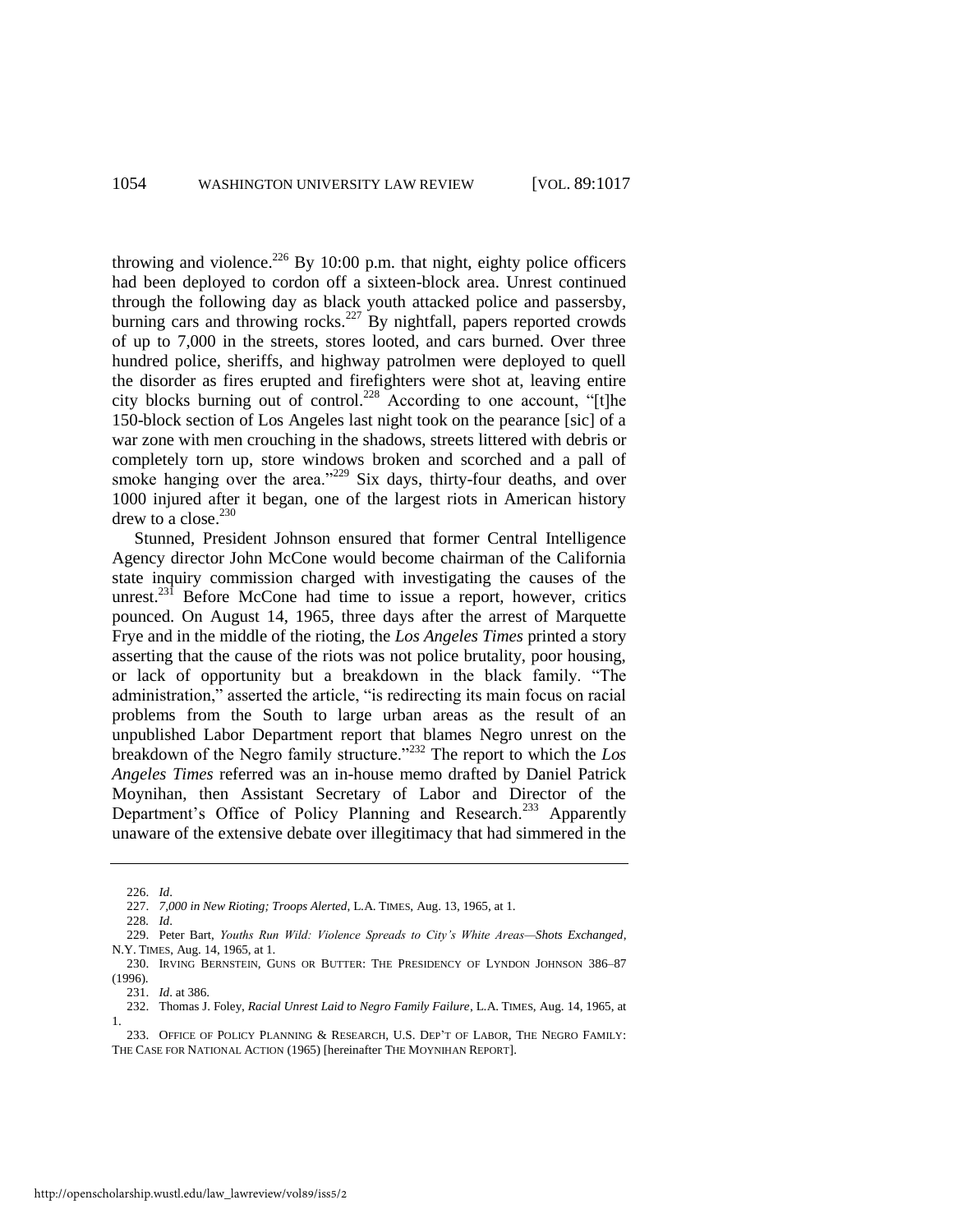throwing and violence.<sup>226</sup> By 10:00 p.m. that night, eighty police officers had been deployed to cordon off a sixteen-block area. Unrest continued through the following day as black youth attacked police and passersby, burning cars and throwing rocks.<sup>227</sup> By nightfall, papers reported crowds of up to 7,000 in the streets, stores looted, and cars burned. Over three hundred police, sheriffs, and highway patrolmen were deployed to quell the disorder as fires erupted and firefighters were shot at, leaving entire city blocks burning out of control.<sup>228</sup> According to one account, "[t]he 150-block section of Los Angeles last night took on the pearance [sic] of a war zone with men crouching in the shadows, streets littered with debris or completely torn up, store windows broken and scorched and a pall of smoke hanging over the area."<sup>229</sup> Six days, thirty-four deaths, and over 1000 injured after it began, one of the largest riots in American history drew to a close.<sup>230</sup>

Stunned, President Johnson ensured that former Central Intelligence Agency director John McCone would become chairman of the California state inquiry commission charged with investigating the causes of the unrest.<sup>231</sup> Before McCone had time to issue a report, however, critics pounced. On August 14, 1965, three days after the arrest of Marquette Frye and in the middle of the rioting, the *Los Angeles Times* printed a story asserting that the cause of the riots was not police brutality, poor housing, or lack of opportunity but a breakdown in the black family. "The administration," asserted the article, "is redirecting its main focus on racial problems from the South to large urban areas as the result of an unpublished Labor Department report that blames Negro unrest on the breakdown of the Negro family structure.<sup>2232</sup> The report to which the *Los Angeles Times* referred was an in-house memo drafted by Daniel Patrick Moynihan, then Assistant Secretary of Labor and Director of the Department's Office of Policy Planning and Research.<sup>233</sup> Apparently unaware of the extensive debate over illegitimacy that had simmered in the

<span id="page-38-0"></span><sup>226.</sup> *Id*.

<sup>227.</sup> *7,000 in New Rioting; Troops Alerted*, L.A. TIMES, Aug. 13, 1965, at 1.

<sup>228</sup>*. Id*.

<sup>229.</sup> Peter Bart, *Youths Run Wild: Violence Spreads to City's White Areas—Shots Exchanged*, N.Y. TIMES, Aug. 14, 1965, at 1.

<sup>230.</sup> IRVING BERNSTEIN, GUNS OR BUTTER: THE PRESIDENCY OF LYNDON JOHNSON 386–87 (1996).

<sup>231.</sup> *Id*. at 386.

<sup>232.</sup> Thomas J. Foley, *Racial Unrest Laid to Negro Family Failure*, L.A. TIMES, Aug. 14, 1965, at 1.

<sup>233.</sup> OFFICE OF POLICY PLANNING & RESEARCH, U.S. DEP'T OF LABOR, THE NEGRO FAMILY: THE CASE FOR NATIONAL ACTION (1965) [hereinafter THE MOYNIHAN REPORT].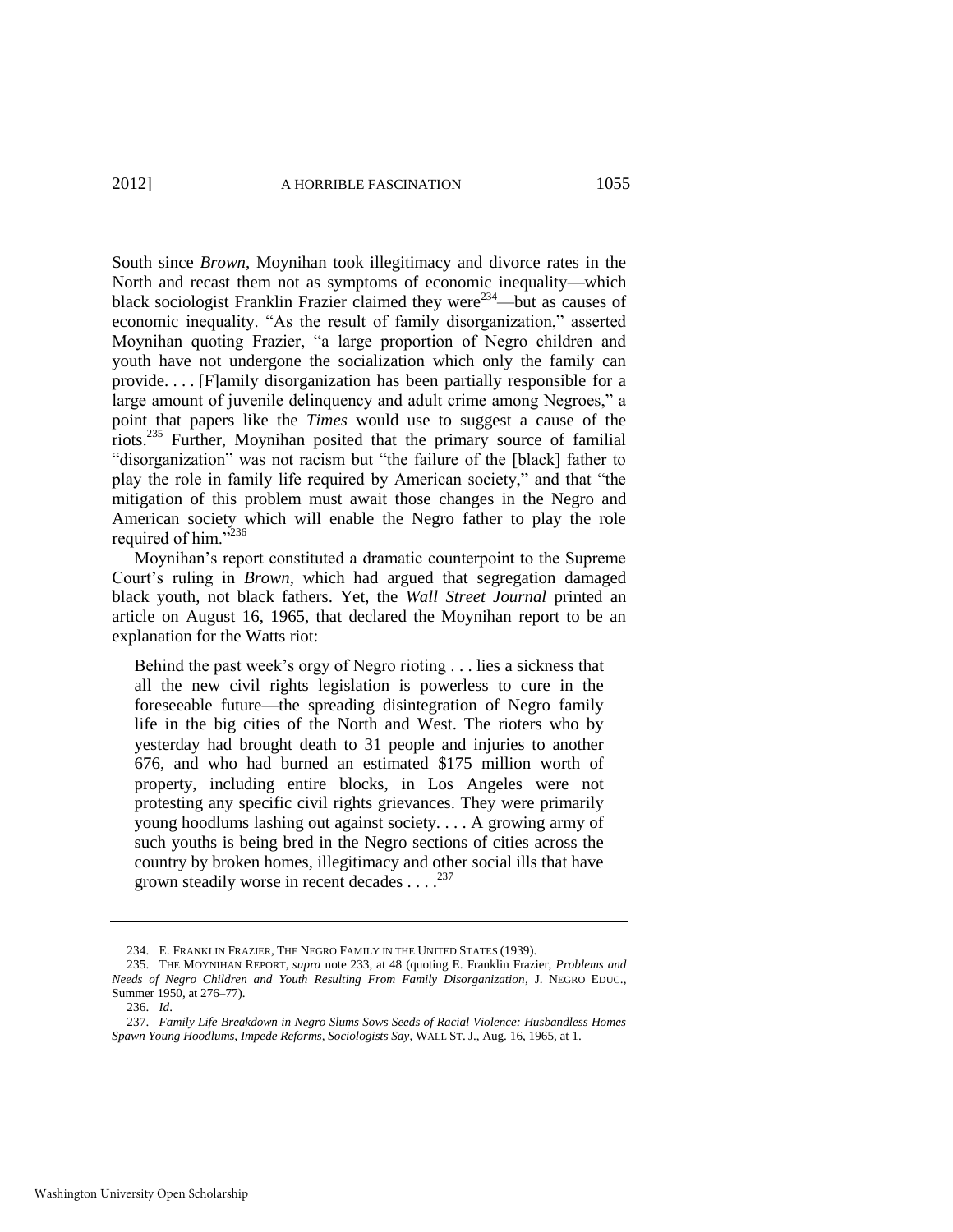South since *Brown*, Moynihan took illegitimacy and divorce rates in the North and recast them not as symptoms of economic inequality—which black sociologist Franklin Frazier claimed they were<sup>234</sup>—but as causes of economic inequality. "As the result of family disorganization," asserted Moynihan quoting Frazier, "a large proportion of Negro children and youth have not undergone the socialization which only the family can provide. . . . [F]amily disorganization has been partially responsible for a large amount of juvenile delinquency and adult crime among Negroes," a point that papers like the *Times* would use to suggest a cause of the riots.<sup>235</sup> Further, Moynihan posited that the primary source of familial "disorganization" was not racism but "the failure of the [black] father to play the role in family life required by American society," and that "the mitigation of this problem must await those changes in the Negro and American society which will enable the Negro father to play the role required of him."<sup>236</sup>

Moynihan's report constituted a dramatic counterpoint to the Supreme Court's ruling in *Brown*, which had argued that segregation damaged black youth, not black fathers. Yet, the *Wall Street Journal* printed an article on August 16, 1965, that declared the Moynihan report to be an explanation for the Watts riot:

Behind the past week's orgy of Negro rioting . . . lies a sickness that all the new civil rights legislation is powerless to cure in the foreseeable future—the spreading disintegration of Negro family life in the big cities of the North and West. The rioters who by yesterday had brought death to 31 people and injuries to another 676, and who had burned an estimated \$175 million worth of property, including entire blocks, in Los Angeles were not protesting any specific civil rights grievances. They were primarily young hoodlums lashing out against society. . . . A growing army of such youths is being bred in the Negro sections of cities across the country by broken homes, illegitimacy and other social ills that have grown steadily worse in recent decades  $\dots$ .<sup>237</sup>

<sup>234.</sup> E. FRANKLIN FRAZIER, THE NEGRO FAMILY IN THE UNITED STATES (1939).

<sup>235.</sup> THE MOYNIHAN REPORT, *supra* note [233,](#page-38-0) at 48 (quoting E. Franklin Frazier, *Problems and Needs of Negro Children and Youth Resulting From Family Disorganization*, J. NEGRO EDUC., Summer 1950, at 276–77).

<sup>236.</sup> *Id*.

<sup>237.</sup> *Family Life Breakdown in Negro Slums Sows Seeds of Racial Violence: Husbandless Homes Spawn Young Hoodlums, Impede Reforms, Sociologists Say*, WALL ST. J., Aug. 16, 1965, at 1.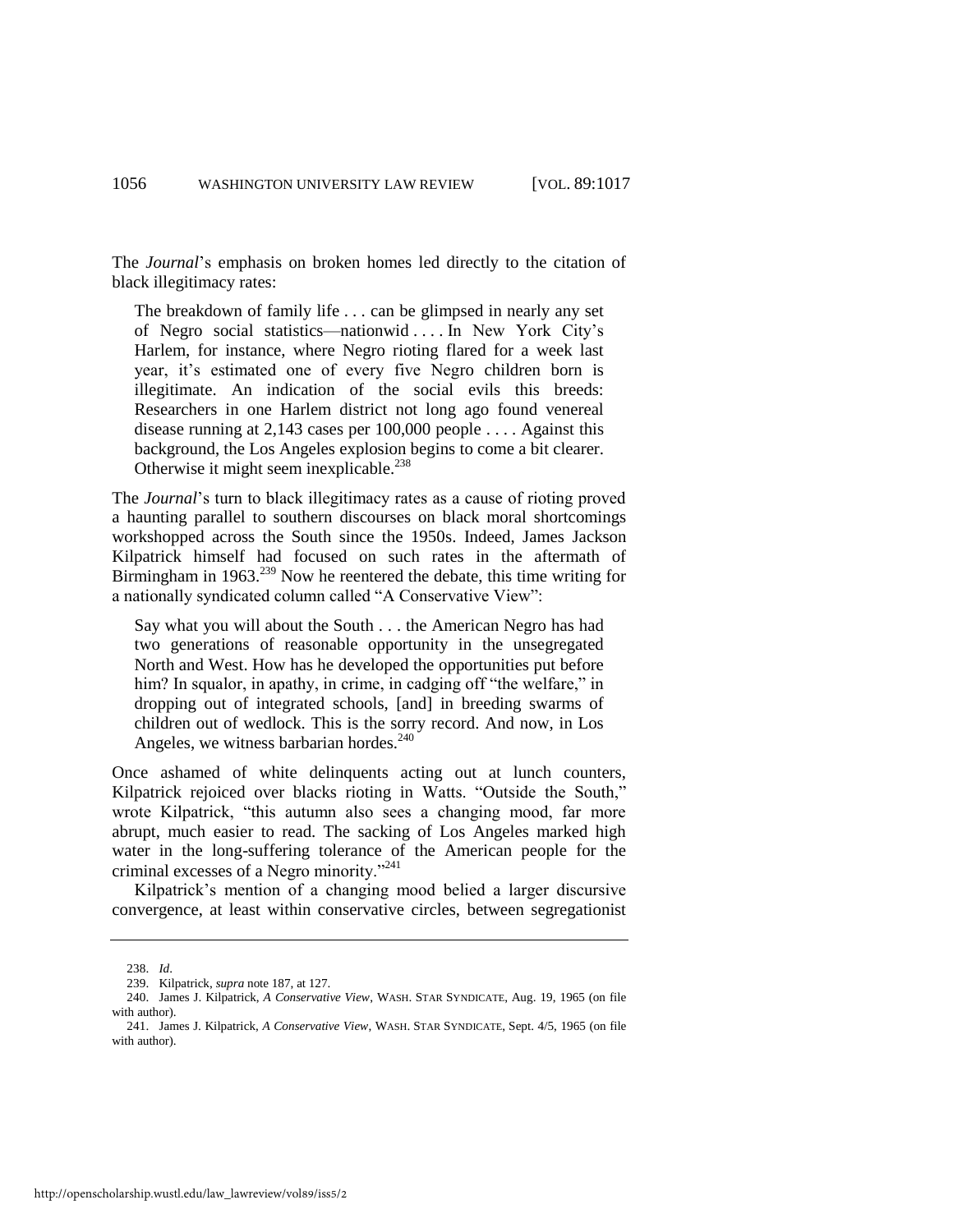The *Journal*'s emphasis on broken homes led directly to the citation of black illegitimacy rates:

The breakdown of family life . . . can be glimpsed in nearly any set of Negro social statistics—nationwid . . . . In New York City's Harlem, for instance, where Negro rioting flared for a week last year, it's estimated one of every five Negro children born is illegitimate. An indication of the social evils this breeds: Researchers in one Harlem district not long ago found venereal disease running at 2,143 cases per 100,000 people . . . . Against this background, the Los Angeles explosion begins to come a bit clearer. Otherwise it might seem inexplicable.<sup>238</sup>

The *Journal*'s turn to black illegitimacy rates as a cause of rioting proved a haunting parallel to southern discourses on black moral shortcomings workshopped across the South since the 1950s. Indeed, James Jackson Kilpatrick himself had focused on such rates in the aftermath of Birmingham in 1963.<sup>239</sup> Now he reentered the debate, this time writing for a nationally syndicated column called "A Conservative View":

Say what you will about the South . . . the American Negro has had two generations of reasonable opportunity in the unsegregated North and West. How has he developed the opportunities put before him? In squalor, in apathy, in crime, in cadging off "the welfare," in dropping out of integrated schools, [and] in breeding swarms of children out of wedlock. This is the sorry record. And now, in Los Angeles, we witness barbarian hordes.<sup>240</sup>

Once ashamed of white delinquents acting out at lunch counters, Kilpatrick rejoiced over blacks rioting in Watts. "Outside the South," wrote Kilpatrick, "this autumn also sees a changing mood, far more abrupt, much easier to read. The sacking of Los Angeles marked high water in the long-suffering tolerance of the American people for the criminal excesses of a Negro minority."<sup>241</sup>

Kilpatrick's mention of a changing mood belied a larger discursive convergence, at least within conservative circles, between segregationist

<sup>238.</sup> *Id*.

<sup>239.</sup> Kilpatrick, *supra* not[e 187,](#page-30-0) at 127.

<sup>240.</sup> James J. Kilpatrick, *A Conservative View*, WASH. STAR SYNDICATE, Aug. 19, 1965 (on file with author).

<sup>241.</sup> James J. Kilpatrick, *A Conservative View*, WASH. STAR SYNDICATE, Sept. 4/5, 1965 (on file with author).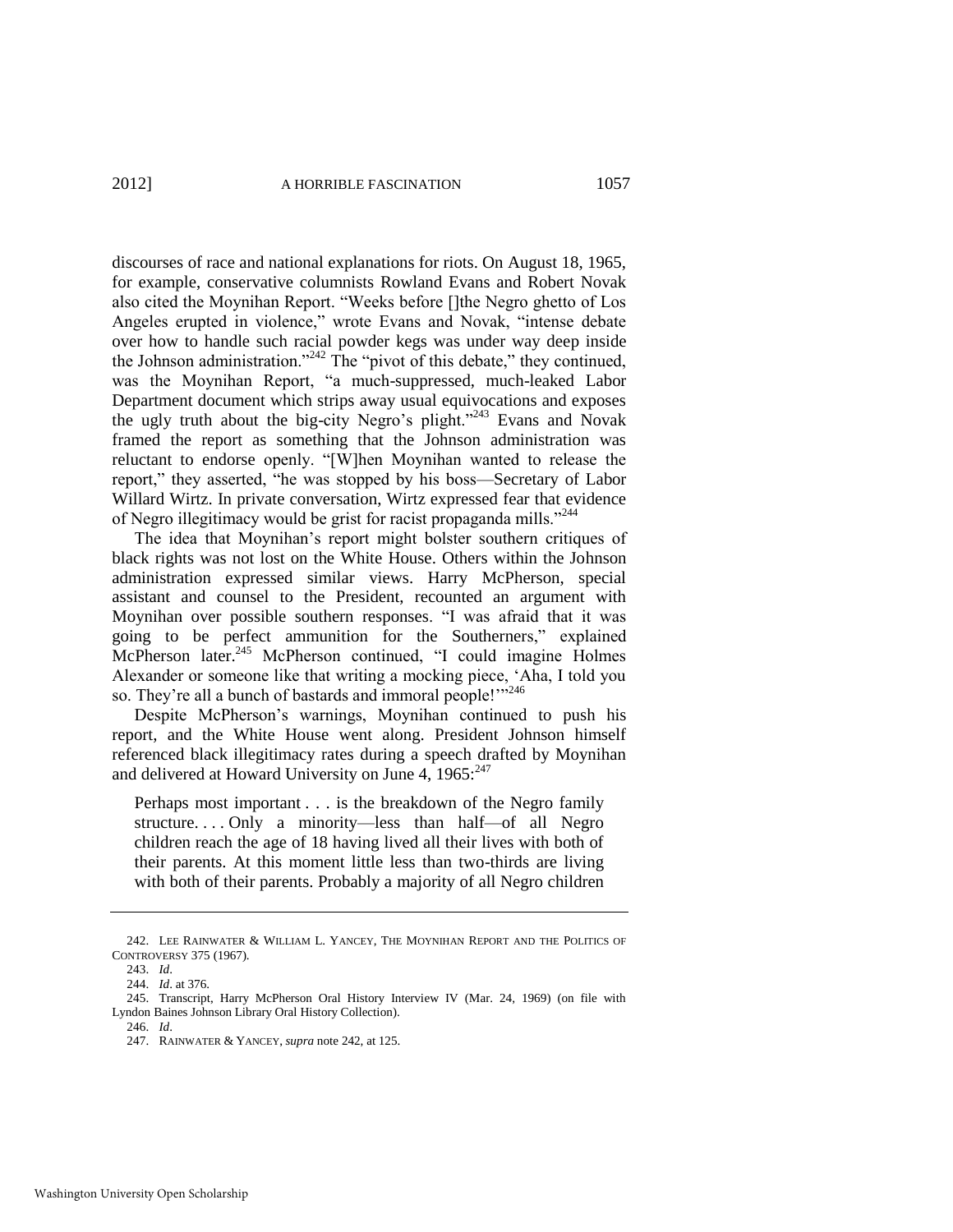discourses of race and national explanations for riots. On August 18, 1965, for example, conservative columnists Rowland Evans and Robert Novak also cited the Moynihan Report. "Weeks before []the Negro ghetto of Los Angeles erupted in violence," wrote Evans and Novak, "intense debate over how to handle such racial powder kegs was under way deep inside the Johnson administration."<sup>242</sup> The "pivot of this debate," they continued, was the Moynihan Report, "a much-suppressed, much-leaked Labor Department document which strips away usual equivocations and exposes the ugly truth about the big-city Negro's plight."<sup>243</sup> Evans and Novak framed the report as something that the Johnson administration was reluctant to endorse openly. "[W]hen Moynihan wanted to release the report," they asserted, "he was stopped by his boss—Secretary of Labor Willard Wirtz. In private conversation, Wirtz expressed fear that evidence of Negro illegitimacy would be grist for racist propaganda mills."<sup>244</sup>

The idea that Moynihan's report might bolster southern critiques of black rights was not lost on the White House. Others within the Johnson administration expressed similar views. Harry McPherson, special assistant and counsel to the President, recounted an argument with Moynihan over possible southern responses. "I was afraid that it was going to be perfect ammunition for the Southerners," explained McPherson later.<sup>245</sup> McPherson continued, "I could imagine Holmes Alexander or someone like that writing a mocking piece, 'Aha, I told you so. They're all a bunch of bastards and immoral people!"<sup>246</sup>

Despite McPherson's warnings, Moynihan continued to push his report, and the White House went along. President Johnson himself referenced black illegitimacy rates during a speech drafted by Moynihan and delivered at Howard University on June 4,  $1965:^{247}$ 

Perhaps most important . . . is the breakdown of the Negro family structure. . . . Only a minority—less than half—of all Negro children reach the age of 18 having lived all their lives with both of their parents. At this moment little less than two-thirds are living with both of their parents. Probably a majority of all Negro children

<span id="page-41-0"></span>

<sup>242.</sup> LEE RAINWATER & WILLIAM L. YANCEY, THE MOYNIHAN REPORT AND THE POLITICS OF CONTROVERSY 375 (1967).

<sup>243.</sup> *Id*.

<sup>244.</sup> *Id*. at 376.

<sup>245.</sup> Transcript, Harry McPherson Oral History Interview IV (Mar. 24, 1969) (on file with Lyndon Baines Johnson Library Oral History Collection).

<sup>246.</sup> *Id*.

<sup>247.</sup> RAINWATER & YANCEY, *supra* not[e 242,](#page-41-0) at 125.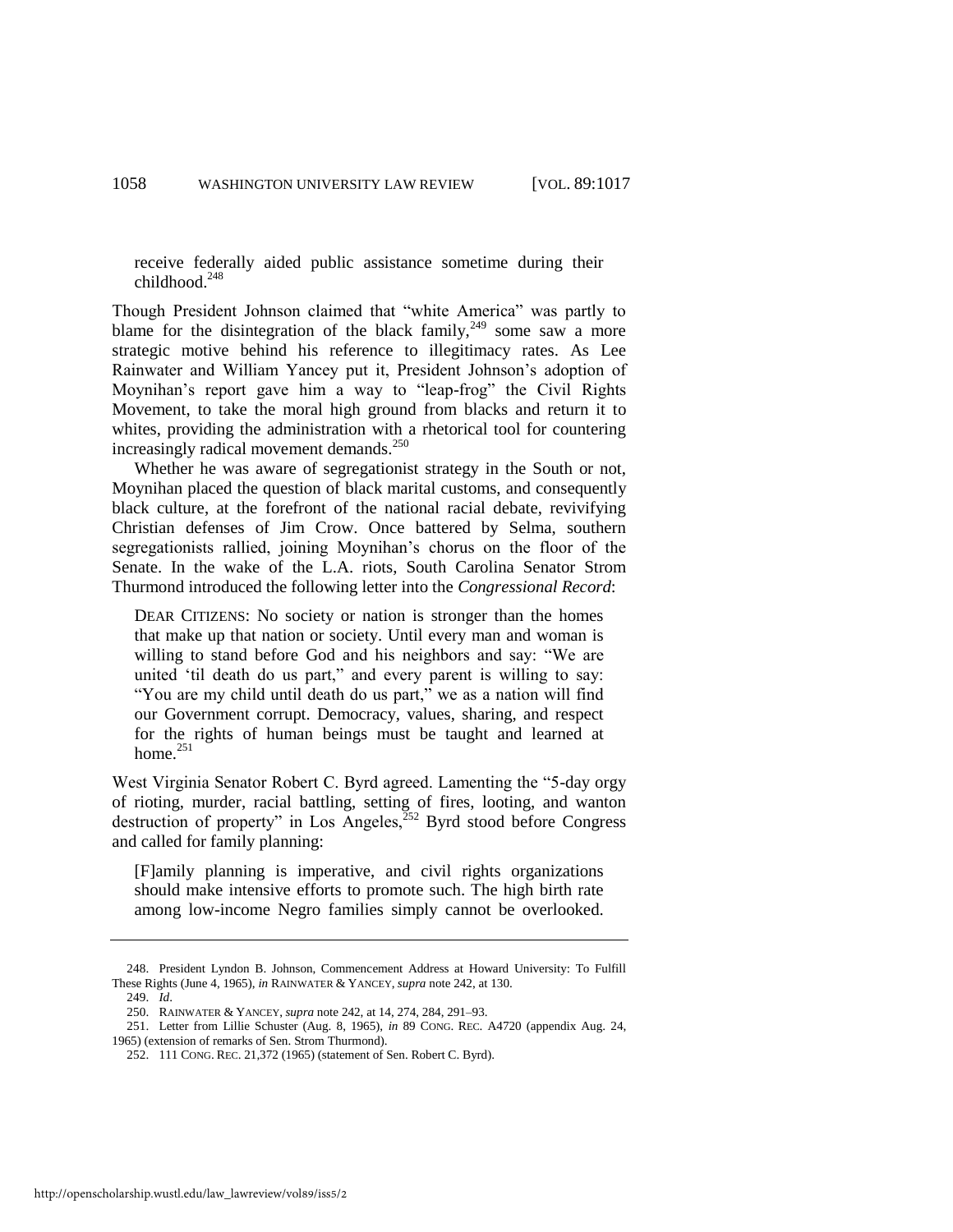receive federally aided public assistance sometime during their childhood.<sup>248</sup>

Though President Johnson claimed that "white America" was partly to blame for the disintegration of the black family,  $249$  some saw a more strategic motive behind his reference to illegitimacy rates. As Lee Rainwater and William Yancey put it, President Johnson's adoption of Moynihan's report gave him a way to "leap-frog" the Civil Rights Movement, to take the moral high ground from blacks and return it to whites, providing the administration with a rhetorical tool for countering increasingly radical movement demands. $^{250}$ 

Whether he was aware of segregationist strategy in the South or not, Moynihan placed the question of black marital customs, and consequently black culture, at the forefront of the national racial debate, revivifying Christian defenses of Jim Crow. Once battered by Selma, southern segregationists rallied, joining Moynihan's chorus on the floor of the Senate. In the wake of the L.A. riots, South Carolina Senator Strom Thurmond introduced the following letter into the *Congressional Record*:

DEAR CITIZENS: No society or nation is stronger than the homes that make up that nation or society. Until every man and woman is willing to stand before God and his neighbors and say: "We are united 'til death do us part," and every parent is willing to say: "You are my child until death do us part," we as a nation will find our Government corrupt. Democracy, values, sharing, and respect for the rights of human beings must be taught and learned at home. $251$ 

West Virginia Senator Robert C. Byrd agreed. Lamenting the "5-day orgy of rioting, murder, racial battling, setting of fires, looting, and wanton destruction of property" in Los Angeles, $^{252}$  Byrd stood before Congress and called for family planning:

[F]amily planning is imperative, and civil rights organizations should make intensive efforts to promote such. The high birth rate among low-income Negro families simply cannot be overlooked.

<sup>248.</sup> President Lyndon B. Johnson, Commencement Address at Howard University: To Fulfill These Rights (June 4, 1965), *in* RAINWATER & YANCEY, *supra* not[e 242,](#page-41-0) at 130.

<sup>249.</sup> *Id*.

<sup>250.</sup> RAINWATER & YANCEY, *supra* not[e 242,](#page-41-0) at 14, 274, 284, 291*–*93.

<sup>251.</sup> Letter from Lillie Schuster (Aug. 8, 1965), *in* 89 CONG. REC. A4720 (appendix Aug. 24, 1965) (extension of remarks of Sen. Strom Thurmond).

<sup>252. 111</sup> CONG. REC. 21,372 (1965) (statement of Sen. Robert C. Byrd).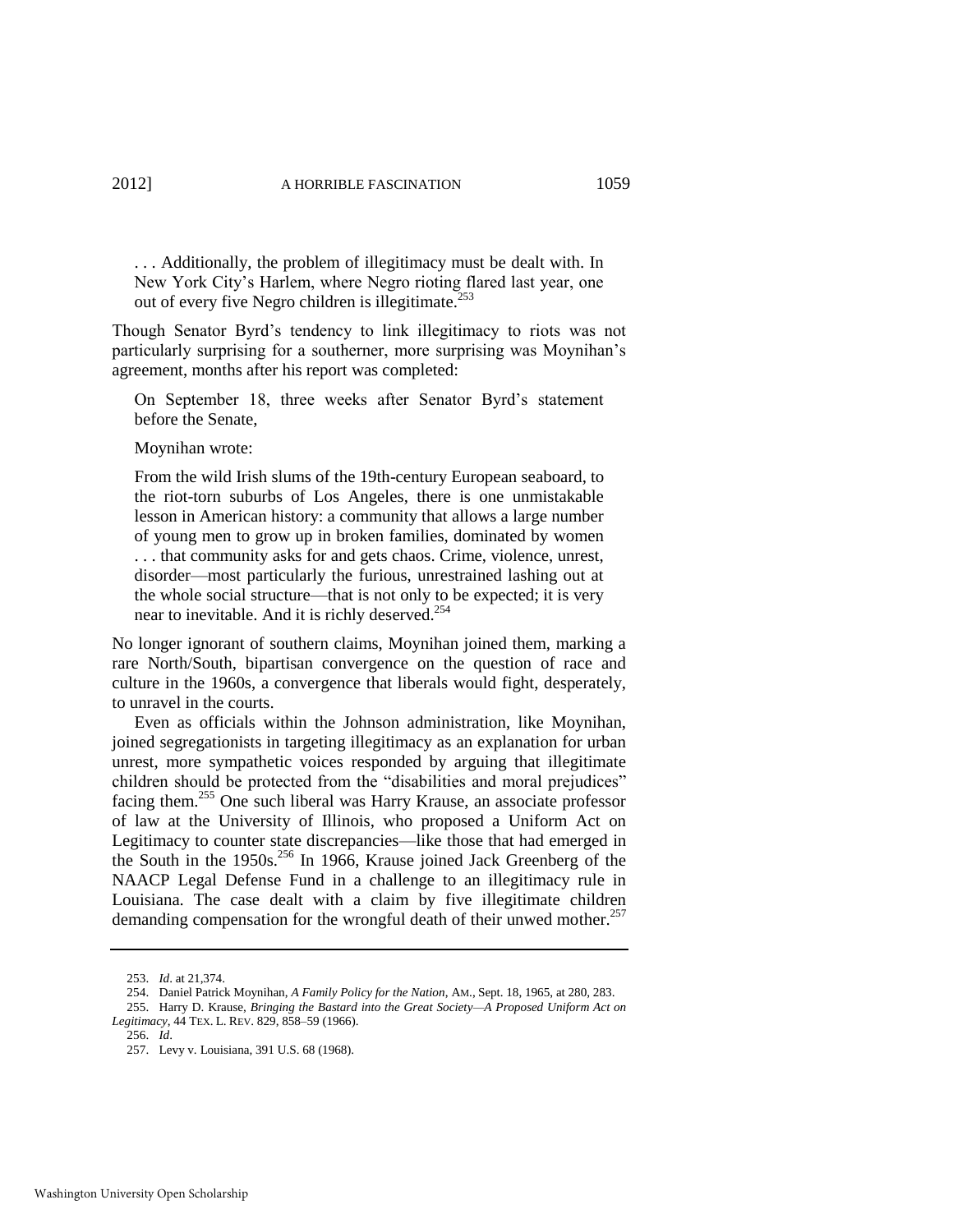. . . Additionally, the problem of illegitimacy must be dealt with. In New York City's Harlem, where Negro rioting flared last year, one out of every five Negro children is illegitimate.<sup>253</sup>

Though Senator Byrd's tendency to link illegitimacy to riots was not particularly surprising for a southerner, more surprising was Moynihan's agreement, months after his report was completed:

On September 18, three weeks after Senator Byrd's statement before the Senate,

Moynihan wrote:

From the wild Irish slums of the 19th-century European seaboard, to the riot-torn suburbs of Los Angeles, there is one unmistakable lesson in American history: a community that allows a large number of young men to grow up in broken families, dominated by women . . . that community asks for and gets chaos. Crime, violence, unrest, disorder—most particularly the furious, unrestrained lashing out at the whole social structure—that is not only to be expected; it is very near to inevitable. And it is richly deserved.<sup>254</sup>

No longer ignorant of southern claims, Moynihan joined them, marking a rare North/South, bipartisan convergence on the question of race and culture in the 1960s, a convergence that liberals would fight, desperately, to unravel in the courts.

Even as officials within the Johnson administration, like Moynihan, joined segregationists in targeting illegitimacy as an explanation for urban unrest, more sympathetic voices responded by arguing that illegitimate children should be protected from the "disabilities and moral prejudices" facing them.<sup>255</sup> One such liberal was Harry Krause, an associate professor of law at the University of Illinois, who proposed a Uniform Act on Legitimacy to counter state discrepancies—like those that had emerged in the South in the 1950s.<sup>256</sup> In 1966, Krause joined Jack Greenberg of the NAACP Legal Defense Fund in a challenge to an illegitimacy rule in Louisiana. The case dealt with a claim by five illegitimate children demanding compensation for the wrongful death of their unwed mother.<sup>257</sup>

<sup>253.</sup> *Id*. at 21,374.

<sup>254.</sup> Daniel Patrick Moynihan, *A Family Policy for the Nation*, AM., Sept. 18, 1965, at 280, 283.

<sup>255.</sup> Harry D. Krause, *Bringing the Bastard into the Great Society—A Proposed Uniform Act on Legitimacy*, 44 TEX. L. REV. 829, 858–59 (1966).

<sup>256.</sup> *Id*.

<sup>257.</sup> Levy v. Louisiana, 391 U.S. 68 (1968).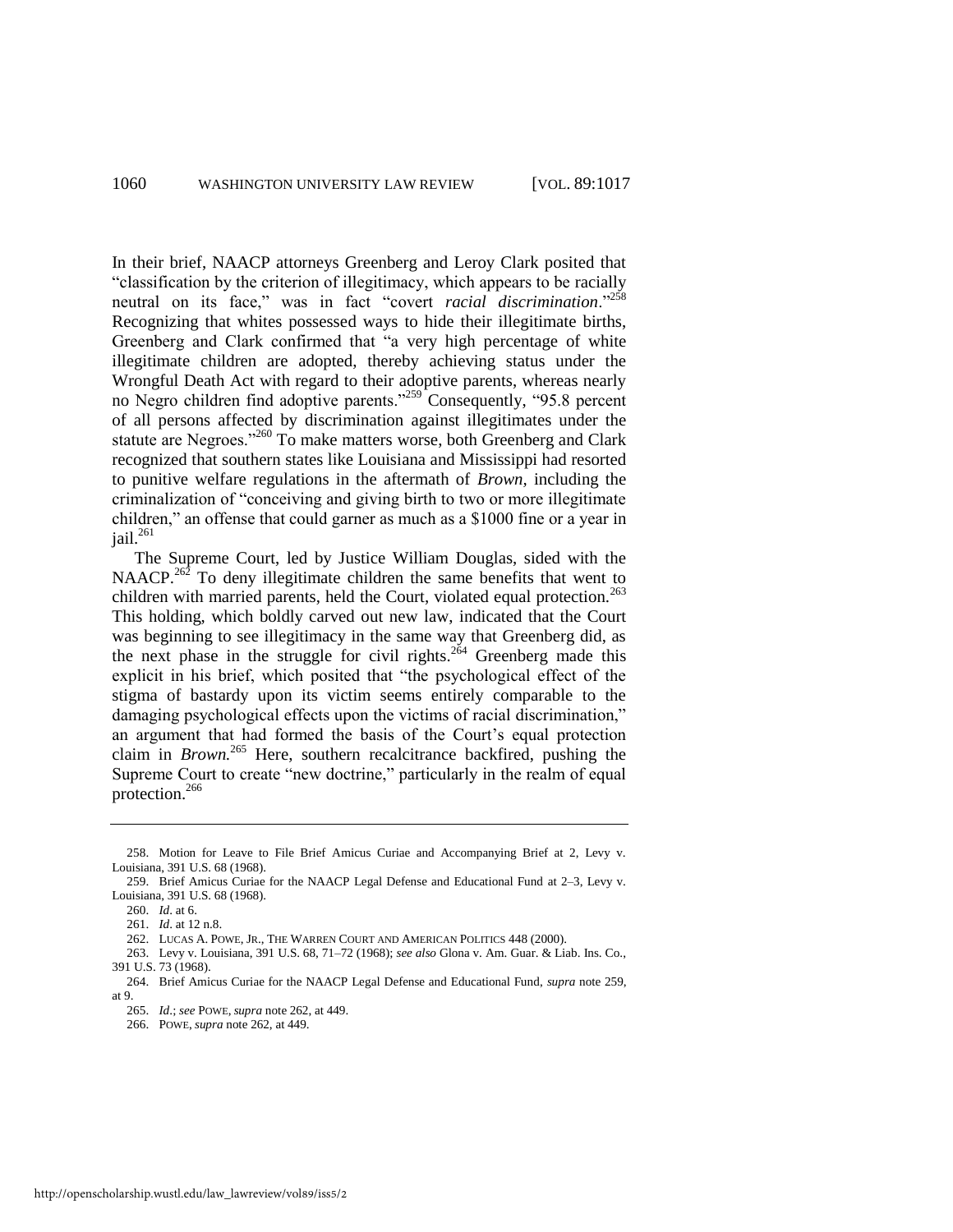<span id="page-44-0"></span>In their brief, NAACP attorneys Greenberg and Leroy Clark posited that ―classification by the criterion of illegitimacy, which appears to be racially neutral on its face," was in fact "covert *racial discrimination*."<sup>258</sup> Recognizing that whites possessed ways to hide their illegitimate births, Greenberg and Clark confirmed that "a very high percentage of white illegitimate children are adopted, thereby achieving status under the Wrongful Death Act with regard to their adoptive parents, whereas nearly no Negro children find adoptive parents.<sup>3259</sup> Consequently, "95.8 percent of all persons affected by discrimination against illegitimates under the statute are Negroes."<sup>260</sup> To make matters worse, both Greenberg and Clark recognized that southern states like Louisiana and Mississippi had resorted to punitive welfare regulations in the aftermath of *Brown,* including the criminalization of "conceiving and giving birth to two or more illegitimate children," an offense that could garner as much as a \$1000 fine or a year in  $i$ ail.<sup>261</sup>

<span id="page-44-1"></span>The Supreme Court, led by Justice William Douglas, sided with the NAACP.<sup>262</sup> To deny illegitimate children the same benefits that went to children with married parents, held the Court, violated equal protection.<sup>263</sup> This holding, which boldly carved out new law, indicated that the Court was beginning to see illegitimacy in the same way that Greenberg did, as the next phase in the struggle for civil rights.<sup>264</sup> Greenberg made this explicit in his brief, which posited that "the psychological effect of the stigma of bastardy upon its victim seems entirely comparable to the damaging psychological effects upon the victims of racial discrimination," an argument that had formed the basis of the Court's equal protection claim in *Brown.*<sup>265</sup> Here, southern recalcitrance backfired, pushing the Supreme Court to create "new doctrine," particularly in the realm of equal protection.<sup>266</sup>

<sup>258.</sup> Motion for Leave to File Brief Amicus Curiae and Accompanying Brief at 2, Levy v. Louisiana, 391 U.S. 68 (1968).

<sup>259.</sup> Brief Amicus Curiae for the NAACP Legal Defense and Educational Fund at 2–3, Levy v. Louisiana, 391 U.S. 68 (1968).

<sup>260.</sup> *Id*. at 6.

<sup>261.</sup> *Id*. at 12 n.8.

<sup>262.</sup> LUCAS A. POWE, JR., THE WARREN COURT AND AMERICAN POLITICS 448 (2000).

<sup>263.</sup> Levy v. Louisiana, 391 U.S. 68, 71–72 (1968); *see also* Glona v. Am. Guar. & Liab. Ins. Co., 391 U.S. 73 (1968).

<sup>264.</sup> Brief Amicus Curiae for the NAACP Legal Defense and Educational Fund, *supra* not[e 259,](#page-44-0)  at 9.

<sup>265.</sup> *Id*.; *see* POWE, *supra* not[e 262,](#page-44-1) at 449.

<sup>266.</sup> POWE, *supra* not[e 262,](#page-44-1) at 449.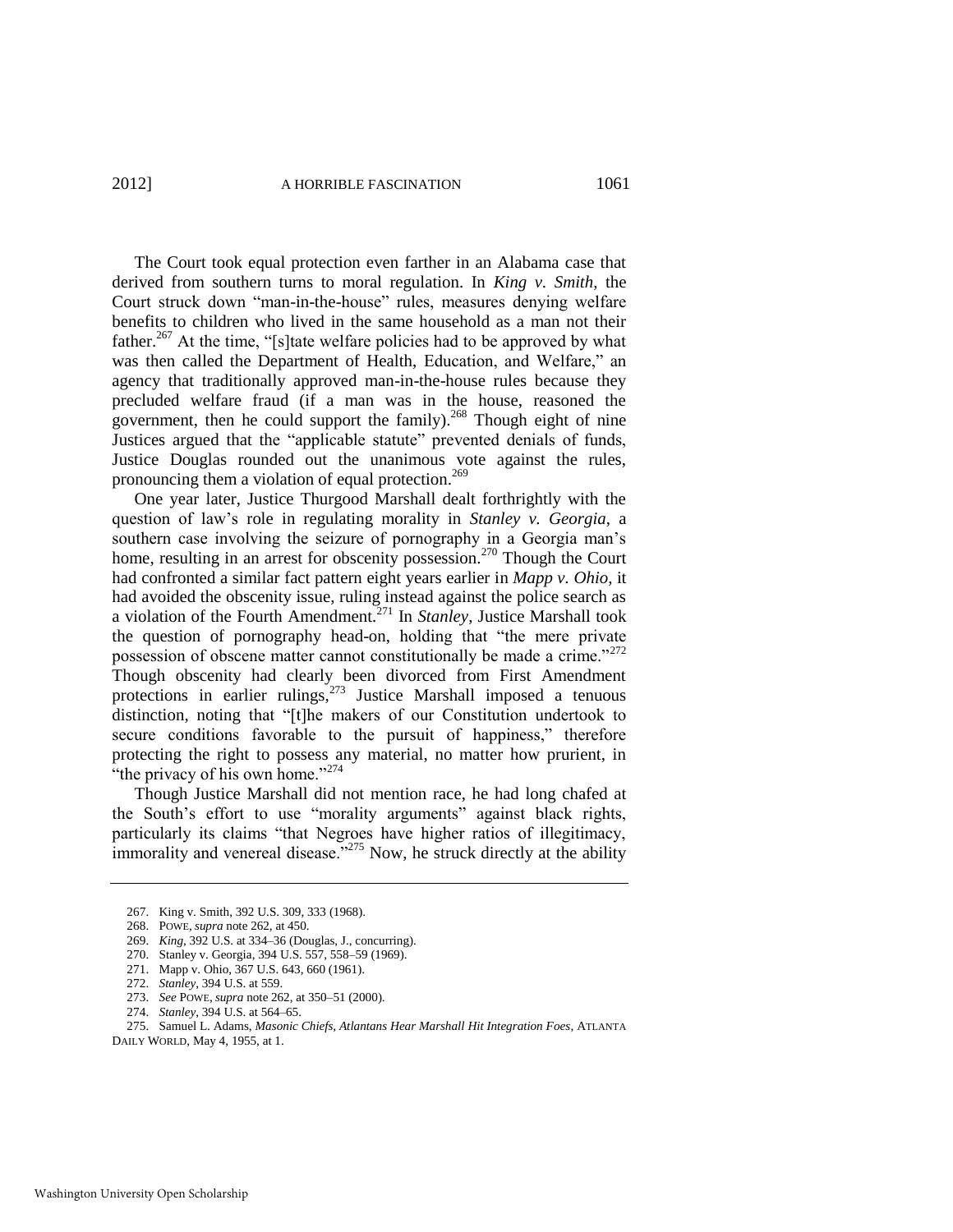The Court took equal protection even farther in an Alabama case that derived from southern turns to moral regulation. In *King v. Smith*, the Court struck down "man-in-the-house" rules, measures denying welfare benefits to children who lived in the same household as a man not their father.<sup>267</sup> At the time, "[s]tate welfare policies had to be approved by what was then called the Department of Health, Education, and Welfare," an agency that traditionally approved man-in-the-house rules because they precluded welfare fraud (if a man was in the house, reasoned the government, then he could support the family).<sup>268</sup> Though eight of nine Justices argued that the "applicable statute" prevented denials of funds, Justice Douglas rounded out the unanimous vote against the rules, pronouncing them a violation of equal protection.<sup>269</sup>

One year later, Justice Thurgood Marshall dealt forthrightly with the question of law's role in regulating morality in *Stanley v. Georgia*, a southern case involving the seizure of pornography in a Georgia man's home, resulting in an arrest for obscenity possession.<sup>270</sup> Though the Court had confronted a similar fact pattern eight years earlier in *Mapp v. Ohio*, it had avoided the obscenity issue, ruling instead against the police search as a violation of the Fourth Amendment.<sup>271</sup> In *Stanley*, Justice Marshall took the question of pornography head-on, holding that "the mere private" possession of obscene matter cannot constitutionally be made a crime.<sup>7272</sup> Though obscenity had clearly been divorced from First Amendment protections in earlier rulings,<sup>273</sup> Justice Marshall imposed a tenuous distinction, noting that "[t]he makers of our Constitution undertook to secure conditions favorable to the pursuit of happiness," therefore protecting the right to possess any material, no matter how prurient, in "the privacy of his own home."<sup>274</sup>

Though Justice Marshall did not mention race, he had long chafed at the South's effort to use "morality arguments" against black rights, particularly its claims "that Negroes have higher ratios of illegitimacy, immorality and venereal disease.<sup>3275</sup> Now, he struck directly at the ability

<sup>267.</sup> King v. Smith, 392 U.S. 309, 333 (1968).

<sup>268.</sup> POWE, *supra* not[e 262,](#page-44-1) at 450.

<sup>269.</sup> *King*, 392 U.S. at 334–36 (Douglas, J., concurring).

<sup>270.</sup> Stanley v. Georgia, 394 U.S. 557, 558–59 (1969).

<sup>271.</sup> Mapp v. Ohio, 367 U.S. 643, 660 (1961).

<sup>272.</sup> *Stanley*, 394 U.S. at 559.

<sup>273.</sup> *See* POWE, *supra* not[e 262,](#page-44-1) at 350–51 (2000).

<sup>274.</sup> *Stanley*, 394 U.S. at 564–65.

<sup>275.</sup> Samuel L. Adams, *Masonic Chiefs, Atlantans Hear Marshall Hit Integration Foes*, ATLANTA DAILY WORLD, May 4, 1955, at 1.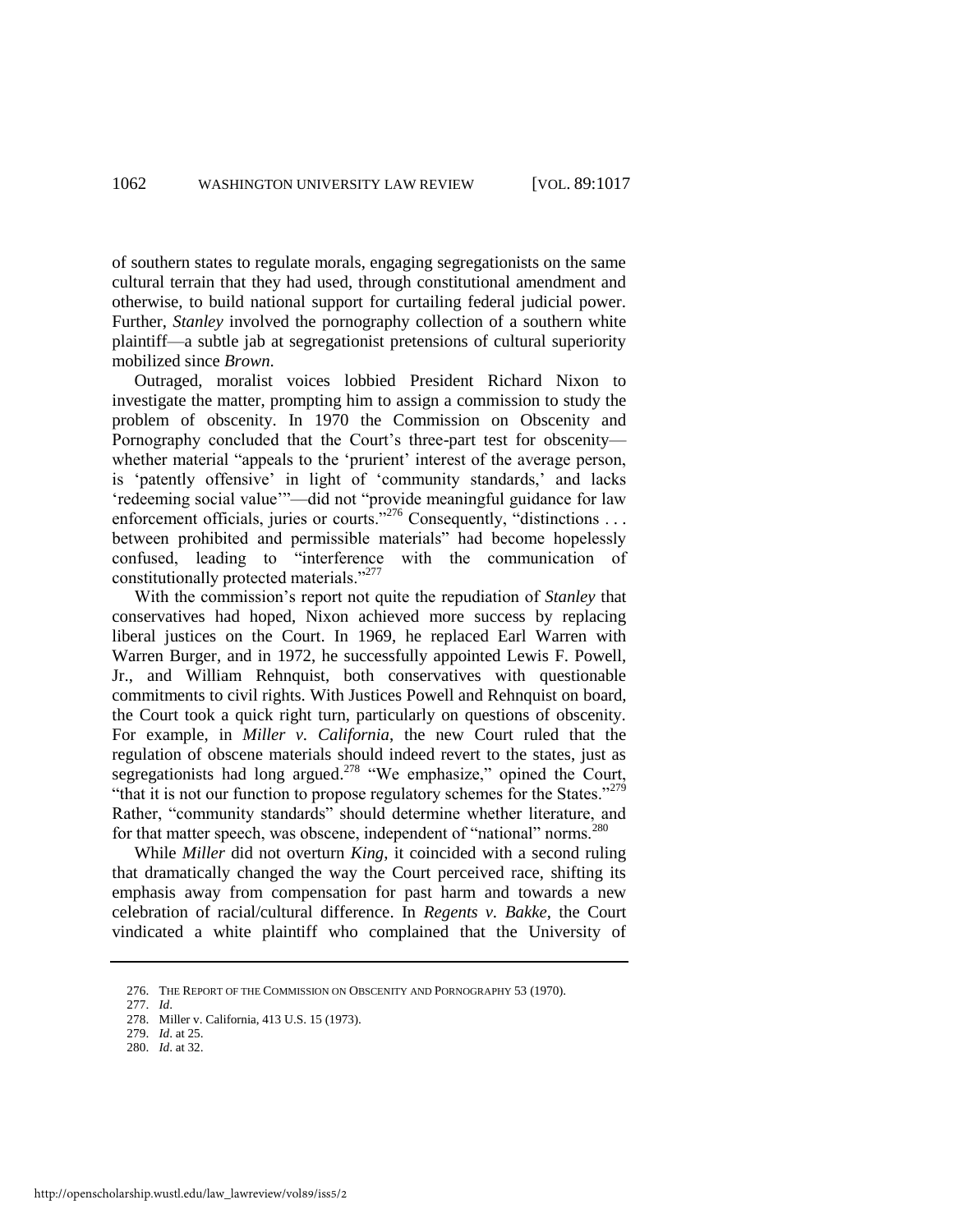of southern states to regulate morals, engaging segregationists on the same cultural terrain that they had used, through constitutional amendment and otherwise, to build national support for curtailing federal judicial power. Further, *Stanley* involved the pornography collection of a southern white plaintiff—a subtle jab at segregationist pretensions of cultural superiority mobilized since *Brown*.

Outraged, moralist voices lobbied President Richard Nixon to investigate the matter, prompting him to assign a commission to study the problem of obscenity. In 1970 the Commission on Obscenity and Pornography concluded that the Court's three-part test for obscenity whether material "appeals to the 'prurient' interest of the average person, is 'patently offensive' in light of 'community standards,' and lacks 'redeeming social value'"—did not "provide meaningful guidance for law enforcement officials, juries or courts.<sup>276</sup> Consequently, "distinctions . . . between prohibited and permissible materials" had become hopelessly confused, leading to "interference with the communication of constitutionally protected materials."<sup>277</sup>

With the commission's report not quite the repudiation of *Stanley* that conservatives had hoped, Nixon achieved more success by replacing liberal justices on the Court. In 1969, he replaced Earl Warren with Warren Burger, and in 1972, he successfully appointed Lewis F. Powell, Jr., and William Rehnquist, both conservatives with questionable commitments to civil rights. With Justices Powell and Rehnquist on board, the Court took a quick right turn, particularly on questions of obscenity. For example, in *Miller v. California*, the new Court ruled that the regulation of obscene materials should indeed revert to the states, just as segregationists had long argued.<sup>278</sup> "We emphasize," opined the Court, "that it is not our function to propose regulatory schemes for the States."<sup> $279$ </sup> Rather, "community standards" should determine whether literature, and for that matter speech, was obscene, independent of "national" norms.<sup>280</sup>

While *Miller* did not overturn *King*, it coincided with a second ruling that dramatically changed the way the Court perceived race, shifting its emphasis away from compensation for past harm and towards a new celebration of racial/cultural difference. In *Regents v. Bakke*, the Court vindicated a white plaintiff who complained that the University of

<sup>276.</sup> THE REPORT OF THE COMMISSION ON OBSCENITY AND PORNOGRAPHY 53 (1970).

<sup>277.</sup> *Id*.

<sup>278.</sup> Miller v. California, 413 U.S. 15 (1973).

<sup>279.</sup> *Id*. at 25.

<sup>280.</sup> *Id*. at 32.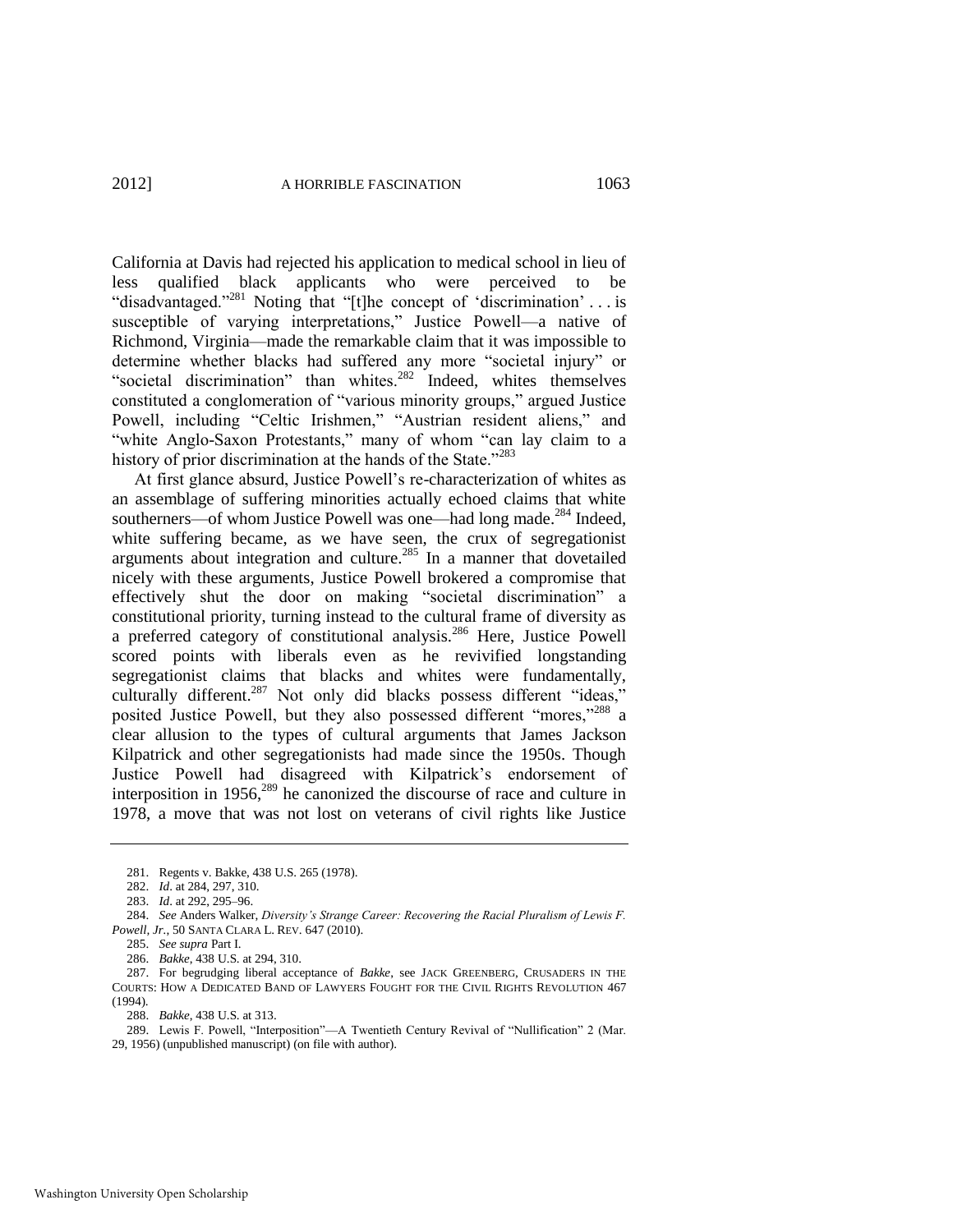California at Davis had rejected his application to medical school in lieu of less qualified black applicants who were perceived to be "disadvantaged."<sup>281</sup> Noting that "[t]he concept of 'discrimination' . . . is susceptible of varying interpretations," Justice Powell—a native of Richmond, Virginia—made the remarkable claim that it was impossible to determine whether blacks had suffered any more "societal injury" or "societal discrimination" than whites.<sup>282</sup> Indeed, whites themselves constituted a conglomeration of "various minority groups," argued Justice Powell, including "Celtic Irishmen," "Austrian resident aliens," and "white Anglo-Saxon Protestants," many of whom "can lay claim to a history of prior discrimination at the hands of the State."<sup>283</sup>

At first glance absurd, Justice Powell's re-characterization of whites as an assemblage of suffering minorities actually echoed claims that white southerners—of whom Justice Powell was one—had long made.<sup>284</sup> Indeed, white suffering became, as we have seen, the crux of segregationist arguments about integration and culture.<sup>285</sup> In a manner that dovetailed nicely with these arguments, Justice Powell brokered a compromise that effectively shut the door on making "societal discrimination" a constitutional priority, turning instead to the cultural frame of diversity as a preferred category of constitutional analysis.<sup>286</sup> Here, Justice Powell scored points with liberals even as he revivified longstanding segregationist claims that blacks and whites were fundamentally, culturally different.<sup>287</sup> Not only did blacks possess different "ideas," posited Justice Powell, but they also possessed different "mores,"<sup>288</sup> a clear allusion to the types of cultural arguments that James Jackson Kilpatrick and other segregationists had made since the 1950s. Though Justice Powell had disagreed with Kilpatrick's endorsement of interposition in 1956, $289$  he canonized the discourse of race and culture in 1978, a move that was not lost on veterans of civil rights like Justice

287. For begrudging liberal acceptance of *Bakke*, see JACK GREENBERG, CRUSADERS IN THE COURTS: HOW A DEDICATED BAND OF LAWYERS FOUGHT FOR THE CIVIL RIGHTS REVOLUTION 467 (1994).

288. *Bakke*, 438 U.S. at 313.

289. Lewis F. Powell, "Interposition"—A Twentieth Century Revival of "Nullification" 2 (Mar. 29, 1956) (unpublished manuscript) (on file with author).

<sup>281.</sup> Regents v. Bakke, 438 U.S. 265 (1978).

<sup>282.</sup> *Id*. at 284, 297, 310.

<sup>283.</sup> *Id*. at 292, 295*–*96.

<sup>284.</sup> *See* Anders Walker, *Diversity's Strange Career: Recovering the Racial Pluralism of Lewis F. Powell, Jr.*, 50 SANTA CLARA L. REV. 647 (2010).

<sup>285.</sup> *See supra* Part I.

<sup>286.</sup> *Bakke*, 438 U.S. at 294, 310.